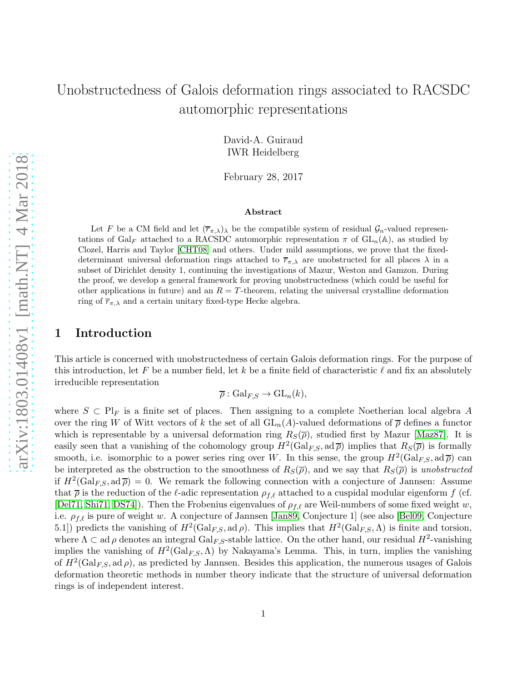# Unobstructedness of Galois deformation rings associated to RACSDC automorphic representations

David-A. Guiraud IWR Heidelberg

February 28, 2017

#### Abstract

Let F be a CM field and let  $(\overline{r}_{\pi,\lambda})_\lambda$  be the compatible system of residual  $\mathcal{G}_n$ -valued representations of Gal<sub>F</sub> attached to a RACSDC automorphic representation  $\pi$  of  $GL_n(\mathbb{A})$ , as studied by Clozel, Harris and Taylor [\[CHT08\]](#page-43-0) and others. Under mild assumptions, we prove that the fixeddeterminant universal deformation rings attached to  $\overline{r}_{\pi,\lambda}$  are unobstructed for all places  $\lambda$  in a subset of Dirichlet density 1, continuing the investigations of Mazur, Weston and Gamzon. During the proof, we develop a general framework for proving unobstructedness (which could be useful for other applications in future) and an  $R = T$ -theorem, relating the universal crystalline deformation ring of  $\overline{r}_{\pi,\lambda}$  and a certain unitary fixed-type Hecke algebra.

### 1 Introduction

This article is concerned with unobstructedness of certain Galois deformation rings. For the purpose of this introduction, let F be a number field, let k be a finite field of characteristic  $\ell$  and fix an absolutely irreducible representation

 $\overline{\rho}:$  Gal<sub>*ES*</sub>  $\rightarrow$  GL<sub>n</sub>(k),

where  $S \subset Pl_F$  is a finite set of places. Then assigning to a complete Noetherian local algebra A over the ring W of Witt vectors of k the set of all  $GL_n(A)$ -valued deformations of  $\overline{\rho}$  defines a functor which is representable by a universal deformation ring  $R<sub>S</sub>(\overline{\rho})$ , studied first by Mazur [\[Maz87\]](#page-45-0). It is easily seen that a vanishing of the cohomology group  $H^2(\text{Gal}_{F,S}, \text{ad}\,\overline{\rho})$  implies that  $R_S(\overline{\rho})$  is formally smooth, i.e. isomorphic to a power series ring over W. In this sense, the group  $H^2(\text{Gal}_{F,S}, \text{ad}\,\overline{\rho})$  can be interpreted as the obstruction to the smoothness of  $R_S(\overline{\rho})$ , and we say that  $R_S(\overline{\rho})$  is unobstructed if  $H^2(\text{Gal}_{F,S}, \text{ad}\,\overline{\rho}) = 0$ . We remark the following connection with a conjecture of Jannsen: Assume that  $\bar{\rho}$  is the reduction of the  $\ell$ -adic representation  $\rho_{f,\ell}$  attached to a cuspidal modular eigenform f (cf. [\[Del71,](#page-43-1) [Shi71,](#page-45-1) [DS74\]](#page-43-2)). Then the Frobenius eigenvalues of  $\rho_{f,\ell}$  are Weil-numbers of some fixed weight w, i.e.  $\rho_{f,\ell}$  is pure of weight w. A conjecture of Jannsen [\[Jan89,](#page-44-0) Conjecture 1] (see also [\[Bel09,](#page-43-3) Conjecture 5.1]) predicts the vanishing of  $H^2(\text{Gal}_{F,S}, \text{ad}\,\rho)$ . This implies that  $H^2(\text{Gal}_{F,S}, \Lambda)$  is finite and torsion, where  $\Lambda \subset \text{ad } \rho$  denotes an integral Gal<sub>F,S</sub>-stable lattice. On the other hand, our residual  $H^2$ -vanishing implies the vanishing of  $H^2(\text{Gal}_{F,S}, \Lambda)$  by Nakayama's Lemma. This, in turn, implies the vanishing of  $H^2(\text{Gal}_{F,S}, \text{ad}\,\rho)$ , as predicted by Jannsen. Besides this application, the numerous usages of Galois deformation theoretic methods in number theory indicate that the structure of universal deformation rings is of independent interest.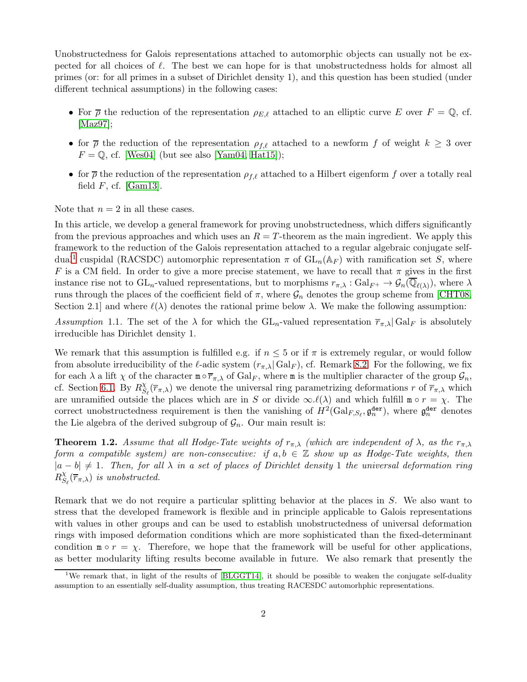Unobstructedness for Galois representations attached to automorphic objects can usually not be expected for all choices of  $\ell$ . The best we can hope for is that unobstructedness holds for almost all primes (or: for all primes in a subset of Dirichlet density 1), and this question has been studied (under different technical assumptions) in the following cases:

- For  $\overline{\rho}$  the reduction of the representation  $\rho_{E,\ell}$  attached to an elliptic curve E over  $F = \mathbb{Q}$ , cf. [\[Maz97\]](#page-45-2);
- for  $\bar{\rho}$  the reduction of the representation  $\rho_{f,\ell}$  attached to a newform f of weight  $k \geq 3$  over  $F = \mathbb{Q}$ , cf. [\[Wes04\]](#page-46-0) (but see also [\[Yam04,](#page-46-1) [Hat15\]](#page-44-1));
- for  $\bar{\rho}$  the reduction of the representation  $\rho_{f,\ell}$  attached to a Hilbert eigenform f over a totally real field  $F$ , cf. [\[Gam13\]](#page-44-2).

Note that  $n = 2$  in all these cases.

In this article, we develop a general framework for proving unobstructedness, which differs significantly from the previous approaches and which uses an  $R = T$ -theorem as the main ingredient. We apply this framework to the reduction of the Galois representation attached to a regular algebraic conjugate self-dual<sup>[1](#page-1-0)</sup> cuspidal (RACSDC) automorphic representation  $\pi$  of  $GL_n(\mathbb{A}_F)$  with ramification set S, where F is a CM field. In order to give a more precise statement, we have to recall that  $\pi$  gives in the first instance rise not to  $GL_n$ -valued representations, but to morphisms  $r_{\pi,\lambda}: Gal_{F^+} \to \mathcal{G}_n(\overline{\mathbb{Q}}_{\ell(\lambda)})$ , where  $\lambda$ runs through the places of the coefficient field of  $\pi$ , where  $\mathcal{G}_n$  denotes the group scheme from [\[CHT08,](#page-43-0) Section 2.1] and where  $\ell(\lambda)$  denotes the rational prime below  $\lambda$ . We make the following assumption:

Assumption 1.1. The set of the  $\lambda$  for which the GL<sub>n</sub>-valued representation  $\overline{r}_{\pi,\lambda}$  Gal<sub>F</sub> is absolutely irreducible has Dirichlet density 1.

We remark that this assumption is fulfilled e.g. if  $n \leq 5$  or if  $\pi$  is extremely regular, or would follow from absolute irreducibility of the  $\ell$ -adic system  $(r_{\pi,\lambda}|\text{Gal}_F)$ , cf. Remark [8.2.](#page-34-0) For the following, we fix for each  $\lambda$  a lift  $\chi$  of the character  $m \circ \overline{r}_{\pi,\lambda}$  of  $Gal_F$ , where m is the multiplier character of the group  $\mathcal{G}_n$ , cf. Section [6.1.](#page-22-0) By  $R_S^{\chi}$  $\frac{x}{S_{\ell}}(\overline{r}_{\pi,\lambda})$  we denote the universal ring parametrizing deformations r of  $\overline{r}_{\pi,\lambda}$  which are unramified outside the places which are in S or divide  $\infty.\ell(\lambda)$  and which fulfill  $\mathbf{m} \circ r = \chi$ . The correct unobstructedness requirement is then the vanishing of  $H^2(\text{Gal}_{F,S_{\ell}}, \mathfrak{g}_n^{\text{der}})$ , where  $\mathfrak{g}_n^{\text{der}}$  denotes the Lie algebra of the derived subgroup of  $\mathcal{G}_n$ . Our main result is:

<span id="page-1-1"></span>**Theorem 1.2.** Assume that all Hodge-Tate weights of  $r_{\pi,\lambda}$  (which are independent of  $\lambda$ , as the  $r_{\pi,\lambda}$ ) form a compatible system) are non-consecutive: if  $a, b \in \mathbb{Z}$  show up as Hodge-Tate weights, then  $|a - b| \neq 1$ . Then, for all  $\lambda$  in a set of places of Dirichlet density 1 the universal deformation ring  $R_S^{\chi}$  $\frac{\chi}{S_{\ell}}(\overline{r}_{\pi,\lambda})$  is unobstructed.

Remark that we do not require a particular splitting behavior at the places in S. We also want to stress that the developed framework is flexible and in principle applicable to Galois representations with values in other groups and can be used to establish unobstructedness of universal deformation rings with imposed deformation conditions which are more sophisticated than the fixed-determinant condition  $m \circ r = \chi$ . Therefore, we hope that the framework will be useful for other applications, as better modularity lifting results become available in future. We also remark that presently the

<span id="page-1-0"></span><sup>&</sup>lt;sup>1</sup>We remark that, in light of the results of [\[BLGGT14\]](#page-43-4), it should be possible to weaken the conjugate self-duality assumption to an essentially self-duality assumption, thus treating RACESDC automorhphic representations.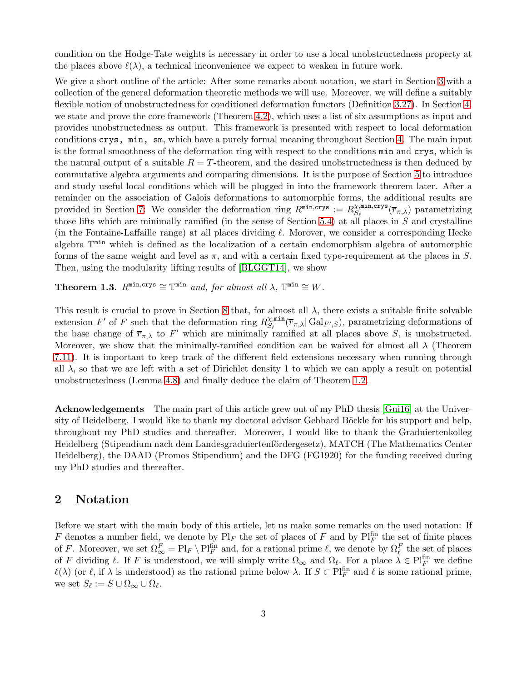condition on the Hodge-Tate weights is necessary in order to use a local unobstructedness property at the places above  $\ell(\lambda)$ , a technical inconvenience we expect to weaken in future work.

We give a short outline of the article: After some remarks about notation, we start in Section [3](#page-3-0) with a collection of the general deformation theoretic methods we will use. Moreover, we will define a suitably flexible notion of unobstructedness for conditioned deformation functors (Definition [3.27\)](#page-10-0). In Section [4,](#page-10-1) we state and prove the core framework (Theorem [4.2\)](#page-12-0), which uses a list of six assumptions as input and provides unobstructedness as output. This framework is presented with respect to local deformation conditions crys, min, sm, which have a purely formal meaning throughout Section [4.](#page-10-1) The main input is the formal smoothness of the deformation ring with respect to the conditions min and crys, which is the natural output of a suitable  $R = T$ -theorem, and the desired unobstructedness is then deduced by commutative algebra arguments and comparing dimensions. It is the purpose of Section [5](#page-15-0) to introduce and study useful local conditions which will be plugged in into the framework theorem later. After a reminder on the association of Galois deformations to automorphic forms, the additional results are provided in Section [7:](#page-28-0) We consider the deformation ring  $R^{\min,crys} := R^{\chi,\min,crys}_{S_\ell}$  $S_{\ell}^{(\overline{n},\overline{n})}(\overline{r}_{\pi,\lambda})$  parametrizing those lifts which are minimally ramified (in the sense of Section [5.4\)](#page-18-0) at all places in  $S$  and crystalline (in the Fontaine-Laffaille range) at all places dividing  $\ell$ . Morover, we consider a corresponding Hecke algebra  $\mathbb{T}^{\min}$  which is defined as the localization of a certain endomorphism algebra of automorphic forms of the same weight and level as  $\pi$ , and with a certain fixed type-requirement at the places in S. Then, using the modularity lifting results of [\[BLGGT14\]](#page-43-4), we show

**Theorem 1.3.**  $R^{\min, \text{crys}} \cong \mathbb{T}^{\min}$  and, for almost all  $\lambda$ ,  $\mathbb{T}^{\min} \cong W$ .

This result is crucial to prove in Section [8](#page-34-1) that, for almost all  $\lambda$ , there exists a suitable finite solvable extension F' of F such that the deformation ring  $R_{S_n}^{\chi,\min}$  $\mathcal{L}_{S_{\ell}}^{\text{min}}(\overline{r}_{\pi,\lambda} | \text{Gal}_{F',S}),$  parametrizing deformations of the base change of  $\overline{r}_{\pi,\lambda}$  to F' which are minimally ramified at all places above S, is unobstructed. Moreover, we show that the minimally-ramified condition can be waived for almost all  $\lambda$  (Theorem [7.11\)](#page-32-0). It is important to keep track of the different field extensions necessary when running through all  $\lambda$ , so that we are left with a set of Dirichlet density 1 to which we can apply a result on potential unobstructedness (Lemma [4.8\)](#page-15-1) and finally deduce the claim of Theorem [1.2.](#page-1-1)

Acknowledgements The main part of this article grew out of my PhD thesis [\[Gui16\]](#page-44-3) at the University of Heidelberg. I would like to thank my doctoral advisor Gebhard Böckle for his support and help, throughout my PhD studies and thereafter. Moreover, I would like to thank the Graduiertenkolleg Heidelberg (Stipendium nach dem Landesgraduiertenfördergesetz), MATCH (The Mathematics Center Heidelberg), the DAAD (Promos Stipendium) and the DFG (FG1920) for the funding received during my PhD studies and thereafter.

### 2 Notation

Before we start with the main body of this article, let us make some remarks on the used notation: If F denotes a number field, we denote by  $\text{Pl}_F$  the set of places of F and by  $\text{Pl}_F^{\text{fin}}$  the set of finite places of F. Moreover, we set  $\Omega_{\infty}^F = \text{Pl}_F \setminus \text{Pl}_F^{\text{fin}}$  and, for a rational prime  $\ell$ , we denote by  $\Omega_{\ell}^F$  the set of places of F dividing  $\ell$ . If F is understood, we will simply write  $\Omega_{\infty}$  and  $\Omega_{\ell}$ . For a place  $\lambda \in Pl_F^{\text{fin}}$  we define  $\ell(\lambda)$  (or  $\ell$ , if  $\lambda$  is understood) as the rational prime below  $\lambda$ . If  $S \subset Pl_F^{\text{fin}}$  and  $\ell$  is some rational prime, we set  $S_{\ell} := S \cup \Omega_{\infty} \cup \Omega_{\ell}.$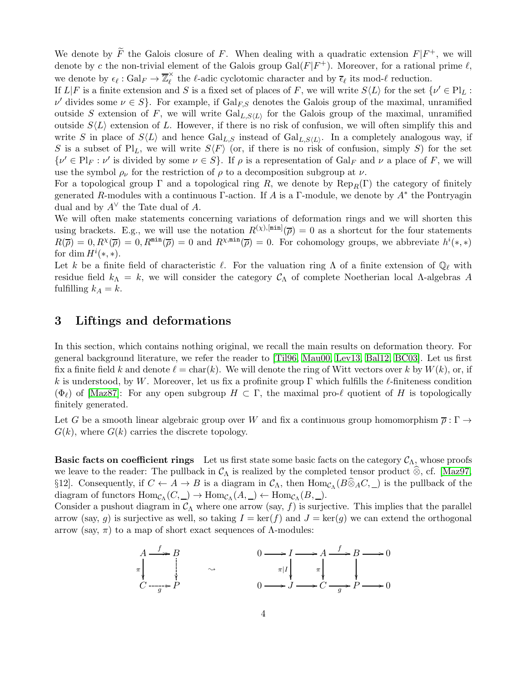We denote by  $\widetilde{F}$  the Galois closure of F. When dealing with a quadratic extension  $F|F^+$ , we will denote by c the non-trivial element of the Galois group  $Gal(F|F^+)$ . Moreover, for a rational prime  $\ell$ , we denote by  $\epsilon_{\ell} : \text{Gal}_F \to \overline{\mathbb{Z}}_{\ell}^{\times}$  the  $\ell$ -adic cyclotomic character and by  $\overline{\epsilon}_{\ell}$  its mod- $\ell$  reduction.

If  $L|F$  is a finite extension and S is a fixed set of places of F, we will write  $S\langle L \rangle$  for the set  $\{\nu' \in Pl_L:$  $\nu'$  divides some  $\nu \in S$ . For example, if  $Gal_{F,S}$  denotes the Galois group of the maximal, unramified outside S extension of F, we will write  $Gal_{L,S\langle L\rangle}$  for the Galois group of the maximal, unramified outside  $S\langle L \rangle$  extension of L. However, if there is no risk of confusion, we will often simplify this and write S in place of  $S\langle L \rangle$  and hence  $Gal_{L,S}$  instead of  $Gal_{L,S\langle L \rangle}$ . In a completely analogous way, if S is a subset of Pl<sub>L</sub>, we will write  $S\langle F\rangle$  (or, if there is no risk of confusion, simply S) for the set  $\{\nu' \in \text{Pl}_F : \nu' \text{ is divided by some } \nu \in S\}.$  If  $\rho$  is a representation of  $\text{Gal}_F$  and  $\nu$  a place of F, we will use the symbol  $\rho_{\nu}$  for the restriction of  $\rho$  to a decomposition subgroup at  $\nu$ .

For a topological group  $\Gamma$  and a topological ring R, we denote by  $\text{Rep}_R(\Gamma)$  the category of finitely generated R-modules with a continuous  $\Gamma$ -action. If A is a  $\Gamma$ -module, we denote by  $A^*$  the Pontryagin dual and by  $A^{\vee}$  the Tate dual of A.

We will often make statements concerning variations of deformation rings and we will shorten this using brackets. E.g., we will use the notation  $R^{(\chi),[min]}(\overline{\rho})=0$  as a shortcut for the four statements  $R(\overline{\rho}) = 0, R^{\chi}(\overline{\rho}) = 0, R^{\min}(\overline{\rho}) = 0$  and  $R^{\chi, \min}(\overline{\rho}) = 0$ . For cohomology groups, we abbreviate  $h^{i}(*, *)$ for  $\dim H^i(*, *)$ .

Let k be a finite field of characteristic  $\ell$ . For the valuation ring  $\Lambda$  of a finite extension of  $\mathbb{Q}_{\ell}$  with residue field  $k_{\Lambda} = k$ , we will consider the category  $\mathcal{C}_{\Lambda}$  of complete Noetherian local A-algebras A fulfilling  $k_A = k$ .

### <span id="page-3-0"></span>3 Liftings and deformations

In this section, which contains nothing original, we recall the main results on deformation theory. For general background literature, we refer the reader to [\[Til96,](#page-46-2) [Mau00,](#page-45-3) [Lev13,](#page-45-4) [Bal12,](#page-43-5) [BC03\]](#page-43-6). Let us first fix a finite field k and denote  $\ell = \text{char}(k)$ . We will denote the ring of Witt vectors over k by  $W(k)$ , or, if k is understood, by W. Moreover, let us fix a profinite group  $\Gamma$  which fulfills the  $\ell$ -finiteness condition  $(\Phi_{\ell})$  of [\[Maz87\]](#page-45-0): For any open subgroup  $H \subset \Gamma$ , the maximal pro- $\ell$  quotient of H is topologically finitely generated.

Let G be a smooth linear algebraic group over W and fix a continuous group homomorphism  $\overline{\rho}: \Gamma \to$  $G(k)$ , where  $G(k)$  carries the discrete topology.

**Basic facts on coefficient rings** Let us first state some basic facts on the category  $\mathcal{C}_{\Lambda}$ , whose proofs we leave to the reader: The pullback in  $\mathcal{C}_{\Lambda}$  is realized by the completed tensor product  $\otimes$ , cf. [\[Maz97,](#page-45-2) §12]. Consequently, if  $C \leftarrow A \rightarrow B$  is a diagram in  $C_{\Lambda}$ , then  $\text{Hom}_{C_{\Lambda}}(B \otimes_A C, \underline{\hspace{1cm}})$  is the pullback of the diagram of functors  $\text{Hom}_{\mathcal{C}_{\Lambda}}(C, \underline{\phantom{\Lambda}}) \to \text{Hom}_{\mathcal{C}_{\Lambda}}(A, \underline{\phantom{\Lambda}}) \leftarrow \text{Hom}_{\mathcal{C}_{\Lambda}}(B, \underline{\phantom{\Lambda}}).$ 

Consider a pushout diagram in  $\mathcal{C}_{\Lambda}$  where one arrow (say, f) is surjective. This implies that the parallel arrow (say, g) is surjective as well, so taking  $I = \text{ker}(f)$  and  $J = \text{ker}(g)$  we can extend the orthogonal arrow (say,  $\pi$ ) to a map of short exact sequences of  $\Lambda$ -modules:

$$
\begin{array}{ccc}\nA & \xrightarrow{f} & B \\
\pi & & & \\
C & \xrightarrow{g} & P\n\end{array}\n\qquad\n\begin{array}{ccc}\n0 & \longrightarrow I & \longrightarrow A & \xrightarrow{f} & B \longrightarrow 0 \\
\pi & & & \\
\pi & & & \\
\end{array}
$$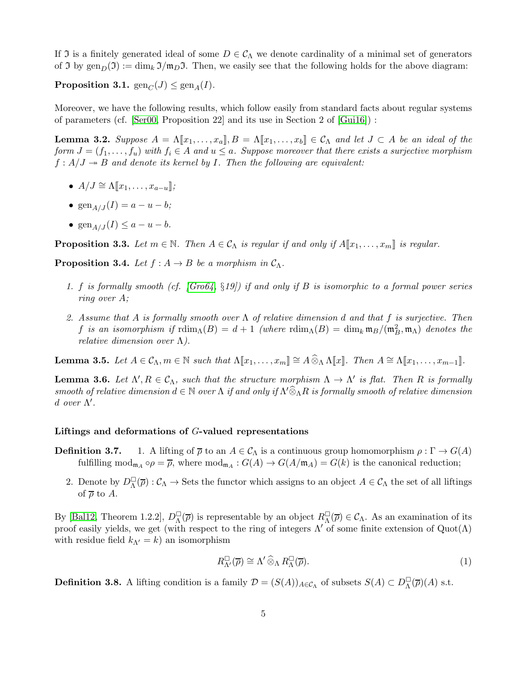If I is a finitely generated ideal of some  $D \in C_\Lambda$  we denote cardinality of a minimal set of generators of J by  $\text{gen}_D(\mathfrak{I}) := \dim_k \mathfrak{I}/\mathfrak{m}_D\mathfrak{I}$ . Then, we easily see that the following holds for the above diagram:

**Proposition 3.1.**  $\text{gen}_C(J) \leq \text{gen}_A(I)$ .

Moreover, we have the following results, which follow easily from standard facts about regular systems of parameters (cf. [\[Ser00,](#page-45-5) Proposition 22] and its use in Section 2 of  $[Gui16]$ ):

**Lemma 3.2.** Suppose  $A = \Lambda[\![x_1, \ldots, x_a]\!], B = \Lambda[\![x_1, \ldots, x_b]\!] \in \mathcal{C}_{\Lambda}$  and let  $J \subset A$  be an ideal of the form  $J = (f_1, \ldots, f_u)$  with  $f_i \in A$  and  $u \le a$ . Suppose moreover that there exists a surjective morphism  $f : A/J \twoheadrightarrow B$  and denote its kernel by I. Then the following are equivalent:

- $A/J \cong \Lambda[[x_1, \ldots, x_{a-u}]]$ ;
- $\text{gen}_{A/J}(I) = a u b;$
- gen<sub> $A/J$ </sub> $(I) \le a u b$ .

<span id="page-4-3"></span>**Proposition 3.3.** Let  $m \in \mathbb{N}$ . Then  $A \in \mathcal{C}_{\Lambda}$  is regular if and only if  $A[\![x_1, \ldots, x_m]\!]$  is regular.

**Proposition 3.4.** Let  $f : A \rightarrow B$  be a morphism in  $C_A$ .

- 1. f is formally smooth (cf. [\[Gro64,](#page-44-4) §19]) if and only if B is isomorphic to a formal power series ring over A;
- 2. Assume that A is formally smooth over  $\Lambda$  of relative dimension d and that f is surjective. Then f is an isomorphism if  $\text{rdim}_{\Lambda}(B) = d + 1$  (where  $\text{rdim}_{\Lambda}(B) = \text{dim}_k \mathfrak{m}_B/(\mathfrak{m}_B^2, \mathfrak{m}_\Lambda)$  denotes the relative dimension over  $\Lambda$ ).

**Lemma 3.5.** Let  $A \in \mathcal{C}_{\Lambda}, m \in \mathbb{N}$  such that  $\Lambda[\![x_1, \ldots, x_m]\!] \cong A \widehat{\otimes}_{\Lambda} \Lambda[\![x]\!]$ . Then  $A \cong \Lambda[\![x_1, \ldots, x_{m-1}]\!]$ .

<span id="page-4-2"></span>**Lemma 3.6.** Let  $\Lambda', R \in \mathcal{C}_{\Lambda}$ , such that the structure morphism  $\Lambda \to \Lambda'$  is flat. Then R is formally smooth of relative dimension  $d \in \mathbb{N}$  over  $\Lambda$  if and only if  $\Lambda' \hat{\otimes}_{\Lambda} R$  is formally smooth of relative dimension d over  $\Lambda'$ .

#### Liftings and deformations of G-valued representations

- **Definition 3.7.** 1. A lifting of  $\overline{\rho}$  to an  $A \in \mathcal{C}_{\Lambda}$  is a continuous group homomorphism  $\rho : \Gamma \to G(A)$ fulfilling  $mod_{\mathfrak{m}_A} \circ \rho = \overline{\rho}$ , where  $mod_{\mathfrak{m}_A} : G(A) \to G(A/\mathfrak{m}_A) = G(k)$  is the canonical reduction;
	- 2. Denote by  $D_{\Lambda}^{\square}$  $\Box(\overline{\rho})$  :  $\mathcal{C}_\Lambda \to$  Sets the functor which assigns to an object  $A \in \mathcal{C}_\Lambda$  the set of all liftings of  $\overline{\rho}$  to A.

By [\[Bal12,](#page-43-5) Theorem 1.2.2],  $D_{\Lambda}^{\square}$  $\mathcal{L}_{\Lambda}^{\square}(\overline{\rho})$  is representable by an object  $R_{\Lambda}^{\square}$  $\Box(\overline{\rho}) \in \mathcal{C}_{\Lambda}$ . As an examination of its proof easily yields, we get (with respect to the ring of integers  $\Lambda'$  of some finite extension of  $Quot(\Lambda)$ with residue field  $k_{\Lambda'} = k$ ) an isomorphism

<span id="page-4-0"></span>
$$
R_{\Lambda'}^{\square}(\overline{\rho}) \cong \Lambda' \widehat{\otimes}_{\Lambda} R_{\Lambda}^{\square}(\overline{\rho}). \tag{1}
$$

<span id="page-4-1"></span>**Definition 3.8.** A lifting condition is a family  $\mathcal{D} = (S(A))_{A \in \mathcal{C}_{\Lambda}}$  of subsets  $S(A) \subset D_{\Lambda}^{\square}$  $\frac{1}{\Lambda}(\overline{\rho})(A)$  s.t.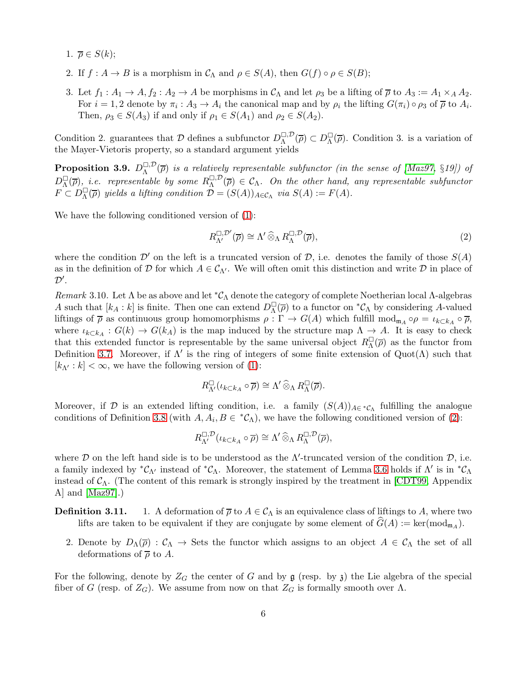- 1.  $\overline{\rho} \in S(k)$ ;
- 2. If  $f: A \to B$  is a morphism in  $\mathcal{C}_{\Lambda}$  and  $\rho \in S(A)$ , then  $G(f) \circ \rho \in S(B)$ ;
- 3. Let  $f_1: A_1 \to A, f_2: A_2 \to A$  be morphisms in  $\mathcal{C}_{\Lambda}$  and let  $\rho_3$  be a lifting of  $\overline{\rho}$  to  $A_3 := A_1 \times_A A_2$ . For  $i = 1, 2$  denote by  $\pi_i : A_3 \to A_i$  the canonical map and by  $\rho_i$  the lifting  $G(\pi_i) \circ \rho_3$  of  $\overline{\rho}$  to  $A_i$ . Then,  $\rho_3 \in S(A_3)$  if and only if  $\rho_1 \in S(A_1)$  and  $\rho_2 \in S(A_2)$ .

Condition 2. guarantees that  $\mathcal D$  defines a subfunctor  $D_{\Lambda}^{\square,\mathcal{D}}(\overline{\rho})\subset D_{\Lambda}^{\square}$  $\mathcal{L}_{\Lambda}(\overline{\rho})$ . Condition 3. is a variation of the Mayer-Vietoris property, so a standard argument yields

<span id="page-5-1"></span>**Proposition 3.9.**  $D_{\Lambda}^{\square, \mathcal{D}}(\overline{\rho})$  is a relatively representable subfunctor (in the sense of [\[Maz97,](#page-45-2) §19]) of  $D_{\Lambda}^{\square}$  $\Box_{\Lambda}(\overline{\rho})$ , *i.e.* representable by some  $R_{\Lambda}^{\Box, \mathcal{D}}(\overline{\rho}) \in \mathcal{C}_{\Lambda}$ . On the other hand, any representable subfunctor  $F \subset D_{\Lambda}^{\square}$  $\Box^{\Box}_{\Lambda}(\overline{\rho})$  yields a lifting condition  $\mathcal{D} = (S(A))_{A \in \mathcal{C}_{\Lambda}}$  via  $S(A) := F(A)$ .

We have the following conditioned version of [\(1\)](#page-4-0):

<span id="page-5-0"></span>
$$
R_{\Lambda'}^{\square,\mathcal{D}'}(\overline{\rho}) \cong \Lambda' \,\widehat{\otimes}_{\Lambda} \, R_{\Lambda}^{\square,\mathcal{D}}(\overline{\rho}),\tag{2}
$$

where the condition  $\mathcal{D}'$  on the left is a truncated version of  $\mathcal{D}$ , i.e. denotes the family of those  $S(A)$ as in the definition of D for which  $A \in \mathcal{C}_{\Lambda'}$ . We will often omit this distinction and write D in place of  $\mathcal{D}^{\prime}$ .

<span id="page-5-2"></span>Remark 3.10. Let  $\Lambda$  be as above and let  ${}^*\mathcal{C}_{\Lambda}$  denote the category of complete Noetherian local  $\Lambda$ -algebras A such that  $[k_A : k]$  is finite. Then one can extend  $D_{\Lambda}^{\square}$  $\mathcal{L}_{\Lambda}(\overline{\rho})$  to a functor on  $^{\ast}C_{\Lambda}$  by considering A-valued liftings of  $\overline{\rho}$  as continuous group homomorphisms  $\rho : \Gamma \to G(A)$  which fulfill mod<sub>m<sub>A</sub>  $\circ \rho = \iota_{k \subset k_A} \circ \overline{\rho}$ ,</sub> where  $\iota_{k\subset k_A}: G(k) \to G(k_A)$  is the map induced by the structure map  $\Lambda \to A$ . It is easy to check that this extended functor is representable by the same universal object  $R_{\Lambda}^{\Box}$  $\mathcal{L}_{\Lambda}(\overline{\rho})$  as the functor from Definition 3.7. Moreover, if  $\Lambda'$  is the ring of integers of some finite extension of  $\text{Quot}(\Lambda)$  such that  $[k_{\Lambda'} : k] < \infty$ , we have the following version of [\(1\)](#page-4-0):

$$
R_{\Lambda'}^{\square}(\iota_{k\subset k_{A}}\circ\overline{\rho})\cong\Lambda'\widehat{\otimes}_{\Lambda}R_{\Lambda}^{\square}(\overline{\rho}).
$$

Moreover, if D is an extended lifting condition, i.e. a family  $(S(A))_{A\in{}^*{\mathcal{C}}_\Lambda}$  fulfilling the analogue conditions of Definition [3.8](#page-4-1) (with  $A, A_i, B \in {}^{\ast}C_{\Lambda}$ ), we have the following conditioned version of [\(2\)](#page-5-0):

$$
R_{\Lambda'}^{\square,\mathcal{D}}(\iota_{k\subset k_{A}}\circ\overline{\rho})\cong\Lambda'\mathbin{\widehat{\otimes}}_{\Lambda}R_{\Lambda}^{\square,\mathcal{D}}(\overline{\rho}),
$$

where  $D$  on the left hand side is to be understood as the  $\Lambda'$ -truncated version of the condition  $D$ , i.e. a family indexed by  ${}^*\mathcal{C}_{\Lambda'}$  instead of  ${}^*\mathcal{C}_{\Lambda}$ . Moreover, the statement of Lemma [3.6](#page-4-2) holds if  $\Lambda'$  is in  ${}^*\mathcal{C}_{\Lambda}$ instead of  $C_\Lambda$ . (The content of this remark is strongly inspired by the treatment in [\[CDT99,](#page-43-7) Appendix A] and [\[Maz97\]](#page-45-2).)

- **Definition 3.11.** 1. A deformation of  $\overline{\rho}$  to  $A \in C_{\Lambda}$  is an equivalence class of liftings to A, where two lifts are taken to be equivalent if they are conjugate by some element of  $G(A) := \text{ker}(\text{mod}_{\mathfrak{m}_A})$ .
	- 2. Denote by  $D_{\Lambda}(\overline{\rho}) : C_{\Lambda} \to$  Sets the functor which assigns to an object  $A \in C_{\Lambda}$  the set of all deformations of  $\overline{\rho}$  to A.

For the following, denote by  $Z_G$  the center of G and by  $\mathfrak g$  (resp. by  $\mathfrak z$ ) the Lie algebra of the special fiber of G (resp. of  $Z_G$ ). We assume from now on that  $Z_G$  is formally smooth over  $\Lambda$ .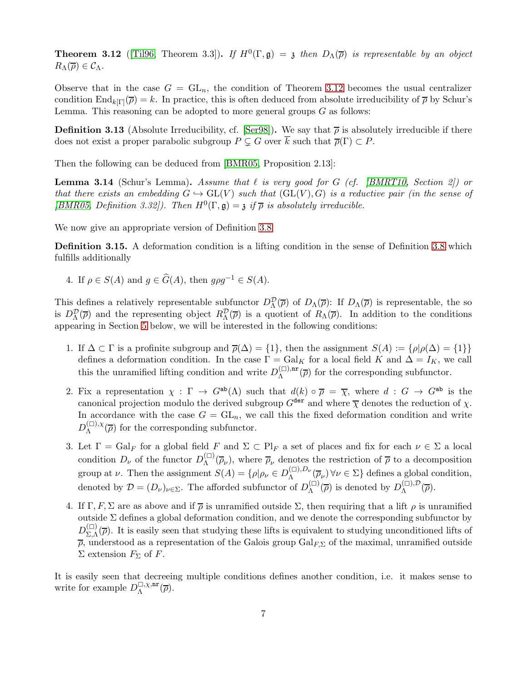<span id="page-6-0"></span>**Theorem 3.12** ([\[Til96,](#page-46-2) Theorem 3.3]). If  $H^0(\Gamma, \mathfrak{g}) = \mathfrak{z}$  then  $D_{\Lambda}(\overline{\rho})$  is representable by an object  $R_{\Lambda}(\overline{\rho}) \in \mathcal{C}_{\Lambda}.$ 

Observe that in the case  $G = GL_n$ , the condition of Theorem [3.12](#page-6-0) becomes the usual centralizer condition  $\text{End}_{k[\Gamma]}(\overline{\rho}) = k$ . In practice, this is often deduced from absolute irreducibility of  $\overline{\rho}$  by Schur's Lemma. This reasoning can be adopted to more general groups  $G$  as follows:

<span id="page-6-1"></span>**Definition 3.13** (Absolute Irreducibility, cf. [\[Ser98\]](#page-45-6)). We say that  $\bar{\rho}$  is absolutely irreducible if there does not exist a proper parabolic subgroup  $P \subsetneq G$  over  $\overline{k}$  such that  $\overline{\rho}(\Gamma) \subset P$ .

Then the following can be deduced from [\[BMR05,](#page-43-8) Proposition 2.13]:

**Lemma 3.14** (Schur's Lemma). Assume that  $\ell$  is very good for G (cf. [\[BMRT10,](#page-43-9) Section 2]) or that there exists an embedding  $G \hookrightarrow GL(V)$  such that  $(GL(V), G)$  is a reductive pair (in the sense of [\[BMR05,](#page-43-8) Definition 3.32]). Then  $H^0(\Gamma, \mathfrak{g}) = \mathfrak{z}$  if  $\overline{\rho}$  is absolutely irreducible.

We now give an appropriate version of Definition [3.8:](#page-4-1)

<span id="page-6-2"></span>Definition 3.15. A deformation condition is a lifting condition in the sense of Definition [3.8](#page-4-1) which fulfills additionally

4. If  $\rho \in S(A)$  and  $g \in \widehat{G}(A)$ , then  $g \rho g^{-1} \in S(A)$ .

This defines a relatively representable subfunctor  $D_{\Lambda}^{\mathcal{D}}(\overline{\rho})$  of  $D_{\Lambda}(\overline{\rho})$ : If  $D_{\Lambda}(\overline{\rho})$  is representable, the so is  $D_{\Lambda}^{\mathcal{D}}(\overline{\rho})$  and the representing object  $R_{\Lambda}^{\mathcal{D}}(\overline{\rho})$  is a quotient of  $R_{\Lambda}(\overline{\rho})$ . In addition to the conditions appearing in Section [5](#page-15-0) below, we will be interested in the following conditions:

- 1. If  $\Delta \subset \Gamma$  is a profinite subgroup and  $\overline{\rho}(\Delta) = \{1\}$ , then the assignment  $S(A) := \{\rho | \rho(\Delta) = \{1\}\}\$ defines a deformation condition. In the case  $\Gamma = \text{Gal}_K$  for a local field K and  $\Delta = I_K$ , we call this the unramified lifting condition and write  $D_{\Lambda}^{(\Box),\text{nr}}$  $\Lambda^{(m)}(\overline{\rho})$  for the corresponding subfunctor.
- 2. Fix a representation  $\chi : \Gamma \to G^{ab}(\Lambda)$  such that  $d(k) \circ \overline{\rho} = \overline{\chi}$ , where  $d : G \to G^{ab}$  is the canonical projection modulo the derived subgroup  $G^{\text{der}}$  and where  $\overline{\chi}$  denotes the reduction of  $\chi$ . In accordance with the case  $G = GL_n$ , we call this the fixed deformation condition and write  $D_{\Lambda}^{(\square),\chi}$  $\Lambda^{(1),\chi}(\overline{\rho})$  for the corresponding subfunctor.
- 3. Let  $\Gamma = \text{Gal}_F$  for a global field F and  $\Sigma \subset \text{Pl}_F$  a set of places and fix for each  $\nu \in \Sigma$  a local condition  $D_{\nu}$  of the functor  $D_{\Lambda}^{(\square)}(\overline{\rho}_{\nu})$ , where  $\overline{\rho}_{\nu}$  denotes the restriction of  $\overline{\rho}$  to a decomposition Λ group at  $\nu$ . Then the assignment  $S(A) = \{ \rho | \rho_{\nu} \in D_{\Lambda}^{(\square),D_{\nu}} \}$  $\Lambda^{\scriptscriptstyle{(L)},\scriptscriptstyle{\nu\nu}}(\overline{\rho}_{\nu}) \,\forall \nu \in \Sigma$  defines a global condition, denoted by  $\mathcal{D} = (D_{\nu})_{\nu \in \Sigma}$ . The afforded subfunctor of  $D_{\Lambda}^{(\square)}$  $\Lambda_{\Lambda}^{(\square)}(\overline{\rho})$  is denoted by  $D_{\Lambda}^{(\square),\mathcal{D}}(\overline{\rho})$ .
- 4. If  $\Gamma, F, \Sigma$  are as above and if  $\overline{\rho}$  is unramified outside  $\Sigma$ , then requiring that a lift  $\rho$  is unramified outside Σ defines a global deformation condition, and we denote the corresponding subfunctor by  $D_{\Sigma,\Lambda}^{(\square)}$  $\sum_{n=1}^{\infty}$  ( $\overline{\rho}$ ). It is easily seen that studying these lifts is equivalent to studying unconditioned lifts of  $\overline{\rho}$ , understood as a representation of the Galois group Gal<sub>F,</sub> $\Sigma$  of the maximal, unramified outside  $\Sigma$  extension  $F_{\Sigma}$  of F.

It is easily seen that decreeing multiple conditions defines another condition, i.e. it makes sense to write for example  $D_{\Lambda}^{\square,\chi,\text{nr}}$  $\mathcal{L}^{1,\chi,\mathrm{nr}}_{\Lambda}(\overline{\rho}).$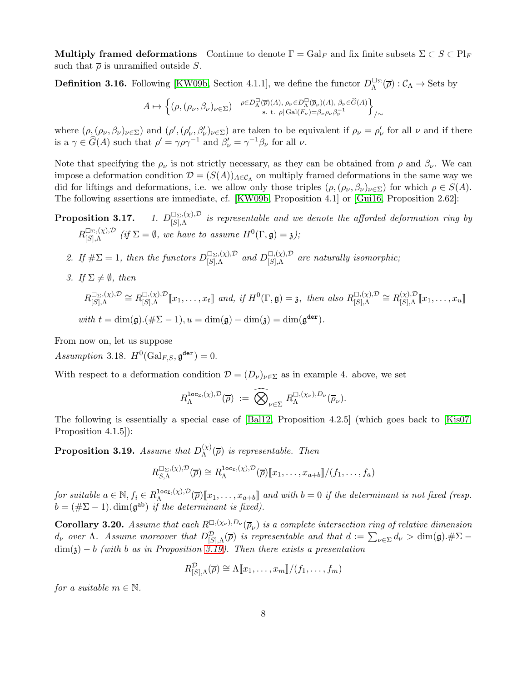Multiply framed deformations Continue to denote  $\Gamma = \text{Gal}_F$  and fix finite subsets  $\Sigma \subset S \subset \text{Pl}_F$ such that  $\bar{\rho}$  is unramified outside S.

<span id="page-7-2"></span>**Definition 3.16.** Following [\[KW09b,](#page-44-5) Section 4.1.1], we define the functor  $D_{\Lambda}^{\Box \Sigma}(\overline{\rho}) : C_{\Lambda} \to$  Sets by

$$
A \mapsto \Big\{ \big(\rho, (\rho_\nu, \beta_\nu)_{\nu \in \Sigma} \big) ~\Big\vert~ \substack{\rho \in D^\square_\Lambda(\overline{\rho})(A),~ \rho_\nu \in D^\square_\Lambda(\overline{\rho}_\nu)(A),~ \beta_\nu \in \widehat{G}(A) \\ {\rm s.~t.~}\rho \vert \operatorname{Gal}(F_\nu) = \beta_\nu \rho_\nu \beta_\nu^{-1}} \Big\}_{/\sim}
$$

where  $(\rho_{\lambda}(\rho_{\nu},\beta_{\nu})_{\nu\in\Sigma})$  and  $(\rho',(\rho'_{\nu},\beta'_{\nu})_{\nu\in\Sigma})$  are taken to be equivalent if  $\rho_{\nu}=\rho'_{\nu}$  for all  $\nu$  and if there is a  $\gamma \in \hat{G}(A)$  such that  $\rho' = \gamma \rho \gamma^{-1}$  and  $\beta'_{\nu} = \gamma^{-1} \beta_{\nu}$  for all  $\nu$ .

Note that specifying the  $\rho_{\nu}$  is not strictly necessary, as they can be obtained from  $\rho$  and  $\beta_{\nu}$ . We can impose a deformation condition  $\mathcal{D} = (S(A))_{A \in \mathcal{C}_{\Lambda}}$  on multiply framed deformations in the same way we did for liftings and deformations, i.e. we allow only those triples  $(\rho, (\rho_{\nu}, \beta_{\nu})_{\nu \in \Sigma})$  for which  $\rho \in S(A)$ . The following assertions are immediate, cf. [\[KW09b,](#page-44-5) Proposition 4.1] or [\[Gui16,](#page-44-3) Proposition 2.62]:

**Proposition 3.17.** 1.  $D_{[S],\Lambda}^{\Box_{\Sigma},(\chi),\mathcal{D}}$  is representable and we denote the afforded deformation ring by  $R_{[S],\Lambda}^{\Box_{\Sigma},(\chi),\mathcal{D}}$  (if  $\Sigma = \emptyset$ , we have to assume  $H^0(\Gamma, \mathfrak{g}) = \mathfrak{z}$ );

- 2. If  $\#\Sigma = 1$ , then the functors  $D_{[S],\Lambda}^{(\Sigma_\Sigma,(\chi),\mathcal{D})}$  and  $D_{[S],\Lambda}^{(\Sigma,(\chi),\mathcal{D})}$  are naturally isomorphic;
- 3. If  $\Sigma \neq \emptyset$ , then

$$
R_{[S],\Lambda}^{\square_{\Sigma},(\chi),\mathcal{D}} \cong R_{[S],\Lambda}^{\square,(\chi),\mathcal{D}}[\![x_1,\ldots,x_t]\!]\text{ and, if }H^0(\Gamma,\mathfrak{g})=\mathfrak{z},\text{ then also }R_{[S],\Lambda}^{\square,(\chi),\mathcal{D}} \cong R_{[S],\Lambda}^{(\chi),\mathcal{D}}[\![x_1,\ldots,x_u]\!]
$$
  
with  $t = \dim(\mathfrak{g}).(\#\Sigma - 1), u = \dim(\mathfrak{g}) - \dim(\mathfrak{z}) = \dim(\mathfrak{g}^{\text{der}}).$ 

From now on, let us suppose

<span id="page-7-1"></span>Assumption 3.18.  $H^0(\text{Gal}_{F,S}, \mathfrak{g}^{\text{der}}) = 0.$ 

With respect to a deformation condition  $\mathcal{D} = (D_{\nu})_{\nu \in \Sigma}$  as in example 4. above, we set

$$
R_\Lambda^{\text{loc}_\Sigma,(\chi),\mathcal{D}}(\overline{\rho})\;:=\;\widehat{\bigotimes}_{\nu\in\Sigma}\,R_\Lambda^{\square,(\chi_\nu),D_\nu}(\overline{\rho}_\nu).
$$

The following is essentially a special case of [\[Bal12,](#page-43-5) Proposition 4.2.5] (which goes back to [\[Kis07,](#page-45-7) Proposition 4.1.5]):

<span id="page-7-0"></span>**Proposition 3.19.** Assume that  $D_{\Lambda}^{(\chi)}$  $\Lambda^{(\chi)}(\overline{\rho})$  is representable. Then

$$
R_{S,\Lambda}^{\square_{\Sigma},(\chi),\mathcal{D}}(\overline{\rho})\cong R_{\Lambda}^{\text{loc}_{\Sigma},(\chi),\mathcal{D}}(\overline{\rho})[\![x_1,\ldots,x_{a+b}]\!]/(f_1,\ldots,f_a)
$$

for suitable  $a \in \mathbb{N}$ ,  $f_i \in R_\Lambda^{\text{loc},(\chi),\mathcal{D}}(\overline{\rho})[\![x_1,\ldots,x_{a+b}]\!]$  and with  $b=0$  if the determinant is not fixed (resp.  $b = (\# \Sigma - 1)$ . dim( $\mathfrak{g}^{\mathsf{ab}}$ ) if the determinant is fixed).

<span id="page-7-3"></span>**Corollary 3.20.** Assume that each  $R^{ \Box, (\chi_{\nu}),D_{\nu}} (\overline{\rho}_{\nu})$  is a complete intersection ring of relative dimension  $d_{\nu}$  over  $\Lambda$ . Assume moreover that  $D^{\mathcal{D}}_{[S],\Lambda}(\overline{\rho})$  is representable and that  $d := \sum_{\nu \in \Sigma} d_{\nu} > \dim(\mathfrak{g}) \cdot \#\Sigma$  $\dim(\mathfrak{z}) - b$  (with b as in Proposition [3.19\)](#page-7-0). Then there exists a presentation

$$
R^{\mathcal{D}}_{[S],\Lambda}(\overline{\rho}) \cong \Lambda[\hspace{-1.5pt}[ x_1,\ldots,x_m]\hspace{-1.5pt}]/(f_1,\ldots,f_m)
$$

for a suitable  $m \in \mathbb{N}$ .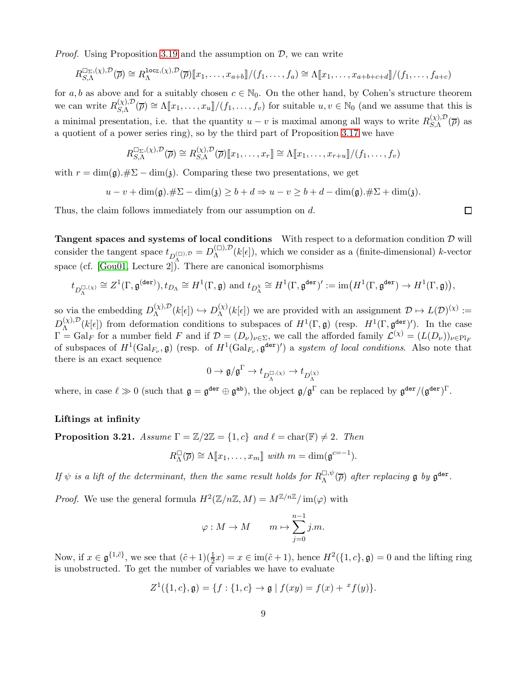*Proof.* Using Proposition [3.19](#page-7-0) and the assumption on  $\mathcal{D}$ , we can write

$$
R_{S,\Lambda}^{\square_{\Sigma},(\chi),\mathcal{D}}(\overline{\rho})\cong R_{\Lambda}^{\text{loc}_{\Sigma},(\chi),\mathcal{D}}(\overline{\rho})[x_1,\ldots,x_{a+b}]/(f_1,\ldots,f_a)\cong \Lambda[[x_1,\ldots,x_{a+b+c+d}]/(f_1,\ldots,f_{a+c})
$$

for a, b as above and for a suitably chosen  $c \in \mathbb{N}_0$ . On the other hand, by Cohen's structure theorem we can write  $R_{S,\Lambda}^{(\chi),\mathcal{D}}(\overline{\rho}) \cong \Lambda[\![x_1,\ldots,x_u]\!]/(f_1,\ldots,f_v)$  for suitable  $u, v \in \mathbb{N}_0$  (and we assume that this is a minimal presentation, i.e. that the quantity  $u - v$  is maximal among all ways to write  $R_{S,\Lambda}^{(\chi),\mathcal{D}}(\overline{\rho})$  as a quotient of a power series ring), so by the third part of Proposition 3.17 we have

$$
R_{S,\Lambda}^{\square_{\Sigma},(\chi),\mathcal{D}}(\overline{\rho})\cong R_{S,\Lambda}^{(\chi),\mathcal{D}}(\overline{\rho})[\![x_1,\ldots,x_r]\!]\cong \Lambda[\![x_1,\ldots,x_{r+u}]\!]/(f_1,\ldots,f_v)
$$

with  $r = \dim(\mathfrak{g}). \# \Sigma - \dim(\mathfrak{z}).$  Comparing these two presentations, we get

$$
u - v + \dim(\mathfrak{g}).\#\Sigma - \dim(\mathfrak{z}) \ge b + d \Rightarrow u - v \ge b + d - \dim(\mathfrak{g}).\#\Sigma + \dim(\mathfrak{z}).
$$

Thus, the claim follows immediately from our assumption on d.

Tangent spaces and systems of local conditions With respect to a deformation condition  $D$  will consider the tangent space  $t_{D_{\Lambda}^{(\Box)},\mathcal{D}} = D_{\Lambda}^{(\Box),\mathcal{D}}(k[\epsilon])$ , which we consider as a (finite-dimensional) k-vector space (cf. [\[Gou01,](#page-44-6) Lecture 2]). There are canonical isomorphisms

$$
t_{D_{\Lambda}^{\square,(\chi)}} \cong Z^1(\Gamma, \mathfrak{g}^{(\tt{der})}), t_{D_{\Lambda}} \cong H^1(\Gamma, \mathfrak{g}) \text{ and } t_{D_{\Lambda}^{\chi}} \cong H^1(\Gamma, \mathfrak{g}^{\tt{der}})' := \text{im}(H^1(\Gamma, \mathfrak{g}^{\tt{der}}) \to H^1(\Gamma, \mathfrak{g})),
$$

so via the embedding  $D_{\Lambda}^{(\chi),\mathcal{D}}(k[\epsilon]) \hookrightarrow D_{\Lambda}^{(\chi)}$  $\Lambda^{(\chi)}(k[\epsilon])$  we are provided with an assignment  $\mathcal{D} \mapsto L(\mathcal{D})^{(\chi)} :=$  $D_{\Lambda}^{(\chi),\mathcal{D}}(k[\epsilon])$  from deformation conditions to subspaces of  $H^1(\Gamma,\mathfrak{g})$  (resp.  $H^1(\Gamma,\mathfrak{g}^{der})'$ ). In the case  $\Gamma = \text{Gal}_F$  for a number field F and if  $\mathcal{D} = (D_\nu)_{\nu \in \Sigma}$ , we call the afforded family  $\mathcal{L}^{(\chi)} = (L(D_\nu))_{\nu \in \text{Pl}_F}$ of subspaces of  $H^1(\text{Gal}_{F_{\nu}}, \mathfrak{g})$  (resp. of  $H^1(\text{Gal}_{F_{\nu}}, \mathfrak{g}^{\text{der}})'$ ) a system of local conditions. Also note that there is an exact sequence

$$
0\to \mathfrak{g}/\mathfrak{g}^\Gamma\to t_{D_\Lambda^{\square,(\chi)}}\to t_{D_\Lambda^{(\chi)}}
$$

where, in case  $\ell \gg 0$  (such that  $\mathfrak{g} = \mathfrak{g}^{\text{der}} \oplus \mathfrak{g}^{\text{ab}}$ ), the object  $\mathfrak{g}/\mathfrak{g}^{\Gamma}$  can be replaced by  $\mathfrak{g}^{\text{der}}/(\mathfrak{g}^{\text{der}})^{\Gamma}$ .

#### Liftings at infinity

<span id="page-8-0"></span>**Proposition 3.21.** Assume  $\Gamma = \mathbb{Z}/2\mathbb{Z} = \{1, c\}$  and  $\ell = \text{char}(\mathbb{F}) \neq 2$ . Then

$$
R_{\Lambda}^{\square}(\overline{\rho}) \cong \Lambda[\![x_1,\ldots,x_m]\!]
$$
 with  $m = \dim(\mathfrak{g}^{c=-1}).$ 

If  $\psi$  is a lift of the determinant, then the same result holds for  $R_{\Lambda}^{\Box,\psi}$  $\Box, \psi$  $(\overline{\rho})$  after replacing **g** by  $\mathfrak{g}^{\text{der}}$ .

*Proof.* We use the general formula  $H^2(\mathbb{Z}/n\mathbb{Z},M) = M^{\mathbb{Z}/n\mathbb{Z}}/\text{im}(\varphi)$  with

$$
\varphi: M \to M \qquad m \mapsto \sum_{j=0}^{n-1} j.m.
$$

Now, if  $x \in \mathfrak{g}^{\{1,\tilde{c}\}}$ , we see that  $(\tilde{c}+1)(\frac{1}{2}x) = x \in \text{im}(\tilde{c}+1)$ , hence  $H^2(\{1,c\}, \mathfrak{g}) = 0$  and the lifting ring is unobstructed. To get the number of variables we have to evaluate

$$
Z^{1}(\{1, c\}, \mathfrak{g}) = \{f : \{1, c\} \to \mathfrak{g} \mid f(xy) = f(x) + {}^{x}f(y)\}.
$$

 $\Box$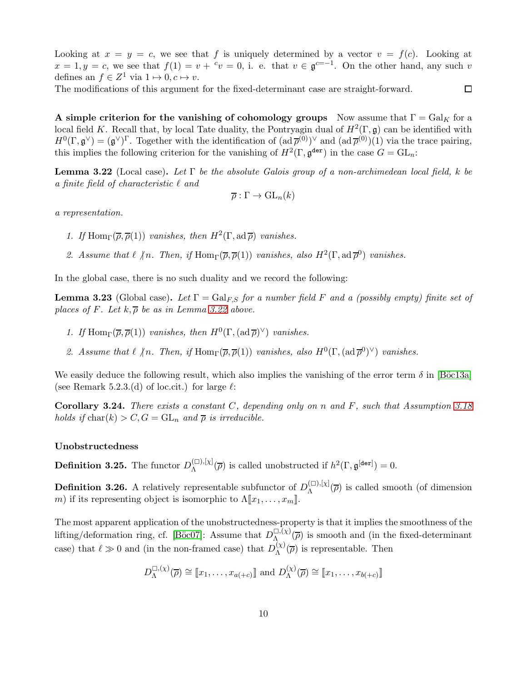Looking at  $x = y = c$ , we see that f is uniquely determined by a vector  $v = f(c)$ . Looking at  $x = 1, y = c$ , we see that  $f(1) = v + c$  or  $v = 0$ , i. e. that  $v \in \mathfrak{g}^{c=-1}$ . On the other hand, any such v defines an  $f \in Z^1$  via  $1 \mapsto 0, c \mapsto v$ .

 $\Box$ 

The modifications of this argument for the fixed-determinant case are straight-forward.

A simple criterion for the vanishing of cohomology groups Now assume that  $\Gamma = \text{Gal}_K$  for a local field K. Recall that, by local Tate duality, the Pontryagin dual of  $H^2(\Gamma, \mathfrak{g})$  can be identified with  $H^0(\Gamma, \mathfrak{g}^\vee) = (\mathfrak{g}^\vee)^\Gamma$ . Together with the identification of  $(\text{ad}\,\overline{\rho}^{(0)})^\vee$  and  $(\text{ad}\,\overline{\rho}^{(0)})(1)$  via the trace pairing, this implies the following criterion for the vanishing of  $H^2(\Gamma, \mathfrak{g}^{\text{der}})$  in the case  $G = GL_n$ :

<span id="page-9-0"></span>**Lemma 3.22** (Local case). Let  $\Gamma$  be the absolute Galois group of a non-archimedean local field, k be a finite field of characteristic  $\ell$  and

$$
\overline{\rho}: \Gamma \to \mathrm{GL}_n(k)
$$

a representation.

- 1. If  $\text{Hom}_{\Gamma}(\overline{\rho}, \overline{\rho}(1))$  vanishes, then  $H^2(\Gamma, \text{ad}\,\overline{\rho})$  vanishes.
- 2. Assume that  $\ell \nmid n$ . Then, if  $\text{Hom}_{\Gamma}(\overline{\rho}, \overline{\rho}(1))$  vanishes, also  $H^2(\Gamma, \text{ad } \overline{\rho}^0)$  vanishes.

In the global case, there is no such duality and we record the following:

**Lemma 3.23** (Global case). Let  $\Gamma = \text{Gal}_{F,S}$  for a number field F and a (possibly empty) finite set of places of F. Let  $k, \overline{\rho}$  be as in Lemma [3.22](#page-9-0) above.

- 1. If  $\text{Hom}_{\Gamma}(\overline{\rho}, \overline{\rho}(1))$  vanishes, then  $H^0(\Gamma, (\text{ad}\,\overline{\rho})^{\vee})$  vanishes.
- 2. Assume that  $\ell \nmid n$ . Then, if  $\text{Hom}_{\Gamma}(\overline{\rho}, \overline{\rho}(1))$  vanishes, also  $H^0(\Gamma, (\text{ad } \overline{\rho}^0)^{\vee})$  vanishes.

We easily deduce the following result, which also implies the vanishing of the error term  $\delta$  in [Böc13a] (see Remark 5.2.3.(d) of loc.cit.) for large  $\ell$ :

<span id="page-9-2"></span>**Corollary 3.24.** There exists a constant C, depending only on n and F, such that Assumption [3.18](#page-7-1) holds if  $char(k) > C$ ,  $G = GL_n$  and  $\overline{\rho}$  is irreducible.

#### Unobstructedness

<span id="page-9-1"></span>**Definition 3.25.** The functor  $D_{\Lambda}^{(\square),[\chi]}$  $\Lambda^{(\square),[\chi]}(\overline{\rho})$  is called unobstructed if  $h^2(\Gamma, \mathfrak{g}^{[\tt{der}]}) = 0$ .

**Definition 3.26.** A relatively representable subfunctor of  $D_{\Lambda}^{(\square),[\chi]}$  $\Lambda^{(\square),\{X\}}(\overline{\rho})$  is called smooth (of dimension m) if its representing object is isomorphic to  $\Lambda[x_1, \ldots, x_m]$ .

The most apparent application of the unobstructedness-property is that it implies the smoothness of the lifting/deformation ring, cf. [Böc07]: Assume that  $D_{\Lambda}^{\square,\overline{(\chi)}}$  $\Lambda^{(1)}_{\Lambda}(\overline{\rho})$  is smooth and (in the fixed-determinant case) that  $\ell \gg 0$  and (in the non-framed case) that  $D_{\Lambda}^{(\chi)}$  $\Lambda^{(\chi)}(\overline{\rho})$  is representable. Then

$$
D_{\Lambda}^{\square,(\chi)}(\overline{\rho}) \cong [x_1,\ldots,x_{a(+c)}]
$$
 and  $D_{\Lambda}^{(\chi)}(\overline{\rho}) \cong [x_1,\ldots,x_{b(+c)}]$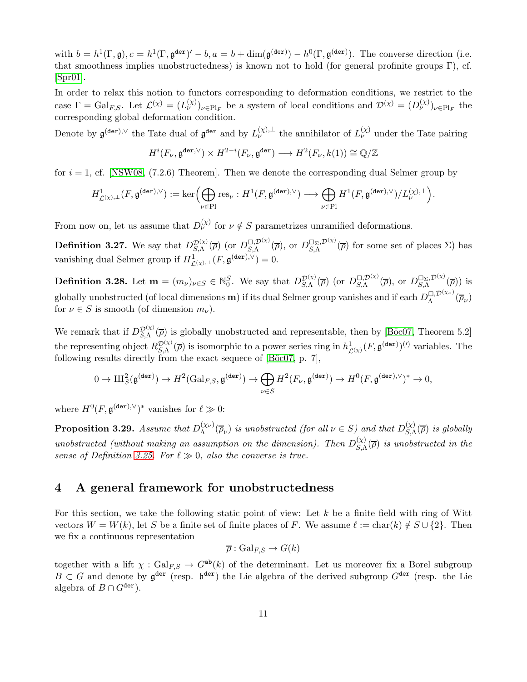with  $b = h^1(\Gamma, \mathfrak{g}), c = h^1(\Gamma, \mathfrak{g}^{\text{der}})' - b, a = b + \dim(\mathfrak{g}^{\text{(der)}}) - h^0(\Gamma, \mathfrak{g}^{\text{(der)}}).$  The converse direction (i.e. that smoothness implies unobstructedness) is known not to hold (for general profinite groups Γ), cf. [\[Spr01\]](#page-45-8).

In order to relax this notion to functors corresponding to deformation conditions, we restrict to the case  $\Gamma = \text{Gal}_{F,S}$ . Let  $\mathcal{L}^{(\chi)} = (L^{(\chi)}_{\nu})_{\nu \in \text{Pl}_F}$  be a system of local conditions and  $\mathcal{D}^{(\chi)} = (D^{(\chi)}_{\nu})_{\nu \in \text{Pl}_F}$  the corresponding global deformation condition.

Denote by  $\mathfrak{g}^{(\tt{der}),\vee}$  the Tate dual of  $\mathfrak{g}^{\tt{der}}$  and by  $L_{\nu}^{(\chi),\perp}$  the annihilator of  $L_{\nu}^{(\chi)}$  under the Tate pairing

$$
H^i(F_{\nu}, \mathfrak{g}^{\text{der}, \vee}) \times H^{2-i}(F_{\nu}, \mathfrak{g}^{\text{der}}) \longrightarrow H^2(F_{\nu}, k(1)) \cong \mathbb{Q}/\mathbb{Z}
$$

for  $i = 1$ , cf. [\[NSW08,](#page-45-9) (7.2.6) Theorem]. Then we denote the corresponding dual Selmer group by

$$
H^1_{\mathcal L^{(\chi), \perp}}(F, \mathfrak g^{(\tt{der}), \vee}):=\ker \Bigl(\bigoplus_{\nu \in \mathrm{Pl}} \mathrm{res}_\nu : H^1(F, \mathfrak g^{(\tt{der}), \vee}) \longrightarrow \bigoplus_{\nu \in \mathrm{Pl}} H^1(F, \mathfrak g^{(\tt{der}), \vee})/L^{(\chi), \perp}_\nu \Bigr).
$$

From now on, let us assume that  $D_{\nu}^{(\chi)}$  for  $\nu \notin S$  parametrizes unramified deformations.

<span id="page-10-0"></span>**Definition 3.27.** We say that  $D_{S,\Lambda}^{\mathcal{D}(\chi)}(\overline{\rho})$  (or  $D_{S,\Lambda}^{\Box,\mathcal{D}(\chi)}(\overline{\rho})$ , or  $D_{S,\Lambda}^{\Box\Sigma,\mathcal{D}(\chi)}(\overline{\rho})$  for some set of places  $\Sigma$ ) has vanishing dual Selmer group if  $H^1_{\mathcal{L}(\chi),\perp}(F,\mathfrak{g}^{(\tt{der}),\vee})=0.$ 

**Definition 3.28.** Let  $\mathbf{m} = (m_{\nu})_{\nu \in S} \in \mathbb{N}_{0}^{S}$ . We say that  $D_{S,\Lambda}^{\mathcal{D}(\chi)}(\overline{\rho})$  (or  $D_{S,\Lambda}^{\square, \mathcal{D}(\chi)}(\overline{\rho})$ , or  $D_{S,\Lambda}^{\square_{\Sigma}, \mathcal{D}(\chi)}(\overline{\rho})$ ) is globally unobstructed (of local dimensions **m**) if its dual Selmer group vanishes and if each  $D_{\Lambda}^{\Box, \mathcal{D}(\chi_{\nu})}(\overline{\rho}_{\nu})$ for  $\nu \in S$  is smooth (of dimension  $m_{\nu}$ ).

We remark that if  $D_{S,\Lambda}^{\mathcal{D}(\chi)}(\overline{\rho})$  is globally unobstructed and representable, then by [Böc07, Theorem 5.2] the representing object  $R_{\mathcal{S},\Lambda}^{\mathcal{D}(\chi)}(\overline{\rho})$  is isomorphic to a power series ring in  $h^1_{\mathcal{L}(\chi)}(F, \mathfrak{g}^{(\tt{der})})^{(\prime)}$  variables. The following results directly from the exact sequece of  $[\text{Böc07}, p. 7]$ ,

$$
0\rightarrow \mathrm{III}^2_S(\mathfrak{g}^{(\tt{der})})\rightarrow H^2(\mathrm{Gal}_{F,S},\mathfrak{g}^{(\tt{der})})\rightarrow \bigoplus_{\nu\in S}H^2(F_\nu,\mathfrak{g}^{(\tt{der})})\rightarrow H^0(F,\mathfrak{g}^{(\tt{der}),\vee})^*\rightarrow 0,
$$

where  $H^0(F, \mathfrak{g}^{(\tt{der}), \vee})^*$  vanishes for  $\ell \gg 0$ :

**Proposition 3.29.** Assume that  $D_{\Lambda}^{(\chi_{\nu})}$  $\chi_{\Lambda}^{(\chi_{\nu})}(\overline{\rho}_{\nu})$  is unobstructed (for all  $\nu \in S$ ) and that  $D_{S,\Lambda}^{(\chi)}$  $\int_{S,\Lambda}^{(\chi)}(\overline{\rho})$  is globally unobstructed (without making an assumption on the dimension). Then  $D_{S}^{(\chi)}$  $\mathcal{L}_{S,\Lambda}^{(\chi)}(\overline{\rho})$  is unobstructed in the sense of Definition [3.25.](#page-9-1) For  $\ell \gg 0$ , also the converse is true.

### <span id="page-10-1"></span>4 A general framework for unobstructedness

For this section, we take the following static point of view: Let  $k$  be a finite field with ring of Witt vectors  $W = W(k)$ , let S be a finite set of finite places of F. We assume  $\ell := \text{char}(k) \notin S \cup \{2\}$ . Then we fix a continuous representation

$$
\overline{\rho}: \mathrm{Gal}_{F,S} \to G(k)
$$

together with a lift  $\chi : \text{Gal}_{FS} \to G^{ab}(k)$  of the determinant. Let us moreover fix a Borel subgroup  $B \subset G$  and denote by  $\mathfrak{g}^{\text{der}}$  (resp.  $\mathfrak{b}^{\text{der}}$ ) the Lie algebra of the derived subgroup  $G^{\text{der}}$  (resp. the Lie algebra of  $B \cap G^{\text{der}}$ ).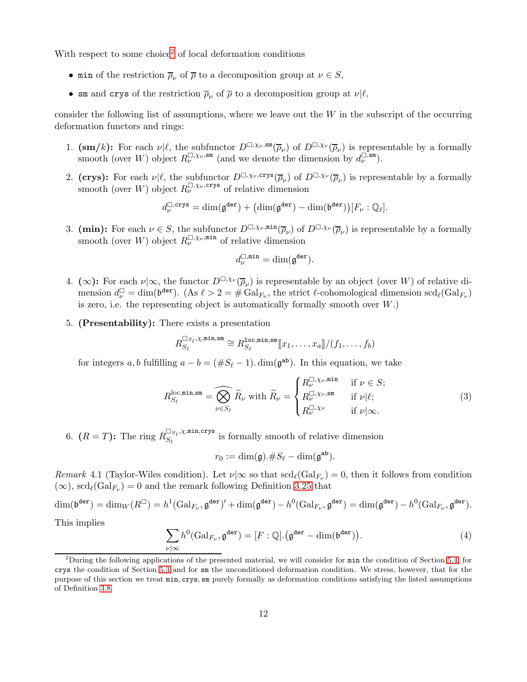With respect to some choice<sup>[2](#page-11-0)</sup> of local deformation conditions

- min of the restriction  $\overline{\rho}_{\nu}$  of  $\overline{\rho}$  to a decomposition group at  $\nu \in S$ ,
- sm and crys of the restriction  $\overline{\rho}_{\nu}$  of  $\overline{\rho}$  to a decomposition group at  $\nu|\ell$ ,

consider the following list of assumptions, where we leave out the  $W$  in the subscript of the occurring deformation functors and rings:

- 1.  $(\mathbf{sm}/k)$ : For each  $\nu|\ell$ , the subfunctor  $D^{\square,\chi_{\nu},\mathsf{sm}}(\overline{\rho}_{\nu})$  of  $D^{\square,\chi_{\nu}}(\overline{\rho}_{\nu})$  is representable by a formally smooth (over W) object  $R_{\nu}^{\square,\chi_{\nu},\text{sm}}$  (and we denote the dimension by  $d_{\nu}^{\square,\text{sm}}$ ).
- 2. (crys): For each  $\nu|\ell$ , the subfunctor  $D^{\square,\chi_{\nu},\text{crys}}(\overline{\rho}_{\nu})$  of  $D^{\square,\chi_{\nu}}(\overline{\rho}_{\nu})$  is representable by a formally smooth (over W) object  $R_{\nu}^{\square,\chi_{\nu},\text{crys}}$  of relative dimension

$$
d_{\nu}^{\square,\operatorname{crys}}=\dim(\mathfrak{g}^{\tt{der}})+\big(\dim(\mathfrak{g}^{\tt{der}})-\dim(\mathfrak{b}^{\tt{der}})\big)[F_{\nu}:\mathbb{Q}_{\ell}].
$$

3. (min): For each  $\nu \in S$ , the subfunctor  $D^{\square,\chi_{\nu},\min}(\overline{\rho}_{\nu})$  of  $D^{\square,\chi_{\nu}}(\overline{\rho}_{\nu})$  is representable by a formally smooth (over W) object  $R_{\nu}^{\square,\chi_{\nu},\min}$  of relative dimension

$$
d_{\nu}^{\square,{\rm min}} = {\rm dim}(\mathfrak{g}^{\tt{der}}).
$$

- 4. (∞): For each  $\nu|\infty$ , the functor  $D^{\square,\chi_{\nu}}(\overline{\rho}_{\nu})$  is representable by an object (over W) of relative dimension  $d_{\nu}^{\square} = \dim(\mathfrak{b}^{\text{der}})$ . (As  $\ell > 2 = \#\operatorname{Gal}_{F_{\nu}}$ , the strict  $\ell$ -cohomological dimension  $\operatorname{scd}_{\ell}(\operatorname{Gal}_{F_{\nu}})$ is zero, i.e. the representing object is automatically formally smooth over  $W$ .)
- 5. (Presentability): There exists a presentation

$$
R_{S_{\ell}}^{\square_{S_{\ell}},\chi,\min,\mathrm{sm}}\cong R_{S_{\ell}}^{\texttt{loc},\min,\mathrm{sm}}[\![x_1,\ldots,x_a]\!]/(f_1,\ldots,f_b)
$$

for integers a, b fulfilling  $a - b = (\#S_\ell - 1)$ . dim( $\mathfrak{g}^{\mathsf{ab}}$ ). In this equation, we take

<span id="page-11-1"></span>
$$
R_{S_{\ell}}^{\text{loc,min,sm}} = \widehat{\bigotimes_{\nu \in S_{\ell}}} \widetilde{R}_{\nu} \text{ with } \widetilde{R}_{\nu} = \begin{cases} R_{\nu}^{\square, \chi_{\nu}, \text{min}} & \text{if } \nu \in S; \\ R_{\nu}^{\square, \chi_{\nu}, \text{sm}} & \text{if } \nu | \ell; \\ R_{\nu}^{\square, \chi_{\nu}} & \text{if } \nu | \infty. \end{cases}
$$
(3)

6.  $(R = T)$ : The ring  $R_{S_{\ell}}^{\square_{S_{\ell}}, \chi, \min, \text{crys}}$  $S_{\ell}^{S_{\ell},\text{min},\text{sup}}$  is formally smooth of relative dimension

$$
r_0 := \dim(\mathfrak{g}).\#S_{\ell} - \dim(\mathfrak{g}^{\mathtt{ab}}).
$$

Remark 4.1 (Taylor-Wiles condition). Let  $\nu | \infty$  so that  $\text{scd}_{\ell}(\text{Gal}_{F_{\nu}}) = 0$ , then it follows from condition  $(\infty)$ ,  $\mathrm{scd}_{\ell}(\mathrm{Gal}_{F_{\nu}}) = 0$  and the remark following Definition [3.25](#page-9-1) that

$$
\dim(\mathfrak{b}^{\mathbf{der}}) = \dim_W(R^{\square}) = h^1(\operatorname{Gal}_{F_{\nu}}, \mathfrak{g}^{\mathbf{der}})' + \dim(\mathfrak{g}^{\mathbf{der}}) - h^0(\operatorname{Gal}_{F_{\nu}}, \mathfrak{g}^{\mathbf{der}}) = \dim(\mathfrak{g}^{\mathbf{der}}) - h^0(\operatorname{Gal}_{F_{\nu}}, \mathfrak{g}^{\mathbf{der}}).
$$

This implies

<span id="page-11-2"></span>
$$
\sum_{\nu|\infty} h^0(\text{Gal}_{F_{\nu}}, \mathfrak{g}^{\text{der}}) = [F : \mathbb{Q}].(\mathfrak{g}^{\text{der}} - \dim(\mathfrak{b}^{\text{der}})).
$$
\n(4)

<span id="page-11-0"></span><sup>&</sup>lt;sup>2</sup>During the following applications of the presented material, we will consider for  $min$  the condition of Section [5.4,](#page-18-0) for crys the condition of Section [5.3](#page-17-0) and for sm the unconditioned deformation condition. We stress, however, that for the purpose of this section we treat min, crys, sm purely formally as deformation conditions satisfying the listed assumptions of Definition [3.8.](#page-4-1)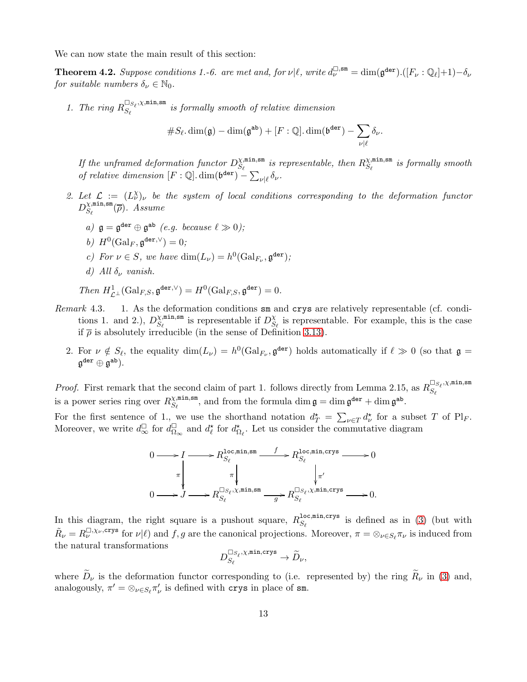We can now state the main result of this section:

<span id="page-12-0"></span>**Theorem 4.2.** Suppose conditions 1.-6. are met and, for  $\nu | \ell$ , write  $d_{\nu}^{\Box, \text{sm}} = \dim(\mathfrak{g}^{\text{der}}) \cdot ([F_{\nu} : \mathbb{Q}_{\ell}] + 1) - \delta_{\nu}$ for suitable numbers  $\delta_{\nu} \in \mathbb{N}_0$ .

1. The ring  $R_{S_{\ell}}^{\square_{S_{\ell}}, \chi, \min, \text{sm}}$  $S_{\ell}^{S_{\ell},\chi,\text{min},\text{sum}}$  is formally smooth of relative dimension

#S<sup>ℓ</sup> . dim(g) − dim(g ab) + [F : Q]. dim(b der) <sup>−</sup> X ν|ℓ δν.

If the unframed deformation functor  $D_{S_\ell}^{\chi,\min,\text{sm}}$  $\mathcal{X}^{\texttt{min},\texttt{sm}}_{S_\ell}$  is representable, then  $R_{S_\ell}^{\chi,\texttt{min},\texttt{sm}}$  $S_{\ell}^{(X,\texttt{min},\texttt{sm})}$  is formally smooth of relative dimension  $[F: \mathbb{Q}]$ . dim $(\mathfrak{b}^{\text{der}}) - \sum_{\nu|\ell} \delta_{\nu}$ .

- 2. Let  $\mathcal{L} := (L^{\chi}_{\nu})_{\nu}$  be the system of local conditions corresponding to the deformation functor  $D_{S_{e}}^{\chi,\mathtt{min},\mathtt{sm}}$  $S_{\ell}^{\text{min,sm}}(\overline{\rho})$ . Assume
	- a)  $\mathfrak{g} = \mathfrak{g}^{\texttt{der}} \oplus \mathfrak{g}^{\texttt{ab}}$  (e.g. because  $\ell \gg 0$ );
	- b)  $H^0(\text{Gal}_F, \mathfrak{g}^{\text{der}, \vee}) = 0;$
	- c) For  $\nu \in S$ , we have  $\dim(L_{\nu}) = h^0(\text{Gal}_{F_{\nu}}, \mathfrak{g}^{\text{der}})$ ;
	- d) All  $\delta_{\nu}$  vanish.

Then 
$$
H^1_{\mathcal{L}^\perp}(\text{Gal}_{F,S}, \mathfrak{g}^{\text{der}, \vee}) = H^0(\text{Gal}_{F,S}, \mathfrak{g}^{\text{der}}) = 0.
$$

- Remark 4.3. 1. As the deformation conditions sm and crys are relatively representable (cf. conditions 1. and 2.),  $D_{S_s}^{\chi,\min,\text{sm}}$  $\chi$ <sup>nin,sm</sup> is representable if  $D_S^{\chi}$  $\mathcal{L}_{S_{\ell}}$  is representable. For example, this is the case if  $\bar{\rho}$  is absolutely irreducible (in the sense of Definition [3.13\)](#page-6-1).
	- 2. For  $\nu \notin S_{\ell}$ , the equality  $\dim(L_{\nu}) = h^0(\text{Gal}_{F_{\nu}}, \mathfrak{g}^{\text{der}})$  holds automatically if  $\ell \gg 0$  (so that  $\mathfrak{g} =$  $\mathfrak{g}^{\tt{der}} \oplus \mathfrak{g}^{\tt{ab}}$ ).

*Proof.* First remark that the second claim of part 1. follows directly from Lemma 2.15, as  $R_{S_e}^{\Box_{S_\ell}, \chi, \min, \text{sm}}$  $S_{\ell}$ is a power series ring over  $R_{S_c}^{\chi,\min,\text{sm}}$  $\mathcal{L}_{S_{\ell}}^{\text{min,sm}},$  and from the formula dim  $\mathfrak{g} = \dim \mathfrak{g}^{\text{der}} + \dim \mathfrak{g}^{\text{ab}}.$ 

For the first sentence of 1, we use the shorthand notation  $d^* = \sum_{\nu \in T} d^*_{\nu}$  for a subset T of Pl<sub>F</sub>. Moreover, we write  $d_{\infty}^{\square}$  for  $d_{\Omega}^{\square}$  $\mathcal{L}_{\Omega_{\infty}}^{\square}$  and  $d_{\ell}^*$  for  $d_{\Omega_{\ell}}^*$ . Let us consider the commutative diagram



In this diagram, the right square is a pushout square,  $R_{S_{\ell}}^{\text{loc,min,crys}}$  $S_{\ell}$  is defined as in [\(3\)](#page-11-1) (but with  $\tilde{R}_{\nu} = R_{\nu}^{\square, \chi_{\nu}, \text{crys}}$  for  $\nu | \ell$  and  $f, g$  are the canonical projections. Moreover,  $\pi = \otimes_{\nu \in S_{\ell}} \pi_{\nu}$  is induced from the natural transformations

$$
D^{\square S_{\ell}, \chi, \text{min,crys}}_{S_{\ell}} \to \widetilde{D}_{\nu},
$$

where  $\tilde{D}_{\nu}$  is the deformation functor corresponding to (i.e. represented by) the ring  $\tilde{R}_{\nu}$  in [\(3\)](#page-11-1) and, analogously,  $\pi' = \otimes_{\nu \in S_{\ell}} \pi'_{\nu}$  is defined with crys in place of sm.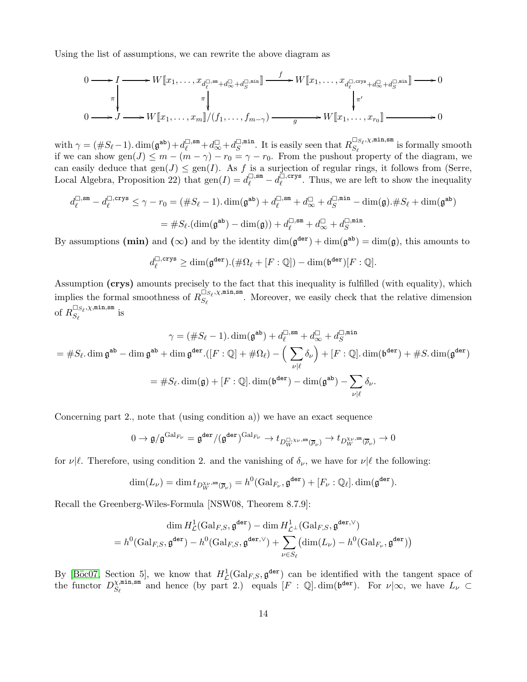Using the list of assumptions, we can rewrite the above diagram as

$$
0 \longrightarrow I \longrightarrow W[\![x_1, \ldots, x_{d_{\ell}^{\square}, \mathrm{sm}} + d_{\infty}^{\square}, d_{S}^{\square, \mathrm{min}}] \longrightarrow W[\![x_1, \ldots, x_{d_{\ell}^{\square}, \mathrm{crys}} + d_{\infty}^{\square, \mathrm{crys}} + d_{S}^{\square, \mathrm{min}}] \longrightarrow 0
$$
\n
$$
0 \longrightarrow J \longrightarrow W[\![x_1, \ldots, x_m]\!]/(f_1, \ldots, f_{m-\gamma}) \longrightarrow W[\![x_1, \ldots, x_{r_0}]\!]\longrightarrow 0
$$

with  $\gamma = (\#S_{\ell}-1) \cdot \dim(\mathfrak{g}^{\mathrm{ab}}) + d_{\ell}^{\square, \mathrm{sm}} + d_{\infty}^{\square} + d_{S}^{\square, \mathrm{min}}$  $S^{\Box, \texttt{min}}$ . It is easily seen that  $R_{S_{\ell}}^{\Box_{S_{\ell}}, \chi, \texttt{min}, \texttt{sm}}$  $S_{\ell}^{S_{\ell},\lambda,\text{min},\text{min}}$  is formally smooth if we can show gen( $J$ )  $\leq m - (m - \gamma) - r_0 = \gamma - r_0$ . From the pushout property of the diagram, we can easily deduce that  $gen(J) \leq gen(I)$ . As f is a surjection of regular rings, it follows from (Serre, Local Algebra, Proposition 22) that  $gen(I) = d_{\ell}^{\Box,sm} - d_{\ell}^{\Box,crys}$  $\ell$ <sup> $\ell$ </sup>. Thus, we are left to show the inequality

$$
d_{\ell}^{\square,\text{sm}} - d_{\ell}^{\square,\text{crys}} \leq \gamma - r_0 = (\#S_{\ell} - 1). \dim(\mathfrak{g}^{\text{ab}}) + d_{\ell}^{\square,\text{sm}} + d_{\infty}^{\square} + d_{S}^{\square,\text{min}} - \dim(\mathfrak{g}). \#S_{\ell} + \dim(\mathfrak{g}^{\text{ab}})
$$

$$
= \#S_{\ell}.(\dim(\mathfrak{g}^{\text{ab}}) - \dim(\mathfrak{g})) + d_{\ell}^{\square,\text{sm}} + d_{\infty}^{\square} + d_{S}^{\square,\text{min}}.
$$

By assumptions (min) and ( $\infty$ ) and by the identity  $\dim(\mathfrak{g}^{\text{der}}) + \dim(\mathfrak{g}^{\text{ab}}) = \dim(\mathfrak{g})$ , this amounts to

$$
d_{\ell}^{\square,\mathrm{crys}} \ge \dim(\mathfrak{g}^{\mathrm{der}}).(\#\Omega_{\ell}+[F:\mathbb{Q}])-\dim(\mathfrak{b}^{\mathrm{der}})[F:\mathbb{Q}].
$$

Assumption (crys) amounts precisely to the fact that this inequality is fulfilled (with equality), which implies the formal smoothness of  $R_{S_{\ell}}^{\square_{S_{\ell}}, \chi, \min, \text{sm}}$  $S_{\ell}^{S_{\ell},\ldots}$ . Moreover, we easily check that the relative dimension of  $R_{S_{\ell}}^{\square_{S_{\ell}}, \chi, \texttt{min}, \texttt{sm}}$  $S_{\ell}^{\text{S} \ell, \lambda, \text{min,sm}}$  is

$$
\gamma = (\#S_{\ell} - 1). \dim(\mathfrak{g}^{\mathbf{a}\mathbf{b}}) + d_{\ell}^{\square, \mathbf{sm}} + d_{\infty}^{\square} + d_{S}^{\square, \mathbf{min}}
$$
  
=  $\#S_{\ell}$ .  $\dim \mathfrak{g}^{\mathbf{a}\mathbf{b}} - \dim \mathfrak{g}^{\mathbf{a}\mathbf{b}} + \dim \mathfrak{g}^{\mathbf{der}} . ([F : \mathbb{Q}] + \# \Omega_{\ell}) - (\sum_{\nu | \ell} \delta_{\nu}) + [F : \mathbb{Q}]. \dim(\mathfrak{b}^{\mathbf{der}}) + \#S. \dim(\mathfrak{g}^{\mathbf{der}})$   
=  $\#S_{\ell}$ .  $\dim(\mathfrak{g}) + [F : \mathbb{Q}]. \dim(\mathfrak{b}^{\mathbf{der}}) - \dim(\mathfrak{g}^{\mathbf{a}\mathbf{b}}) - \sum_{\nu | \ell} \delta_{\nu}$ .

Concerning part 2., note that (using condition a)) we have an exact sequence

$$
0\rightarrow \mathfrak{g}/\mathfrak{g}^{\mathrm{Gal}_{F_{\nu}}}=\mathfrak{g}^{\mathrm{der}}/(\mathfrak{g}^{\mathrm{der}})^{\mathrm{Gal}_{F_{\nu}}}\rightarrow t_{D_W^{\square,\chi_{\nu},\mathrm{sm}}(\overline{\rho}_{\nu})}\rightarrow t_{D_W^{\chi_{\nu},\mathrm{sm}}(\overline{\rho}_{\nu})}\rightarrow 0
$$

for  $\nu|\ell$ . Therefore, using condition 2. and the vanishing of  $\delta_{\nu}$ , we have for  $\nu|\ell$  the following:

$$
\dim(L_{\nu}) = \dim t_{D^{\chi_{\nu},\mathrm{sm}}_W(\overline{\rho}_{\nu})} = h^0(\mathrm{Gal}_{F_{\nu}}, \mathfrak{g}^{\mathrm{der}}) + [F_{\nu} : \mathbb{Q}_{\ell}]. \dim(\mathfrak{g}^{\mathrm{der}}).
$$

Recall the Greenberg-Wiles-Formula [NSW08, Theorem 8.7.9]:

$$
\dim H^1_{\mathcal{L}}(\mathrm{Gal}_{F,S}, \mathfrak{g}^{\mathrm{der}}) - \dim H^1_{\mathcal{L}^\perp}(\mathrm{Gal}_{F,S}, \mathfrak{g}^{\mathrm{der}, \vee})
$$
\n
$$
= h^0(\mathrm{Gal}_{F,S}, \mathfrak{g}^{\mathrm{der}}) - h^0(\mathrm{Gal}_{F,S}, \mathfrak{g}^{\mathrm{der}, \vee}) + \sum_{\nu \in S_\ell} (\dim(L_\nu) - h^0(\mathrm{Gal}_{F_\nu}, \mathfrak{g}^{\mathrm{der}}))
$$

By [Böc07, Section 5], we know that  $H^1_{\mathcal{L}}(\text{Gal}_{F,S}, \mathfrak{g}^{\text{der}})$  can be identified with the tangent space of the functor  $D_{S_{\ell}}^{\chi,\min,\text{sm}}$  $\chi_{n}^{\min,\text{sm}}$  and hence (by part 2.) equals  $[F : \mathbb{Q}]$ . dim( $\mathfrak{b}^{\text{der}}$ ). For  $\nu|\infty$ , we have  $L_{\nu} \subset$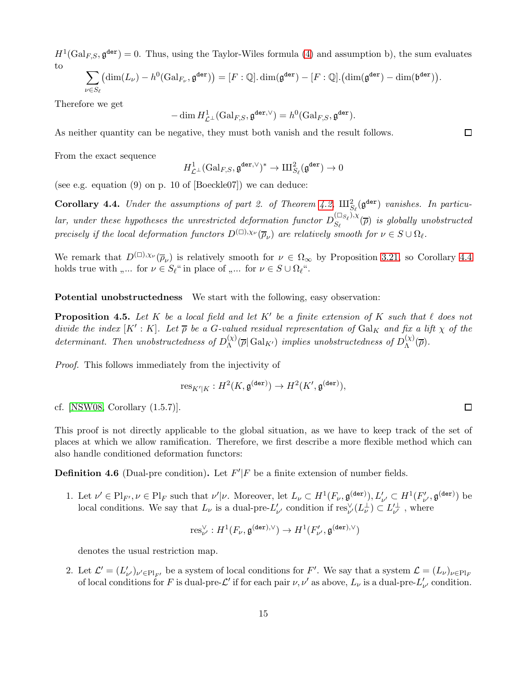$H^1(\text{Gal}_{F,S}, \mathfrak{g}^{\text{der}}) = 0$ . Thus, using the Taylor-Wiles formula [\(4\)](#page-11-2) and assumption b), the sum evaluates to

$$
\sum_{\nu \in S_{\ell}} \left( \dim(L_{\nu}) - h^0(\mathrm{Gal}_{F_{\nu}}, \mathfrak{g}^{\tt{der}}) \right) = [F : \mathbb{Q}]. \dim(\mathfrak{g}^{\tt{der}}) - [F : \mathbb{Q}]. \left( \dim(\mathfrak{g}^{\tt{der}}) - \dim(\mathfrak{b}^{\tt{der}}) \right).
$$

Therefore we get

$$
-\dim H^1_{\mathcal{L}^\perp}(\operatorname{Gal}_{F,S}, \mathfrak{g}^{\tt{der}, \vee}) = h^0(\operatorname{Gal}_{F,S}, \mathfrak{g}^{\tt{der}}).
$$

As neither quantity can be negative, they must both vanish and the result follows.

From the exact sequence

$$
H^1_{\mathcal{L}^\perp}(\operatorname{Gal}_{F,S}, \mathfrak{g}^{\tt{der}, \vee})^* \to \mathrm{III}_{S_\ell}^2(\mathfrak{g}^{\tt{der}}) \to 0
$$

(see e.g. equation (9) on p. 10 of [Boeckle07]) we can deduce:

<span id="page-14-0"></span>**Corollary 4.4.** Under the assumptions of part 2. of Theorem [4.2,](#page-12-0)  $\text{III}_{S_{\ell}}^2(\mathfrak{g}^{\text{der}})$  vanishes. In particular, under these hypotheses the unrestricted deformation functor  $D_{S_{\epsilon}}^{(\Box_{S_{\ell}}), \chi}$  $S_{\ell}^{(s)}(z)$  is globally unobstructed precisely if the local deformation functors  $D^{(\Box),\chi_{\nu}}(\overline{\rho}_{\nu})$  are relatively smooth for  $\nu \in S \cup \Omega_{\ell}$ .

We remark that  $D^{(\square),\chi_{\nu}}(\overline{\rho}_{\nu})$  is relatively smooth for  $\nu \in \Omega_{\infty}$  by Proposition [3.21,](#page-8-0) so Corollary [4.4](#page-14-0) holds true with ".... for  $\nu \in S_{\ell}$ " in place of ".... for  $\nu \in S \cup \Omega_{\ell}$ ".

Potential unobstructedness We start with the following, easy observation:

<span id="page-14-2"></span>**Proposition 4.5.** Let K be a local field and let K' be a finite extension of K such that  $\ell$  does not divide the index  $[K': K]$ . Let  $\overline{\rho}$  be a G-valued residual representation of  $Gal_K$  and fix a lift  $\chi$  of the determinant. Then unobstructedness of  $D_{\Lambda}^{(\chi)}$  $\chi_\Lambda^{(\chi)}(\overline{\rho}|\operatorname{Gal}_{K'})$  implies unobstructedness of  $D_\Lambda^{(\chi)}$  $\Lambda^{(\chi)}(\overline{\rho}).$ 

Proof. This follows immediately from the injectivity of

$$
\operatorname{res}_{K'|K}:H^2(K,\mathfrak{g}^{(\tt{der})})\to H^2(K',\mathfrak{g}^{(\tt{der})}),
$$

cf. [\[NSW08,](#page-45-9) Corollary (1.5.7)].

This proof is not directly applicable to the global situation, as we have to keep track of the set of places at which we allow ramification. Therefore, we first describe a more flexible method which can also handle conditioned deformation functors:

<span id="page-14-1"></span>**Definition 4.6** (Dual-pre condition). Let  $F'|F$  be a finite extension of number fields.

1. Let  $\nu' \in \text{Pl}_{F'}, \nu \in \text{Pl}_{F}$  such that  $\nu'|\nu$ . Moreover, let  $L_{\nu} \subset H^1(F_{\nu}, \mathfrak{g}^{(\text{der})}), L'_{\nu'} \subset H^1(F'_{\nu'}, \mathfrak{g}^{(\text{der})})$  be local conditions. We say that  $L_{\nu}$  is a dual-pre- $L'_{\nu'}$  condition if  $res_{\nu'}^{\vee}(L_{\nu}^{\perp}) \subset L'_{\nu'}$ , where

$$
\operatorname{res}_{\nu'}^{\vee}:H^1(F_{\nu},\mathfrak{g}^{(\tt{der}),\vee})\to H^1(F'_{\nu'},\mathfrak{g}^{(\tt{der}),\vee})
$$

denotes the usual restriction map.

2. Let  $\mathcal{L}' = (L'_{\nu'})_{\nu' \in Pl_{F'}}$  be a system of local conditions for F'. We say that a system  $\mathcal{L} = (L_{\nu})_{\nu \in Pl_{F'}}$ of local conditions for F is dual-pre- $\mathcal{L}'$  if for each pair  $\nu, \nu'$  as above,  $L_{\nu}$  is a dual-pre- $L'_{\nu'}$  condition.

 $\Box$ 

 $\Box$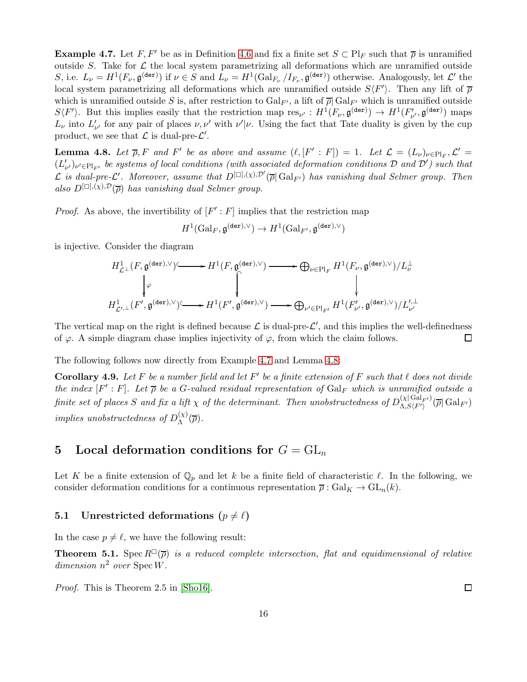<span id="page-15-2"></span>**Example 4.7.** Let F, F' be as in Definition [4.6](#page-14-1) and fix a finite set  $S \subset Pl_F$  such that  $\overline{\rho}$  is unramified outside S. Take for  $\mathcal L$  the local system parametrizing all deformations which are unramified outside S, i.e.  $L_{\nu} = H^1(F_{\nu}, \mathfrak{g}^{(\text{der})})$  if  $\nu \in S$  and  $L_{\nu} = H^1(\text{Gal}_{F_{\nu}}/I_{F_{\nu}}, \mathfrak{g}^{(\text{der})})$  otherwise. Analogously, let  $\mathcal{L}'$  the local system parametrizing all deformations which are unramified outside  $S\langle F' \rangle$ . Then any lift of  $\overline{\rho}$ which is unramified outside S is, after restriction to  $Gal_{F'}$ , a lift of  $\overline{\rho}$  Gal<sub>F'</sub> which is unramified outside  $S\langle F'\rangle$ . But this implies easily that the restriction map  $res_{\nu'} : H^1(F_{\nu}, \mathfrak{g}^{(\tt{der})}) \to H^1(F'_{\nu'}, \mathfrak{g}^{(\tt{der})})$  maps  $L_{\nu}$  into  $L'_{\nu'}$  for any pair of places  $\nu, \nu'$  with  $\nu'|\nu$ . Using the fact that Tate duality is given by the cup product, we see that  $\mathcal L$  is dual-pre- $\mathcal L'.$ 

<span id="page-15-1"></span>**Lemma 4.8.** Let  $\overline{\rho}$ , F and F' be as above and assume  $(\ell, [F' : F]) = 1$ . Let  $\mathcal{L} = (L_{\nu})_{\nu \in Pl_F}$ ,  $\mathcal{L}' =$  $(L'_{\nu'})_{\nu'\in Pl_{F'}}$  be systems of local conditions (with associated deformation conditions  $\mathcal D$  and  $\mathcal D'$ ) such that  $\mathcal L$  is dual-pre- $\mathcal L'$ . Moreover, assume that  $D^{[\Box],(\chi),\mathcal D'}(\overline{\rho}|\operatorname{Gal}_{F'})$  has vanishing dual Selmer group. Then also  $D^{[\Box],(\chi),\mathcal{D}}(\overline{\rho})$  has vanishing dual Selmer group.

*Proof.* As above, the invertibility of  $[F':F]$  implies that the restriction map

$$
H^1(\operatorname{Gal}_F,\mathfrak{g}^{(\tt{der}),\vee})\to H^1(\operatorname{Gal}_{F'},\mathfrak{g}^{(\tt{der}),\vee})
$$

is injective. Consider the diagram

$$
\begin{array}{ccc} H^1_{{\mathcal L}^{\perp}}(F, \mathfrak{g}^{(\tt{der}), \vee})\check{~} \longrightarrow H^1(F, \mathfrak{g}^{(\tt{der}), \vee}) \longrightarrow \bigoplus_{\nu \in \operatorname{Pl}_F} H^1(F_{\nu}, \mathfrak{g}^{(\tt{der}), \vee})/L^{\perp}_{\nu} \\ \downarrow^{\varphi} & \hspace{-20pt} \int\limits_{H^1_{{\mathcal L}', {\perp}}(F', \mathfrak{g}^{(\tt{der}), \vee})\check{~} \longrightarrow H^1(F', \mathfrak{g}^{(\tt{der}), \vee}) \longrightarrow \bigoplus_{\nu' \in \operatorname{Pl}_{F'}} H^1(F'_{\nu'}, \mathfrak{g}^{(\tt{der}), \vee})/L^{\prime, \perp}_{\nu'} \end{array}
$$

The vertical map on the right is defined because  $\mathcal L$  is dual-pre- $\mathcal L'$ , and this implies the well-definedness of  $\varphi$ . A simple diagram chase implies injectivity of  $\varphi$ , from which the claim follows.  $\Box$ 

The following follows now directly from Example [4.7](#page-15-2) and Lemma [4.8:](#page-15-1)

**Corollary 4.9.** Let F be a number field and let F' be a finite extension of F such that  $\ell$  does not divide the index  $[F':F]$ . Let  $\overline{\rho}$  be a G-valued residual representation of  $Gal_F$  which is unramified outside a finite set of places S and fix a lift  $\chi$  of the determinant. Then unobstructedness of  $D_{\Lambda, S/F'}^{(\chi|Gal_{F'})}$  $\langle \chi | \text{Gal}_{F'} \rangle (\overline{\rho} | \text{Gal}_{F'})$ implies unobstructedness of  $D_{\Lambda}^{(\chi)}$  $\Lambda^{(\chi)}(\overline{\rho}).$ 

## <span id="page-15-0"></span>5 Local deformation conditions for  $G = GL_n$

Let K be a finite extension of  $\mathbb{Q}_p$  and let k be a finite field of characteristic  $\ell$ . In the following, we consider deformation conditions for a continuous representation  $\bar{\rho}$ : Gal<sub>K</sub>  $\rightarrow$  GL<sub>n</sub>(k).

### 5.1 Unrestricted deformations  $(p \neq \ell)$

In the case  $p \neq \ell$ , we have the following result:

<span id="page-15-3"></span>**Theorem 5.1.** Spec  $R^{\square}(\overline{\rho})$  is a reduced complete intersection, flat and equidimensional of relative dimension  $n^2$  over  $Spec W$ .

Proof. This is Theorem 2.5 in [\[Sho16\]](#page-45-10).

 $\Box$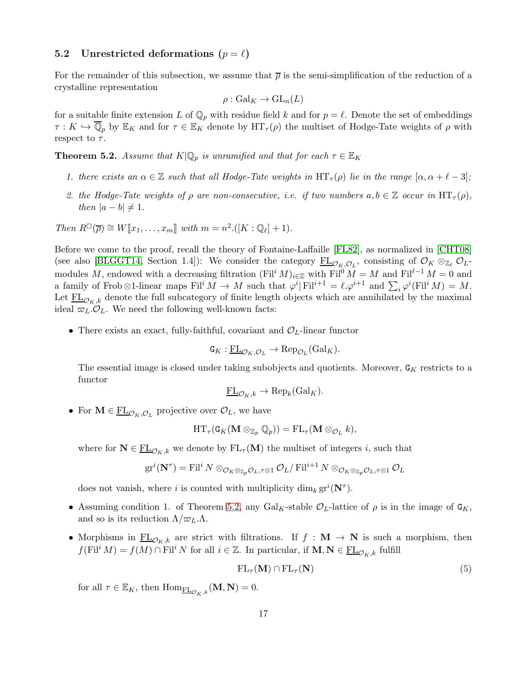### <span id="page-16-2"></span>5.2 Unrestricted deformations  $(p = \ell)$

For the remainder of this subsection, we assume that  $\bar{\rho}$  is the semi-simplification of the reduction of a crystalline representation

$$
\rho: \mathrm{Gal}_K \to \mathrm{GL}_n(L)
$$

for a suitable finite extension L of  $\mathbb{Q}_p$  with residue field k and for  $p = \ell$ . Denote the set of embeddings  $\tau: K \hookrightarrow \mathbb{Q}_p$  by  $\mathbb{E}_K$  and for  $\tau \in \mathbb{E}_K$  denote by  $\operatorname{HT}_{\tau}(\rho)$  the multiset of Hodge-Tate weights of  $\rho$  with respect to  $\tau$ .

<span id="page-16-0"></span>**Theorem 5.2.** Assume that  $K|\mathbb{Q}_p$  is unramified and that for each  $\tau \in \mathbb{E}_K$ 

- 1. there exists an  $\alpha \in \mathbb{Z}$  such that all Hodge-Tate weights in  $\operatorname{HT}_{\tau}(\rho)$  lie in the range  $[\alpha, \alpha + \ell 3]$ ;
- 2. the Hodge-Tate weights of  $\rho$  are non-consecutive, i.e. if two numbers  $a, b \in \mathbb{Z}$  occur in  $HT_{\tau}(\rho)$ , then  $|a - b| \neq 1$ .

Then 
$$
R^{\square}(\overline{\rho}) \cong W[[x_1,\ldots,x_m]]
$$
 with  $m = n^2 \cdot ([K:\mathbb{Q}_\ell]+1)$ .

Before we come to the proof, recall the theory of Fontaine-Laffaille [\[FL82\]](#page-43-12), as normalized in [\[CHT08\]](#page-43-0) (see also [\[BLGGT14,](#page-43-4) Section 1.4]): We consider the category  $\underline{\mathrm{FL}}_{\mathcal{O}_K,\mathcal{O}_L}$ , consisting of  $\mathcal{O}_K \otimes_{\mathbb{Z}_{\ell}} \mathcal{O}_L$ modules M, endowed with a decreasing filtration  $(\mathrm{Fil}^i M)_{i\in\mathbb{Z}}$  with  $\mathrm{Fil}^0 M = M$  and  $\mathrm{Fil}^{\ell-1} M = 0$  and a family of Frob⊗1-linear maps  $\textnormal{Fil}^i M \to M$  such that  $\varphi^i | \textnormal{Fil}^{i+1} = \ell \cdot \varphi^{i+1}$  and  $\sum_i \varphi^i(\textnormal{Fil}^i M) = M$ . Let  $\underline{\text{FL}}_{\mathcal{O}_K,k}$  denote the full subcategory of finite length objects which are annihilated by the maximal ideal  $\varpi_L \mathcal{O}_L$ . We need the following well-known facts:

• There exists an exact, fully-faithful, covariant and  $\mathcal{O}_L$ -linear functor

$$
\mathsf{G}_K: \underline{\mathrm{FL}}_{\mathcal{O}_K, \mathcal{O}_L} \to \mathrm{Rep}_{\mathcal{O}_L}(\mathrm{Gal}_K).
$$

The essential image is closed under taking subobjects and quotients. Moreover,  $G_K$  restricts to a functor

$$
\underline{\mathrm{FL}}_{\mathcal{O}_K,k} \to \mathrm{Rep}_k(\mathrm{Gal}_K).
$$

• For  $\mathbf{M} \in \underline{\mathrm{FL}}_{\mathcal{O}_K, \mathcal{O}_L}$  projective over  $\mathcal{O}_L$ , we have

$$
\mathrm{HT}_{\tau}(\mathtt{G}_{K}(\mathbf{M}\otimes_{\mathbb{Z}_{p}}\mathbb{Q}_{p}))=\mathrm{FL}_{\tau}(\mathbf{M}\otimes_{\mathcal{O}_{L}}k),
$$

where for  $N \in \underline{FL}_{\mathcal{O}_K,k}$  we denote by  $FL_{\tau}(M)$  the multiset of integers i, such that

$$
\mathrm{gr}^i(\mathbf{N}^\tau)=\mathrm{Fil}^i\,N\otimes_{\mathcal{O}_K\otimes_{\mathbb{Z}_p}\mathcal{O}_L,\tau\otimes 1}\mathcal{O}_L/\mathrm{Fil}^{i+1}\,N\otimes_{\mathcal{O}_K\otimes_{\mathbb{Z}_p}\mathcal{O}_L,\tau\otimes 1}\mathcal{O}_L
$$

does not vanish, where *i* is counted with multiplicity  $\dim_k \operatorname{gr}^i(\mathbf{N}^{\tau}).$ 

- Assuming condition 1. of Theorem [5.2,](#page-16-0) any Gal<sub>K</sub>-stable  $\mathcal{O}_L$ -lattice of  $\rho$  is in the image of  $\mathsf{G}_K$ , and so is its reduction  $\Lambda/\varpi_L.\Lambda$ .
- Morphisms in  $\underline{\mathrm{FL}}_{\mathcal{O}_K,k}$  are strict with filtrations. If  $f : \mathbf{M} \to \mathbf{N}$  is such a morphism, then  $f(\mathrm{Fil}^i M) = f(M) \cap \mathrm{Fil}^i N$  for all  $i \in \mathbb{Z}$ . In particular, if  $\mathbf{M}, \mathbf{N} \in \underline{\mathrm{FL}}_{\mathcal{O}_K, k}$  fulfill

<span id="page-16-1"></span>
$$
\mathrm{FL}_{\tau}(\mathbf{M}) \cap \mathrm{FL}_{\tau}(\mathbf{N}) \tag{5}
$$

for all  $\tau \in \mathbb{E}_K$ , then  $\text{Hom}_{\underline{\text{FL}}_{\mathcal{O}_K,k}}(\mathbf{M},\mathbf{N})=0$ .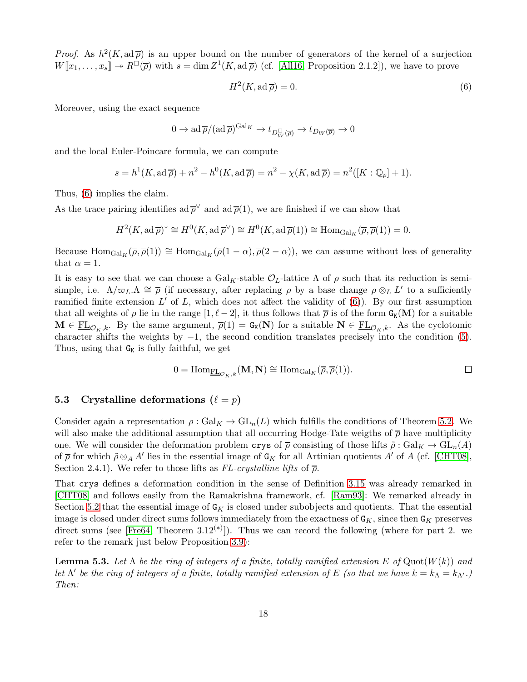*Proof.* As  $h^2(K, ad\overline{\rho})$  is an upper bound on the number of generators of the kernel of a surjection  $W[\![x_1,\ldots,x_s]\!] \twoheadrightarrow R^{\square}(\overline{\rho})$  with  $s = \dim Z^1(K, \mathrm{ad}\,\overline{\rho})$  (cf. [\[All16,](#page-42-0) Proposition 2.1.2]), we have to prove

<span id="page-17-1"></span>
$$
H^2(K, \operatorname{ad} \overline{\rho}) = 0. \tag{6}
$$

Moreover, using the exact sequence

$$
0 \to \mathrm{ad}\,\overline{\rho}/(\mathrm{ad}\,\overline{\rho})^{\mathrm{Gal}_K} \to t_{D_W^{\square}(\overline{\rho})} \to t_{D_W(\overline{\rho})} \to 0
$$

and the local Euler-Poincare formula, we can compute

$$
s = h1(K, ad\overline{\rho}) + n2 - h0(K, ad\overline{\rho}) = n2 - \chi(K, ad\overline{\rho}) = n2([K : \mathbb{Q}_p] + 1).
$$

Thus, [\(6\)](#page-17-1) implies the claim.

As the trace pairing identifies ad  $\bar{\rho}^{\vee}$  and ad  $\bar{\rho}(1)$ , we are finished if we can show that

$$
H^2(K, \mathrm{ad}\,\overline{\rho})^* \cong H^0(K, \mathrm{ad}\,\overline{\rho}^{\vee}) \cong H^0(K, \mathrm{ad}\,\overline{\rho}(1)) \cong \mathrm{Hom}_{\mathrm{Gal}_K}(\overline{\rho}, \overline{\rho}(1)) = 0.
$$

Because  $\text{Hom}_{\text{Gal}_K}(\overline{\rho}, \overline{\rho}(1)) \cong \text{Hom}_{\text{Gal}_K}(\overline{\rho}(1-\alpha), \overline{\rho}(2-\alpha))$ , we can assume without loss of generality that  $\alpha = 1$ .

It is easy to see that we can choose a  $Gal_K$ -stable  $\mathcal{O}_L$ -lattice  $\Lambda$  of  $\rho$  such that its reduction is semisimple, i.e.  $\Lambda/\varpi_L.\Lambda \cong \overline{\rho}$  (if necessary, after replacing  $\rho$  by a base change  $\rho \otimes_L L'$  to a sufficiently ramified finite extension  $L'$  of  $L$ , which does not affect the validity of  $(6)$ ). By our first assumption that all weights of  $\rho$  lie in the range  $[1, \ell-2]$ , it thus follows that  $\overline{\rho}$  is of the form  $G_K(M)$  for a suitable  $\mathbf{M} \in \underline{\mathrm{FL}}_{\mathcal{O}_K,k}$ . By the same argument,  $\overline{\rho}(1) = \mathsf{G}_{\mathsf{K}}(\mathbf{N})$  for a suitable  $\mathbf{N} \in \underline{\mathrm{FL}}_{\mathcal{O}_K,k}$ . As the cyclotomic character shifts the weights by  $-1$ , the second condition translates precisely into the condition [\(5\)](#page-16-1). Thus, using that  $G_K$  is fully faithful, we get

$$
0 = \text{Hom}_{\underline{\text{FL}}_{\mathcal{O}_K,k}}(\mathbf{M}, \mathbf{N}) \cong \text{Hom}_{\text{Gal}_K}(\overline{\rho}, \overline{\rho}(1)).
$$

#### <span id="page-17-0"></span>5.3 Crystalline deformations  $(\ell = p)$

Consider again a representation  $\rho : \text{Gal}_K \to \text{GL}_n(L)$  which fulfills the conditions of Theorem [5.2.](#page-16-0) We will also make the additional assumption that all occurring Hodge-Tate weigths of  $\bar{\rho}$  have multiplicity one. We will consider the deformation problem crys of  $\bar{\rho}$  consisting of those lifts  $\tilde{\rho}: Gal_K \to GL_n(A)$ of  $\overline{\rho}$  for which  $\tilde{\rho} \otimes_A A'$  lies in the essential image of  $G_K$  for all Artinian quotients  $A'$  of  $A$  (cf. [\[CHT08\]](#page-43-0), Section 2.4.1). We refer to those lifts as  $FL-crystalline$  lifts of  $\bar{\rho}$ .

That crys defines a deformation condition in the sense of Definition [3.15](#page-6-2) was already remarked in [\[CHT08\]](#page-43-0) and follows easily from the Ramakrishna framework, cf. [\[Ram93\]](#page-45-11): We remarked already in Section [5.2](#page-16-2) that the essential image of  $G_K$  is closed under subobjects and quotients. That the essential image is closed under direct sums follows immediately from the exactness of  $G_K$ , since then  $G_K$  preserves direct sums (see [\[Fre64,](#page-43-13) Theorem  $3.12^{(*)}$ ]). Thus we can record the following (where for part 2. we refer to the remark just below Proposition [3.9\)](#page-5-1):

**Lemma 5.3.** Let  $\Lambda$  be the ring of integers of a finite, totally ramified extension E of Quot $(W(k))$  and Let  $\Lambda'$  be the ring of integers of a finite, totally ramified extension of E (so that we have  $k=k_\Lambda=k_{\Lambda'}$ .) Then: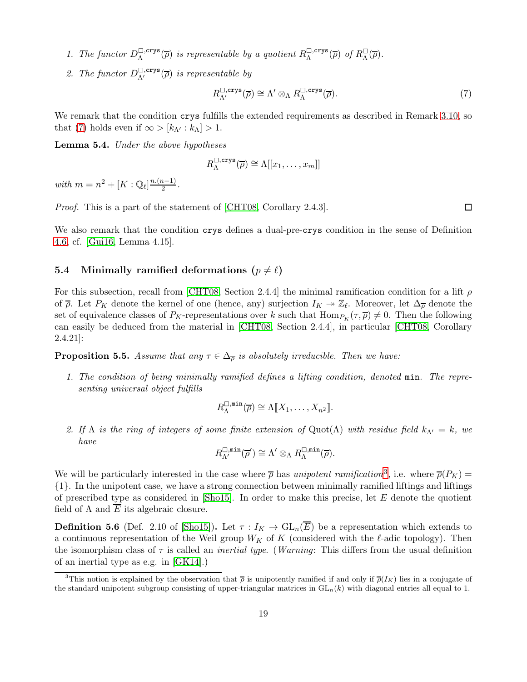- 1. The functor  $D_{\Lambda}^{\square, \text{crys}}$  $\Box_{\Lambda}^{(\text{crys})}(\overline{\rho})$  is representable by a quotient  $R_{\Lambda}^{\Box,\text{crys}}$  $\Box, \text{crys}(\overline{\rho})$  of  $R_{\Lambda}^{\Box}$  $\frac{1}{\Lambda}(\overline{\rho})$ .
- 2. The functor  $D_{\Lambda'}^{\square,\text{crys}}(\overline{\rho})$  is representable by

<span id="page-18-1"></span>
$$
R_{\Lambda'}^{\square,\text{crys}}(\overline{\rho}) \cong \Lambda' \otimes_{\Lambda} R_{\Lambda}^{\square,\text{crys}}(\overline{\rho}).
$$
\n(7)

We remark that the condition crys fulfills the extended requirements as described in Remark [3.10,](#page-5-2) so that [\(7\)](#page-18-1) holds even if  $\infty > [k_{\Lambda'} : k_{\Lambda}] > 1$ .

<span id="page-18-4"></span>Lemma 5.4. Under the above hypotheses

$$
R_{\Lambda}^{\square,\mathrm{crys}}(\overline{\rho})\cong\Lambda[[x_1,\ldots,x_m]]
$$

with  $m = n^2 + [K : \mathbb{Q}_\ell]^{\frac{n.(n-1)}{2}}$ .

Proof. This is a part of the statement of [\[CHT08,](#page-43-0) Corollary 2.4.3].

We also remark that the condition crys defines a dual-pre-crys condition in the sense of Definition [4.6,](#page-14-1) cf. [\[Gui16,](#page-44-3) Lemma 4.15].

#### <span id="page-18-0"></span>5.4 Minimally ramified deformations  $(p \neq \ell)$

For this subsection, recall from [\[CHT08,](#page-43-0) Section 2.4.4] the minimal ramification condition for a lift  $\rho$ of  $\bar{\rho}$ . Let  $P_K$  denote the kernel of one (hence, any) surjection  $I_K \to \mathbb{Z}_{\ell}$ . Moreover, let  $\Delta_{\bar{\rho}}$  denote the set of equivalence classes of  $P_K$ -representations over k such that  $\text{Hom}_{P_K}(\tau, \overline{\rho}) \neq 0$ . Then the following can easily be deduced from the material in [\[CHT08,](#page-43-0) Section 2.4.4], in particular [\[CHT08,](#page-43-0) Corollary 2.4.21]:

<span id="page-18-3"></span>**Proposition 5.5.** Assume that any  $\tau \in \Delta_{\overline{\rho}}$  is absolutely irreducible. Then we have:

1. The condition of being minimally ramified defines a lifting condition, denoted min. The representing universal object fulfills

$$
R_{\Lambda}^{\square,\min}(\overline{\rho}) \cong \Lambda[\![X_1,\ldots,X_{n^2}]\!].
$$

2. If  $\Lambda$  is the ring of integers of some finite extension of  $\text{Quot}(\Lambda)$  with residue field  $k_{\Lambda'} = k$ , we have

$$
R_{\Lambda'}^{\square,\min}(\overline{\rho}') \cong \Lambda' \otimes_{\Lambda} R_{\Lambda}^{\square,\min}(\overline{\rho}).
$$

We will be particularly interested in the case where  $\bar{\rho}$  has unipotent ramification<sup>[3](#page-18-2)</sup>, i.e. where  $\bar{\rho}(P_K)$  = {1}. In the unipotent case, we have a strong connection between minimally ramified liftings and liftings of prescribed type as considered in  $[\text{Sho15}]$ . In order to make this precise, let E denote the quotient field of  $\Lambda$  and  $\overline{E}$  its algebraic closure.

**Definition 5.6** (Def. 2.10 of [\[Sho15\]](#page-45-12)). Let  $\tau: I_K \to GL_n(\overline{E})$  be a representation which extends to a continuous representation of the Weil group  $W_K$  of K (considered with the  $\ell$ -adic topology). Then the isomorphism class of  $\tau$  is called an *inertial type.* (*Warning:* This differs from the usual definition of an inertial type as e.g. in [\[GK14\]](#page-44-7).)

 $\Box$ 

<span id="page-18-2"></span><sup>&</sup>lt;sup>3</sup>This notion is explained by the observation that  $\bar{\rho}$  is unipotently ramified if and only if  $\bar{\rho}(I_K)$  lies in a conjugate of the standard unipotent subgroup consisting of upper-triangular matrices in  $GL_n(k)$  with diagonal entries all equal to 1.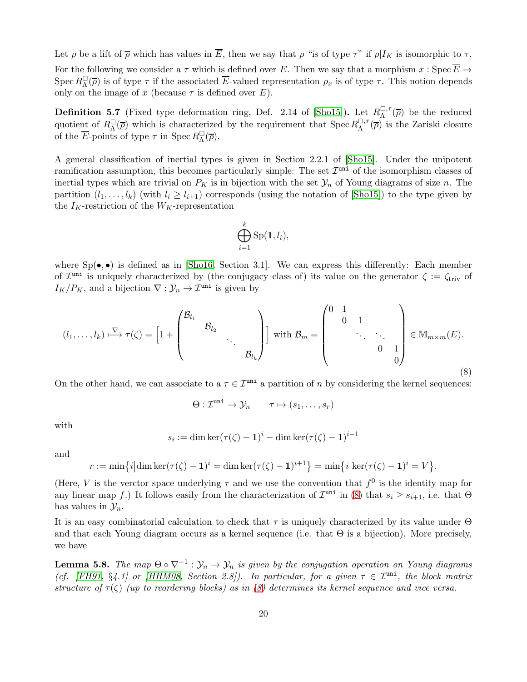Let  $\rho$  be a lift of  $\overline{\rho}$  which has values in  $\overline{E}$ , then we say that  $\rho$  "is of type  $\tau$ " if  $\rho|I_K$  is isomorphic to  $\tau$ . For the following we consider a  $\tau$  which is defined over E. Then we say that a morphism  $x : \text{Spec } \overline{E} \to$  $\operatorname{Spec} R_{\Lambda}^{\square}$  $\Box(\overline{\rho})$  is of type  $\tau$  if the associated E-valued representation  $\rho_x$  is of type  $\tau$ . This notion depends only on the image of x (because  $\tau$  is defined over E).

**Definition 5.7** (Fixed type deformation ring, Def. 2.14 of [\[Sho15\]](#page-45-12)). Let  $R_{\Lambda}^{\square, \tau}$  $\Lambda^{\square, \tau}(\overline{\rho})$  be the reduced quotient of  $R_{\Lambda}^{\square}$  $\mathbb{G}_{\Lambda}(\overline{\rho})$  which is characterized by the requirement that  $\operatorname{Spec} R_{\Lambda}^{\square,\tau}$  $\Delta^{\Box, \tau}(\overline{\rho})$  is the Zariski closure of the  $\overline{E}$ -points of type  $\tau$  in Spec  $R_{\Lambda}^{\square}$  $\frac{1}{\Lambda}(\overline{\rho}).$ 

A general classification of inertial types is given in Section 2.2.1 of [\[Sho15\]](#page-45-12). Under the unipotent ramification assumption, this becomes particularly simple: The set  $\mathcal{I}^{\text{uni}}$  of the isomorphism classes of inertial types which are trivial on  $P_K$  is in bijection with the set  $\mathcal{Y}_n$  of Young diagrams of size n. The partition  $(l_1, \ldots, l_k)$  (with  $l_i \geq l_{i+1}$ ) corresponds (using the notation of [\[Sho15\]](#page-45-12)) to the type given by the  $I_K$ -restriction of the  $W_K$ -representation

$$
\bigoplus_{i=1}^k \mathrm{Sp}(\mathbf{1},l_i),
$$

where  $Sp(\bullet, \bullet)$  is defined as in [\[Sho16,](#page-45-10) Section 3.1]. We can express this differently: Each member of  $\mathcal{I}^{\text{uni}}$  is uniquely characterized by (the conjugacy class of) its value on the generator  $\zeta := \zeta_{\text{triv}}$  of  $I_K/P_K$ , and a bijection  $\nabla : \mathcal{Y}_n \to \mathcal{I}^{\text{uni}}$  is given by

<span id="page-19-0"></span>
$$
(l_1, \ldots, l_k) \stackrel{\nabla}{\longmapsto} \tau(\zeta) = \left[1 + \begin{pmatrix} \mathcal{B}_{l_1} & & & \\ & \mathcal{B}_{l_2} & & \\ & & \ddots & \\ & & & \mathcal{B}_{l_k} \end{pmatrix} \right] \text{ with } \mathcal{B}_m = \begin{pmatrix} 0 & 1 & & & \\ & 0 & 1 & & \\ & & \ddots & \ddots & \\ & & & 0 & 1 \\ & & & & 0 \end{pmatrix} \in \mathbb{M}_{m \times m}(E). \tag{8}
$$

On the other hand, we can associate to a  $\tau \in \mathcal{I}^{\text{uni}}$  a partition of n by considering the kernel sequences:

$$
\Theta: \mathcal{I}^{\text{uni}} \to \mathcal{Y}_n \qquad \tau \mapsto (s_1, \ldots, s_r)
$$

with

$$
s_i := \dim \ker(\tau(\zeta) - 1)^i - \dim \ker(\tau(\zeta) - 1)^{i-1}
$$

and

$$
r := \min\{i | \dim \ker(\tau(\zeta) - 1)^i = \dim \ker(\tau(\zeta) - 1)^{i+1}\} = \min\{i | \ker(\tau(\zeta) - 1)^i = V\}.
$$

(Here, V is the verctor space underlying  $\tau$  and we use the convention that  $f^0$  is the identity map for any linear map f.) It follows easily from the characterization of  $\mathcal{I}^{\text{uni}}$  in [\(8\)](#page-19-0) that  $s_i \geq s_{i+1}$ , i.e. that  $\Theta$ has values in  $\mathcal{Y}_n$ .

It is an easy combinatorial calculation to check that  $\tau$  is uniquely characterized by its value under  $\Theta$ and that each Young diagram occurs as a kernel sequence (i.e. that  $\Theta$  is a bijection). More precisely, we have

<span id="page-19-1"></span>**Lemma 5.8.** The map  $\Theta \circ \nabla^{-1} : \mathcal{Y}_n \to \mathcal{Y}_n$  is given by the conjugation operation on Young diagrams (cf. [\[FH91,](#page-44-8) §4.1] or [\[HHM08,](#page-44-9) Section 2.8]). In particular, for a given  $\tau \in \mathcal{I}^{\text{uni}}$ , the block matrix structure of  $\tau(\zeta)$  (up to reordering blocks) as in [\(8\)](#page-19-0) determines its kernel sequence and vice versa.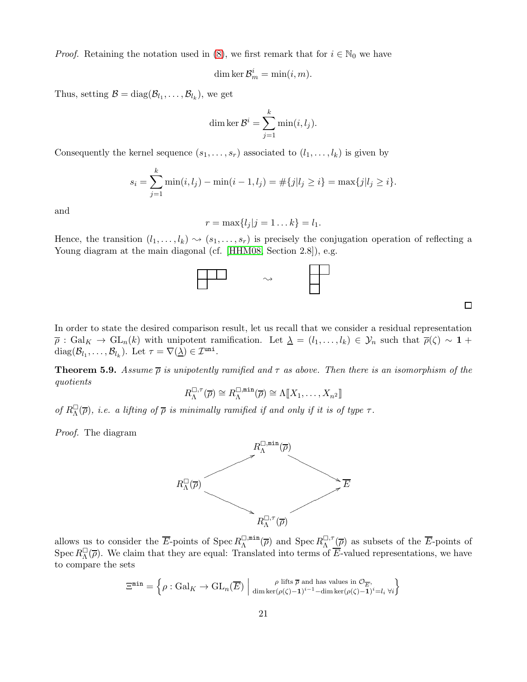*Proof.* Retaining the notation used in [\(8\)](#page-19-0), we first remark that for  $i \in \mathbb{N}_0$  we have

dim ker 
$$
\mathcal{B}_m^i = \min(i, m)
$$
.

Thus, setting  $\mathcal{B} = \text{diag}(\mathcal{B}_{l_1}, \dots, \mathcal{B}_{l_k})$ , we get

dim ker 
$$
\mathcal{B}^i = \sum_{j=1}^k \min(i, l_j)
$$
.

Consequently the kernel sequence  $(s_1, \ldots, s_r)$  associated to  $(l_1, \ldots, l_k)$  is given by

$$
s_i = \sum_{j=1}^k \min(i, l_j) - \min(i - 1, l_j) = \#\{j | l_j \ge i\} = \max\{j | l_j \ge i\}.
$$

and

$$
r = \max\{l_j | j = 1 \dots k\} = l_1.
$$

Hence, the transition  $(l_1, \ldots, l_k) \rightsquigarrow (s_1, \ldots, s_r)$  is precisely the conjugation operation of reflecting a Young diagram at the main diagonal (cf. [\[HHM08,](#page-44-9) Section 2.8]), e.g.



In order to state the desired comparison result, let us recall that we consider a residual representation  $\overline{\rho}: \text{Gal}_K \to \text{GL}_n(k)$  with unipotent ramification. Let  $\underline{\lambda} = (l_1, \ldots, l_k) \in \mathcal{Y}_n$  such that  $\overline{\rho}(\zeta) \sim 1 +$ diag $(\mathcal{B}_{l_1}, \ldots, \mathcal{B}_{l_k})$ . Let  $\tau = \nabla(\underline{\lambda}) \in \mathcal{I}^{\text{uni}}$ .

<span id="page-20-0"></span>**Theorem 5.9.** Assume  $\overline{\rho}$  is unipotently ramified and  $\tau$  as above. Then there is an isomorphism of the quotients

$$
R_{\Lambda}^{\square,\tau}(\overline{\rho}) \cong R_{\Lambda}^{\square,\min}(\overline{\rho}) \cong \Lambda[\hspace{-0.04cm}[ X_1,\ldots,X_{n^2}]\hspace{-0.04cm}]
$$

of  $R_{\Lambda}^{\Box}$  $\Box(\overline{\rho})$ , i.e. a lifting of  $\overline{\rho}$  is minimally ramified if and only if it is of type  $\tau$ .

Proof. The diagram



allows us to consider the  $\overline{E}$ -points of Spec  $R_{\Lambda}^{\square,\min}$  $\mathcal{L}_{\Lambda}^{\square,\min}(\overline{\rho})$  and  $\operatorname{Spec} R_{\Lambda}^{\square,\tau}$  $\Lambda^{\square, \tau}(\overline{\rho})$  as subsets of the E-points of  $\operatorname{Spec} R_{\Lambda}^{\square}$  $\Box(\overline{\rho})$ . We claim that they are equal: Translated into terms of E-valued representations, we have to compare the sets

$$
\Xi^{\min} = \left\{ \rho : \mathrm{Gal}_K \to \mathrm{GL}_n(\overline{E}) \; \middle| \; \lim_{\mathrm{dim}\ker(\rho(\zeta)-1)^{i-1} - \mathrm{dim}\ker(\rho(\zeta)-1)^{i} = l_i \; \forall i \right\}
$$

 $\Box$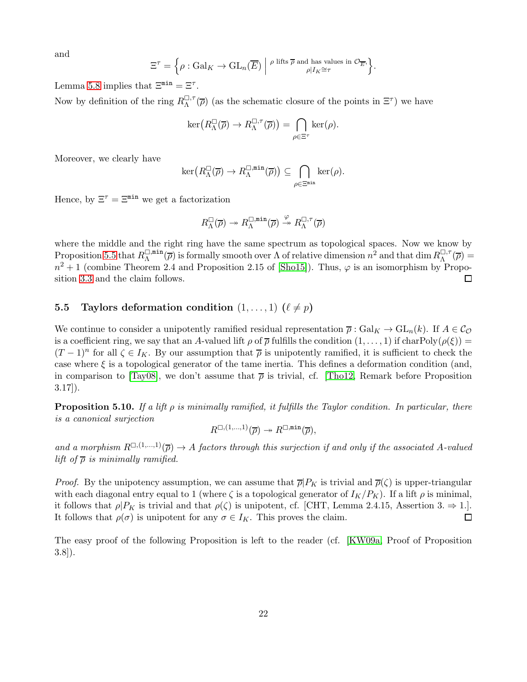and

$$
\Xi^{\tau} = \left\{ \rho : \operatorname{Gal}_{K} \to \operatorname{GL}_{n}(\overline{E}) \middle| \begin{array}{c} \rho \text{ lifts } \overline{\rho} \text{ and has values in } \mathcal{O}_{\overline{E}}, \\ \rho | I_{K} \cong \tau \end{array} \right\}.
$$

Lemma [5.8](#page-19-1) implies that  $\Xi^{\min} = \Xi^{\tau}$ .

Now by definition of the ring  $R_{\Lambda}^{\square,\tau}$  $\mathbb{G}^{\tau}(\overline{\rho})$  (as the schematic closure of the points in  $\Xi^{\tau}$ ) we have

$$
\ker\big(R_\Lambda^\square(\overline{\rho})\to R_\Lambda^{\square,\tau}(\overline{\rho})\big)=\bigcap_{\rho\in\Xi^\tau}\ker(\rho).
$$

Moreover, we clearly have

$$
\ker\bigl(R_\Lambda^\square(\overline{\rho})\to R_\Lambda^{\square,\min}(\overline{\rho})\bigr)\subseteq \bigcap_{\rho\in\Xi^{\min}}\ker(\rho).
$$

Hence, by  $\Xi^{\tau} = \Xi^{\min}$  we get a factorization

$$
R_{\Lambda}^{\square}(\overline{\rho}) \twoheadrightarrow R_{\Lambda}^{\square, \min}(\overline{\rho}) \xrightarrow{\varphi} R_{\Lambda}^{\square, \tau}(\overline{\rho})
$$

where the middle and the right ring have the same spectrum as topological spaces. Now we know by Proposition [5.5](#page-18-3) that  $R_{\Lambda}^{\square,\min}$  $\overline{A}^{\min}(\overline{\rho})$  is formally smooth over  $\Lambda$  of relative dimension  $n^2$  and that dim  $R_{\Lambda}^{\square,\tau}$  $\mathcal{L}^{\square,\tau}_{\Lambda}(\overline{\rho})=$  $n^2+1$  (combine Theorem 2.4 and Proposition 2.15 of [\[Sho15\]](#page-45-12)). Thus,  $\varphi$  is an isomorphism by Proposition [3.3](#page-4-3) and the claim follows.  $\Box$ 

### 5.5 Taylors deformation condition  $(1, \ldots, 1)$   $(\ell \neq p)$

We continue to consider a unipotently ramified residual representation  $\overline{\rho}: Gal_K \to GL_n(k)$ . If  $A \in \mathcal{C}_{\mathcal{O}}$ is a coefficient ring, we say that an A-valued lift  $\rho$  of  $\overline{\rho}$  fulfills the condition  $(1,\ldots,1)$  if charPoly $(\rho(\xi))$  =  $(T-1)^n$  for all  $\zeta \in I_K$ . By our assumption that  $\overline{\rho}$  is unipotently ramified, it is sufficient to check the case where  $\xi$  is a topological generator of the tame inertia. This defines a deformation condition (and, in comparison to [\[Tay08\]](#page-46-3), we don't assume that  $\bar{\rho}$  is trivial, cf. [\[Tho12,](#page-46-4) Remark before Proposition 3.17]).

**Proposition 5.10.** If a lift  $\rho$  is minimally ramified, it fulfills the Taylor condition. In particular, there is a canonical surjection

$$
R^{\Box,(1,\ldots,1)}(\overline{\rho})\twoheadrightarrow R^{\Box, \min}(\overline{\rho}),
$$

and a morphism  $R^{[1,(1,...,1)}(\overline{\rho}) \to A$  factors through this surjection if and only if the associated A-valued lift of  $\bar{\rho}$  is minimally ramified.

*Proof.* By the unipotency assumption, we can assume that  $\overline{\rho}|P_K$  is trivial and  $\overline{\rho}(\zeta)$  is upper-triangular with each diagonal entry equal to 1 (where  $\zeta$  is a topological generator of  $I_K/P_K$ ). If a lift  $\rho$  is minimal, it follows that  $\rho|P_K$  is trivial and that  $\rho(\zeta)$  is unipotent, cf. [CHT, Lemma 2.4.15, Assertion 3.  $\Rightarrow$  1.].<br>It follows that  $\rho(\sigma)$  is unipotent for any  $\sigma \in I_K$ . This proves the claim. It follows that  $\rho(\sigma)$  is unipotent for any  $\sigma \in I_K$ . This proves the claim.

The easy proof of the following Proposition is left to the reader (cf. [\[KW09a,](#page-44-10) Proof of Proposition 3.8]).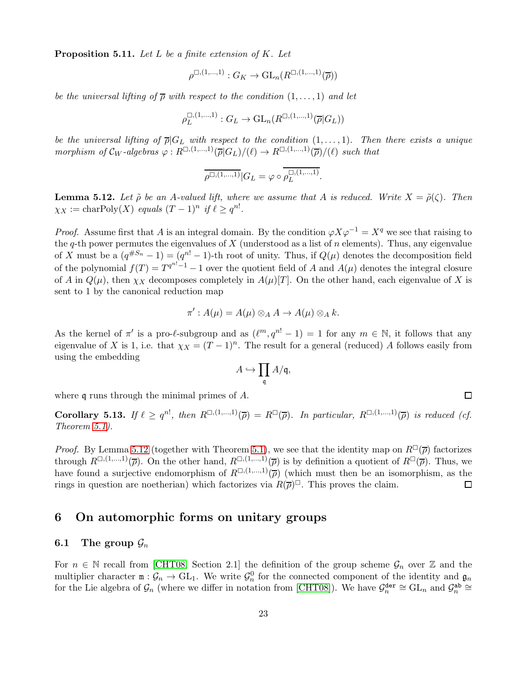**Proposition 5.11.** Let L be a finite extension of K. Let

$$
\rho^{\square,(1,\dots,1)}:G_K\to \mathrm{GL}_n(R^{\square,(1,\dots,1)}(\overline{\rho}))
$$

be the universal lifting of  $\overline{\rho}$  with respect to the condition  $(1,\ldots,1)$  and let

$$
\rho_L^{\square,(1,\dots,1)} : G_L \to \mathrm{GL}_n(R^{\square,(1,\dots,1)}(\overline{\rho}|G_L))
$$

be the universal lifting of  $\overline{\rho}|G_L$  with respect to the condition  $(1,\ldots,1)$ . Then there exists a unique morphism of  $\mathcal{C}_W$ -algebras  $\varphi: R^{\square, (1,\dots,1)}(\overline{\rho}|G_L)/(\ell) \to R^{\square, (1,\dots,1)}(\overline{\rho})/(\ell)$  such that

$$
\overline{\rho^{\Box,(1,\ldots,1)}}|G_L=\varphi\circ\overline{\rho^{\Box,(1,\ldots,1)}_L}.
$$

<span id="page-22-1"></span>**Lemma 5.12.** Let  $\tilde{\rho}$  be an A-valued lift, where we assume that A is reduced. Write  $X = \tilde{\rho}(\zeta)$ . Then  $\chi_X := \text{charPoly}(X)$  equals  $(T-1)^n$  if  $\ell \geq q^{n!}$ .

*Proof.* Assume first that A is an integral domain. By the condition  $\varphi X \varphi^{-1} = X^q$  we see that raising to the q-th power permutes the eigenvalues of  $X$  (understood as a list of  $n$  elements). Thus, any eigenvalue of X must be a  $(q^{\#S_n}-1)=(q^n-1)$ -th root of unity. Thus, if  $Q(\mu)$  denotes the decomposition field of the polynomial  $f(T) = T^{q^{n!}-1} - 1$  over the quotient field of A and  $A(\mu)$  denotes the integral closure of A in  $Q(\mu)$ , then  $\chi_X$  decomposes completely in  $A(\mu)[T]$ . On the other hand, each eigenvalue of X is sent to 1 by the canonical reduction map

$$
\pi': A(\mu) = A(\mu) \otimes_A A \to A(\mu) \otimes_A k.
$$

As the kernel of  $\pi'$  is a pro- $\ell$ -subgroup and as  $(\ell^m, q^{n!} - 1) = 1$  for any  $m \in \mathbb{N}$ , it follows that any eigenvalue of X is 1, i.e. that  $\chi_X = (T-1)^n$ . The result for a general (reduced) A follows easily from using the embedding

$$
A\hookrightarrow \prod_{\mathfrak{q}} A/\mathfrak{q},
$$

where q runs through the minimal primes of A.

<span id="page-22-2"></span>Corollary 5.13. If  $\ell \geq q^{n!}$ , then  $R^{\square,(1,\dots,1)}(\overline{\rho}) = R^{\square}(\overline{\rho})$ . In particular,  $R^{\square,(1,\dots,1)}(\overline{\rho})$  is reduced (cf. Theorem [5.1\)](#page-15-3).

 $\Box$ 

*Proof.* By Lemma [5.12](#page-22-1) (together with Theorem [5.1\)](#page-15-3), we see that the identity map on  $R^{\Box}(\overline{\rho})$  factorizes through  $R^{[1,(1,...,1)}(\overline{\rho})$ . On the other hand,  $R^{[1,(1,...,1)}(\overline{\rho})$  is by definition a quotient of  $R^{[1]}(\overline{\rho})$ . Thus, we have found a surjective endomorphism of  $R^{[1,(1,...,1)}(\overline{\rho})$  (which must then be an isomorphism, as the rings in question are noetherian) which factorizes via  $R(\overline{\rho})^{\square}$ . This proves the claim.  $\Box$ 

### <span id="page-22-0"></span>6 On automorphic forms on unitary groups

#### 6.1 The group  $\mathcal{G}_n$

For  $n \in \mathbb{N}$  recall from [\[CHT08,](#page-43-0) Section 2.1] the definition of the group scheme  $\mathcal{G}_n$  over Z and the multiplier character  $m: \mathcal{G}_n \to GL_1$ . We write  $\mathcal{G}_n^0$  for the connected component of the identity and  $\mathfrak{g}_n$ for the Lie algebra of  $\mathcal{G}_n$  (where we differ in notation from [\[CHT08\]](#page-43-0)). We have  $\mathcal{G}_n^{\text{der}} \cong GL_n$  and  $\mathcal{G}_n^{\text{ab}} \cong$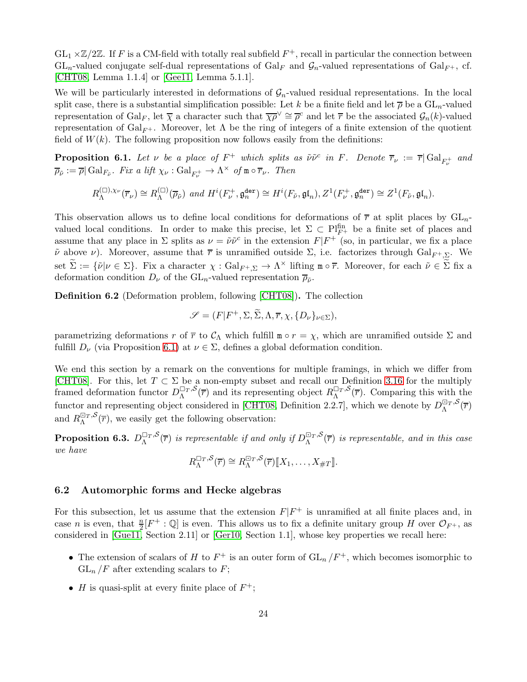$GL_1 \times \mathbb{Z}/2\mathbb{Z}$ . If F is a CM-field with totally real subfield  $F^+$ , recall in particular the connection between  $GL_n$ -valued conjugate self-dual representations of  $Gal_F$  and  $\mathcal{G}_n$ -valued representations of  $Gal_{F^+}$ , cf. [\[CHT08,](#page-43-0) Lemma 1.1.4] or [\[Gee11,](#page-44-11) Lemma 5.1.1].

We will be particularly interested in deformations of  $\mathcal{G}_n$ -valued residual representations. In the local split case, there is a substantial simplification possible: Let k be a finite field and let  $\bar{\rho}$  be a  $GL_n$ -valued representation of  $Gal_F$ , let  $\overline{\chi}$  a character such that  $\overline{\chi\rho}^{\vee} \cong \overline{\rho}^c$  and let  $\overline{r}$  be the associated  $\mathcal{G}_n(k)$ -valued representation of  $Gal_{F^+}$ . Moreover, let  $\Lambda$  be the ring of integers of a finite extension of the quotient field of  $W(k)$ . The following proposition now follows easily from the definitions:

<span id="page-23-0"></span>**Proposition 6.1.** Let  $\nu$  be a place of  $F^+$  which splits as  $\tilde{\nu}\tilde{\nu}^c$  in F. Denote  $\overline{r}_{\nu} := \overline{r}|\text{Gal}_{F^+_{\nu}}$  and  $\overline{\rho}_{\tilde{\nu}} := \overline{\rho} | \operatorname{Gal}_{F_{\tilde{\nu}}}$ . Fix a lift  $\chi_{\nu} : \operatorname{Gal}_{F_{\nu}^+} \to \Lambda^{\times}$  of  $\mathfrak{m} \circ \overline{r}_{\nu}$ . Then

$$
R_{\Lambda}^{(\square),\chi_{\nu}}(\overline{r}_{\nu}) \cong R_{\Lambda}^{(\square)}(\overline{\rho}_{\tilde{\nu}}) \ \ and \ H^{i}(F_{\nu}^{+},\mathfrak{g}_{n}^{\text{der}}) \cong H^{i}(F_{\tilde{\nu}},\mathfrak{gl}_{n}), Z^{1}(F_{\nu}^{+},\mathfrak{g}_{n}^{\text{der}}) \cong Z^{1}(F_{\tilde{\nu}},\mathfrak{gl}_{n}).
$$

This observation allows us to define local conditions for deformations of  $\bar{r}$  at split places by  $GL_n$ valued local conditions. In order to make this precise, let  $\Sigma \subset Pl_{F^+}^{\text{fin}}$  be a finite set of places and assume that any place in  $\Sigma$  splits as  $\nu = \tilde{\nu}\tilde{\nu}^c$  in the extension  $F|F^+$  (so, in particular, we fix a place  $\tilde{\nu}$  above  $\nu$ ). Moreover, assume that  $\bar{r}$  is unramified outside  $\Sigma$ , i.e. factorizes through  $Gal_{F^+,\Sigma}$ . We set  $\Sigma := {\tilde{\nu} | \nu \in \Sigma}$ . Fix a character  $\chi : \text{Gal}_{F^+,\Sigma} \to \Lambda^\times$  lifting  $\mathfrak{m} \circ \overline{r}$ . Moreover, for each  $\tilde{\nu} \in \Sigma$  fix a deformation condition  $D_{\nu}$  of the  $\mathrm{GL}_{n}$ -valued representation  $\overline{\rho}_{\tilde{\nu}}$ .

Definition 6.2 (Deformation problem, following [\[CHT08\]](#page-43-0)). The collection

$$
\mathscr{S} = (F|F^+, \Sigma, \widetilde{\Sigma}, \Lambda, \overline{r}, \chi, \{D_\nu\}_{\nu \in \Sigma}),
$$

parametrizing deformations r of  $\overline{r}$  to  $\mathcal{C}_{\Lambda}$  which fulfill  $\mathfrak{m} \circ r = \chi$ , which are unramified outside  $\Sigma$  and fulfill  $D_{\nu}$  (via Proposition [6.1\)](#page-23-0) at  $\nu \in \Sigma$ , defines a global deformation condition.

We end this section by a remark on the conventions for multiple framings, in which we differ from [\[CHT08\]](#page-43-0). For this, let  $T \subset \Sigma$  be a non-empty subset and recall our Definition [3.16](#page-7-2) for the multiply framed deformation functor  $D_{\Lambda}^{\Box_{T},S}(\overline{r})$  and its representing object  $R_{\Lambda}^{\Box_{T},S}(\overline{r})$ . Comparing this with the functor and representing object considered in [\[CHT08,](#page-43-0) Definition 2.2.7], which we denote by  $D_{\Lambda}^{\square_{T},S}(\overline{r})$ and  $R_{\Lambda}^{\square_T,S}(\overline{r})$ , we easily get the following observation:

**Proposition 6.3.**  $D_{\Lambda}^{\Box_T,S}(\overline{r})$  is representable if and only if  $D_{\Lambda}^{\Box_T,S}(\overline{r})$  is representable, and in this case we have

$$
R_{\Lambda}^{\Box_T, \mathcal{S}}(\overline{r}) \cong R_{\Lambda}^{\Box_T, \mathcal{S}}(\overline{r})[[X_1, \ldots, X_{\#T}]].
$$

#### <span id="page-23-1"></span>6.2 Automorphic forms and Hecke algebras

For this subsection, let us assume that the extension  $F|F^+$  is unramified at all finite places and, in case n is even, that  $\frac{n}{2}[F^+:\mathbb{Q}]$  is even. This allows us to fix a definite unitary group H over  $\mathcal{O}_{F^+}$ , as considered in [\[Gue11,](#page-44-12) Section 2.11] or [\[Ger10,](#page-44-13) Section 1.1], whose key properties we recall here:

- The extension of scalars of H to  $F^+$  is an outer form of  $GL_n/F^+$ , which becomes isomorphic to  $GL_n$  /F after extending scalars to F;
- *H* is quasi-split at every finite place of  $F^+$ ;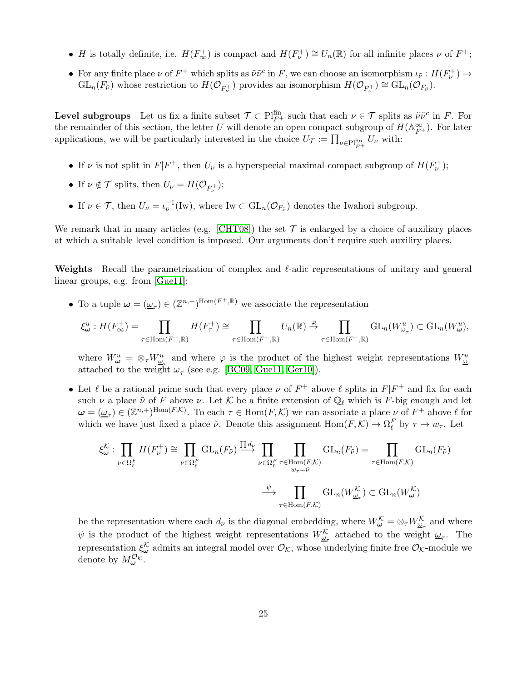- H is totally definite, i.e.  $H(F_{\infty}^+)$  is compact and  $H(F_{\nu}^+) \cong U_n(\mathbb{R})$  for all infinite places  $\nu$  of  $F^+$ ;
- For any finite place  $\nu$  of  $F^+$  which splits as  $\tilde{\nu}\tilde{\nu}^c$  in F, we can choose an isomorphism  $\iota_{\tilde{\nu}}: H(F^+_{\nu}) \to$  $GL_n(F_{\tilde{\nu}})$  whose restriction to  $H(\mathcal{O}_{F_{\nu}^+})$  provides an isomorphism  $H(\mathcal{O}_{F_{\nu}^+}) \cong GL_n(\mathcal{O}_{F_{\tilde{\nu}}}).$

**Level subgroups** Let us fix a finite subset  $\mathcal{T} \subset \text{Pl}_{F^+}^{\text{fin}}$  such that each  $\nu \in \mathcal{T}$  splits as  $\tilde{\nu}\tilde{\nu}^c$  in F. For the remainder of this section, the letter U will denote an open compact subgroup of  $H(\mathbb{A}_{F^+}^{\infty})$ . For later applications, we will be particularly interested in the choice  $U_{\mathcal{T}} := \prod_{\nu \in \text{Pl}_{F^+}^{\text{fin}}} U_{\nu}$  with:

- If  $\nu$  is not split in  $F|F^+$ , then  $U_{\nu}$  is a hyperspecial maximal compact subgroup of  $H(F_{\nu}^+)$ ;
- If  $\nu \notin \mathcal{T}$  splits, then  $U_{\nu} = H(\mathcal{O}_{F_{\nu}^+});$
- If  $\nu \in \mathcal{T}$ , then  $U_{\nu} = \iota_{\tilde{\nu}}^{-1}(\text{Iw})$ , where  $\text{Iw} \subset \text{GL}_n(\mathcal{O}_{F_{\tilde{\nu}}})$  denotes the Iwahori subgroup.

We remark that in many articles (e.g. [\[CHT08\]](#page-43-0)) the set  $\mathcal T$  is enlarged by a choice of auxiliary places at which a suitable level condition is imposed. Our arguments don't require such auxiliry places.

Weights Recall the parametrization of complex and ℓ-adic representations of unitary and general linear groups, e.g. from [\[Gue11\]](#page-44-12):

• To a tuple  $\omega = (\underline{\omega}_{\tau}) \in (\mathbb{Z}^{n,+})^{\text{Hom}(F^+,\mathbb{R})}$  we associate the representation

$$
\xi^u_{\pmb\omega}:H(F^+_{\infty})=\prod_{\tau\in \mathrm{Hom}(F^+,\mathbb{R})}H(F^+_{\tau})\cong\prod_{\tau\in \mathrm{Hom}(F^+,\mathbb{R})}U_n(\mathbb{R})\xrightarrow{\varphi}\prod_{\tau\in \mathrm{Hom}(F^+,\mathbb{R})}\mathrm{GL}_n(W^u_{\underline{\omega}_\tau})\subset \mathrm{GL}_n(W^u_{\pmb\omega}),
$$

where  $W^u_{\omega} = \otimes_{\tau} W^u_{\omega_{\tau}}$  and where  $\varphi$  is the product of the highest weight representations  $W^u_{\omega_{\tau}}$ attached to the weight  $\omega_{\tau}$  (see e.g. [\[BC09,](#page-43-14) [Gue11,](#page-44-12) [Ger10\]](#page-44-13)).

• Let  $\ell$  be a rational prime such that every place  $\nu$  of  $F^+$  above  $\ell$  splits in  $F|F^+$  and fix for each such  $\nu$  a place  $\tilde{\nu}$  of F above  $\nu$ . Let K be a finite extension of  $\mathbb{Q}_{\ell}$  which is F-big enough and let  $\boldsymbol{\omega} = (\underline{\omega}_{\tau}) \in (\mathbb{Z}^{n,+})^{\text{Hom}(F,\mathcal{K})}$ . To each  $\tau \in \text{Hom}(F,\mathcal{K})$  we can associate a place  $\nu$  of  $F^+$  above  $\ell$  for which we have just fixed a place  $\tilde{\nu}$ . Denote this assignment  $Hom(F, \mathcal{K}) \to \Omega_{\ell}^F$  by  $\tau \mapsto w_{\tau}$ . Let

$$
\xi^{\mathcal{K}}_{\omega} : \prod_{\nu \in \Omega_{\ell}^{F}} H(F_{\nu}^{+}) \cong \prod_{\nu \in \Omega_{\ell}^{F}} GL_{n}(F_{\tilde{\nu}}) \xrightarrow{\prod d_{\nu}} \prod_{\nu \in \Omega_{\ell}^{F}} \prod_{\tau \in \text{Hom}(F,\mathcal{K})} GL_{n}(F_{\tilde{\nu}}) = \prod_{\tau \in \text{Hom}(F,\mathcal{K})} GL_{n}(F_{\tilde{\nu}})
$$

$$
\xrightarrow{\psi} \prod_{\tau \in \text{Hom}(F,\mathcal{K})} GL_{n}(W_{\omega_{\tau}}^{\mathcal{K}}) \subset GL_{n}(W_{\omega}^{\mathcal{K}})
$$

be the representation where each  $d_{\nu}$  is the diagonal embedding, where  $W_{\omega}^{\mathcal{K}} = \otimes_{\tau} W_{\omega_{\tau}}^{\mathcal{K}}$  and where  $\psi$  is the product of the highest weight representations  $W_{\underline{\omega}_{\tau}}^{\mathcal{K}}$  attached to the weight  $\underline{\omega}_{\tau}$ . The representation  $\xi^{\mathcal{K}}_{\omega}$  admits an integral model over  $\mathcal{O}_{\mathcal{K}}$ , whose underlying finite free  $\mathcal{O}_{\mathcal{K}}$ -module we denote by  $M_{\boldsymbol{\omega}}^{\mathcal{O}_{\mathcal{K}}}$ .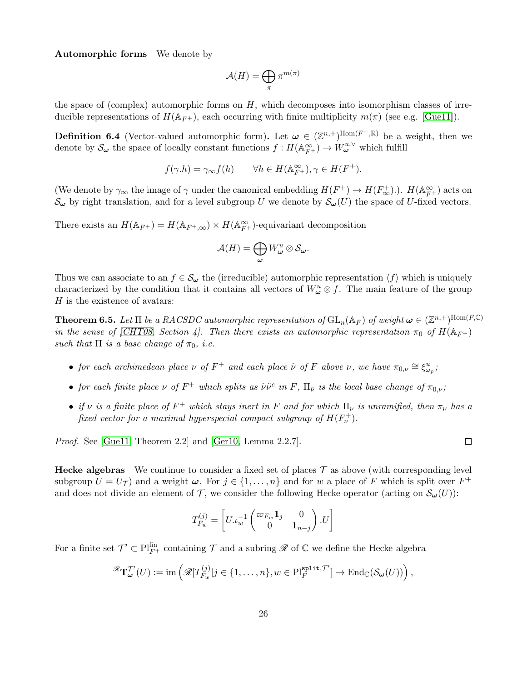Automorphic forms We denote by

$$
\mathcal{A}(H)=\bigoplus_{\pi}\pi^{m(\pi)}
$$

the space of (complex) automorphic forms on  $H$ , which decomposes into isomorphism classes of irreducible representations of  $H(\mathbb{A}_{F^+})$ , each occurring with finite multiplicity  $m(\pi)$  (see e.g. [\[Gue11\]](#page-44-12)).

**Definition 6.4** (Vector-valued automorphic form). Let  $\boldsymbol{\omega} \in (\mathbb{Z}^{n,+})^{\text{Hom}(F^+, \mathbb{R})}$  be a weight, then we denote by  $S_{\omega}$  the space of locally constant functions  $f: H(\mathbb{A}_{F^+}^{\infty}) \to W_{\omega}^{u,v}$  which fulfill

$$
f(\gamma.h) = \gamma_{\infty} f(h) \qquad \forall h \in H(\mathbb{A}_{F^+}^{\infty}), \gamma \in H(F^+).
$$

(We denote by  $\gamma_{\infty}$  the image of  $\gamma$  under the canonical embedding  $H(F^+) \to H(F^+_{\infty})$ ).  $H(\mathbb{A}_{F^+}^{\infty})$  acts on  $\mathcal{S}_{\omega}$  by right translation, and for a level subgroup U we denote by  $\mathcal{S}_{\omega}(U)$  the space of U-fixed vectors.

There exists an  $H(\mathbb{A}_{F^+}) = H(\mathbb{A}_{F^+,\infty}) \times H(\mathbb{A}_{F^+}^{\infty})$ -equivariant decomposition

$$
\mathcal{A}(H)=\bigoplus_{\omega}W_{\omega}^u\otimes\mathcal{S}_{\omega}.
$$

Thus we can associate to an  $f \in \mathcal{S}_{\omega}$  the (irreducible) automorphic representation  $\langle f \rangle$  which is uniquely characterized by the condition that it contains all vectors of  $W^u_\omega \otimes f$ . The main feature of the group  $H$  is the existence of avatars:

**Theorem 6.5.** Let  $\Pi$  be a RACSDC automorphic representation of  $GL_n(\mathbb{A}_F)$  of weight  $\omega \in (\mathbb{Z}^{n,+})^{\text{Hom}(F,\mathbb{C})}$ in the sense of [\[CHT08,](#page-43-0) Section 4]. Then there exists an automorphic representation  $\pi_0$  of  $H(\mathbb{A}_{F+})$ such that  $\Pi$  is a base change of  $\pi_0$ , i.e.

- for each archimedean place  $\nu$  of  $F^+$  and each place  $\tilde{\nu}$  of  $F$  above  $\nu$ , we have  $\pi_{0,\nu} \cong \xi_{\underline{\omega}_{\tilde{\nu}}}^u$ ;
- for each finite place  $\nu$  of  $F^+$  which splits as  $\tilde{\nu}\tilde{\nu}^c$  in  $F$ ,  $\Pi_{\tilde{\nu}}$  is the local base change of  $\pi_{0,\nu}$ ;
- if  $\nu$  is a finite place of  $F^+$  which stays inert in F and for which  $\Pi_{\nu}$  is unramified, then  $\pi_{\nu}$  has a fixed vector for a maximal hyperspecial compact subgroup of  $H(F_{\nu}^+).$

 $\Box$ 

Proof. See [\[Gue11,](#page-44-12) Theorem 2.2] and [\[Ger10,](#page-44-13) Lemma 2.2.7].

**Hecke algebras** We continue to consider a fixed set of places  $\mathcal T$  as above (with corresponding level subgroup  $U = U_{\mathcal{T}}$  and a weight  $\omega$ . For  $j \in \{1, ..., n\}$  and for w a place of F which is split over  $F^+$ and does not divide an element of T, we consider the following Hecke operator (acting on  $\mathcal{S}_{\omega}(U)$ ):

$$
T_{F_w}^{(j)} = \begin{bmatrix} U \cdot \iota_w^{-1} \begin{pmatrix} \varpi_{F_w} \mathbf{1}_j & 0 \\ 0 & \mathbf{1}_{n-j} \end{pmatrix} . U \end{bmatrix}
$$

For a finite set  $\mathcal{T}' \subset \mathrm{Pl}_{F^+}^{\text{fin}}$  containing  $\mathcal T$  and a subring  $\mathscr R$  of  $\mathbb C$  we define the Hecke algebra

$$
{}^{\mathscr{R}}\mathbf{T}_{\boldsymbol{\omega}}^{\mathcal{T}'}(U):=\operatorname{im}\left({}^{\mathscr{R}}[T_{F_w}^{(j)}|j\in\{1,\ldots,n\},w\in \operatorname{Pl}_F^{\operatorname{split},\mathcal{T}'}]\to \operatorname{End}_{\mathbb{C}}(\mathcal{S}_{\boldsymbol{\omega}}(U))\right),
$$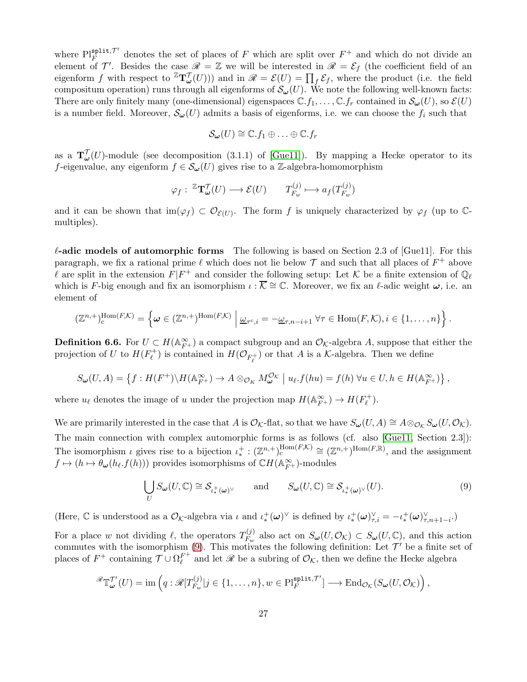where  $\text{Pl}_F^{\text{split},\mathcal{T}'}$  $F_F^{\text{split},\gamma}$  denotes the set of places of F which are split over  $F^+$  and which do not divide an element of  $\mathcal{T}'$ . Besides the case  $\mathscr{R} = \mathbb{Z}$  we will be interested in  $\mathscr{R} = \mathcal{E}_f$  (the coefficient field of an eigenform f with respect to  ${}^{\mathbb{Z}}\mathbf{T}_{\omega}^{\mathcal{T}}(U)$ ) and in  $\mathscr{R} = \mathcal{E}(U) = \prod_{f} \mathcal{E}_{f}$ , where the product (i.e. the field compositum operation) runs through all eigenforms of  $\mathcal{S}_{\omega}(U)$ . We note the following well-known facts: There are only finitely many (one-dimensional) eigenspaces  $\mathbb{C}.f_1,\ldots,\mathbb{C}.f_r$  contained in  $\mathcal{S}_{\omega}(U)$ , so  $\mathcal{E}(U)$ is a number field. Moreover,  $\mathcal{S}_{\omega}(U)$  admits a basis of eigenforms, i.e. we can choose the  $f_i$  such that

$$
\mathcal{S}_{\boldsymbol{\omega}}(U) \cong \mathbb{C}.f_1 \oplus \ldots \oplus \mathbb{C}.f_r
$$

as a  $\mathbf{T}'_{\boldsymbol{\omega}}(U)$ -module (see decomposition (3.1.1) of [\[Gue11\]](#page-44-12)). By mapping a Hecke operator to its f-eigenvalue, any eigenform  $f \in \mathcal{S}_{\omega}(U)$  gives rise to a Z-algebra-homomorphism

$$
\varphi_f: \ ^{\mathbb{Z}}\mathbf{T}_{\omega}^{\mathcal{T}}(U) \longrightarrow \mathcal{E}(U) \qquad T_{F_w}^{(j)} \longmapsto a_f(T_{F_w}^{(j)})
$$

and it can be shown that  $\text{im}(\varphi_f) \subset \mathcal{O}_{\mathcal{E}(U)}$ . The form f is uniquely characterized by  $\varphi_f$  (up to  $\mathbb{C}$ multiples).

ℓ-adic models of automorphic forms The following is based on Section 2.3 of [Gue11]. For this paragraph, we fix a rational prime  $\ell$  which does not lie below  $\mathcal T$  and such that all places of  $F^+$  above l are split in the extension  $F|F^+$  and consider the following setup: Let K be a finite extension of  $\mathbb{Q}_\ell$ which is F-big enough and fix an isomorphism  $\iota : \overline{\mathcal{K}} \cong \mathbb{C}$ . Moreover, we fix an  $\ell$ -adic weight  $\omega$ , i.e. an element of

$$
(\mathbb{Z}^{n,+})_c^{\text{Hom}(F,\mathcal{K})}=\left\{\omega\in(\mathbb{Z}^{n,+})^{\text{Hom}(F,\mathcal{K})}\,\,\bigg|\,\,\underline{\omega}_{\tau^c,i}=-\underline{\omega}_{\tau,n-i+1}\,\,\forall\tau\in\text{Hom}(F,\mathcal{K}),i\in\{1,\ldots,n\}\right\}.
$$

**Definition 6.6.** For  $U \subset H(\mathbb{A}_{F^+}^{\infty})$  a compact subgroup and an  $\mathcal{O}_{\mathcal{K}}$ -algebra A, suppose that either the projection of U to  $H(F_{\rho}^+)$ <sup> $\mathcal{V}^+_{\ell}$ </sup>) is contained in  $H(\mathcal{O}_{F^+_{\ell}})$  or that A is a K-algebra. Then we define

$$
S_{\boldsymbol{\omega}}(U,A) = \left\{ f : H(F^+) \backslash H(\mathbb{A}_{F^+}^{\infty}) \to A \otimes_{\mathcal{O}_K} M_{\boldsymbol{\omega}}^{\mathcal{O}_K} \mid u_{\ell} . f(hu) = f(h) \; \forall u \in U, h \in H(\mathbb{A}_{F^+}^{\infty}) \right\},
$$

where  $u_{\ell}$  denotes the image of u under the projection map  $H(\mathbb{A}_{F^+}^{\infty}) \to H(F_{\ell}^+)$ '†).

We are primarily interested in the case that A is  $\mathcal{O}_{\mathcal{K}}$ -flat, so that we have  $S_{\boldsymbol{\omega}}(U, A) \cong A \otimes_{\mathcal{O}_{\mathcal{K}}} S_{\boldsymbol{\omega}}(U, \mathcal{O}_{\mathcal{K}})$ . The main connection with complex automorphic forms is as follows (cf. also [\[Gue11,](#page-44-12) Section 2.3]): The isomorphism  $\iota$  gives rise to a bijection  $\iota^+_* : (\mathbb{Z}^{n,+})_c^{\text{Hom}(F,\mathcal{K})} \cong (\mathbb{Z}^{n,+})^{\text{Hom}(F,\mathbb{R})}$ , and the assignment  $f \mapsto (h \mapsto \theta_{\omega}(h_{\ell}.f(h)))$  provides isomorphisms of  $\mathbb{C}H(\mathbb{A}_{F+}^{\infty})$ -modules

<span id="page-26-0"></span>
$$
\bigcup_{U} S_{\boldsymbol{\omega}}(U, \mathbb{C}) \cong S_{\iota^+_{*}(\boldsymbol{\omega})^{\vee}} \quad \text{and} \quad S_{\boldsymbol{\omega}}(U, \mathbb{C}) \cong S_{\iota^+_{*}(\boldsymbol{\omega})^{\vee}}(U). \tag{9}
$$

(Here,  $\mathbb C$  is understood as a  $\mathcal{O}_{\mathcal{K}}\text{-algebra via }\iota$  and  $\iota^+_*$ <sup>+</sup>⋅( $\omega$ )<sup> $\vee$ </sup> is defined by  $\iota_*^+$  $^+_{*}(\omega)^\vee_{\tau,i}=-\iota^+_*$  $^+_{\ast}(\omega)^\vee_{\tau,n+1-i}$ .)

For a place w not dividing  $\ell$ , the operators  $T_{F_{\text{max}}}^{(j)}$  $F_w^{(J)}$  also act on  $S_{\omega}(U, \mathcal{O}_{\mathcal{K}}) \subset S_{\omega}(U, \mathbb{C})$ , and this action commutes with the isomorphism [\(9\)](#page-26-0). This motivates the following definition: Let  $\mathcal{T}'$  be a finite set of places of  $F^+$  containing  $\mathcal{T} \cup \Omega_{\ell}^{F^+}$  $\ell^{\Gamma^+}$  and let  $\mathscr R$  be a subring of  $\mathcal{O}_{\mathcal{K}}$ , then we define the Hecke algebra

$$
\mathscr{R} \mathbb{T}^{\mathcal{T}'}_{\boldsymbol{\omega}}(U) = \text{im} \left( q : \mathscr{R}[T^{(j)}_{F_w}] j \in \{1, \ldots, n\}, w \in \mathrm{Pl}_F^{\mathrm{split}, \mathcal{T}'}] \longrightarrow \mathrm{End}_{\mathcal{O}_{\mathcal{K}}}(S_{\boldsymbol{\omega}}(U, \mathcal{O}_{\mathcal{K}}) \right),
$$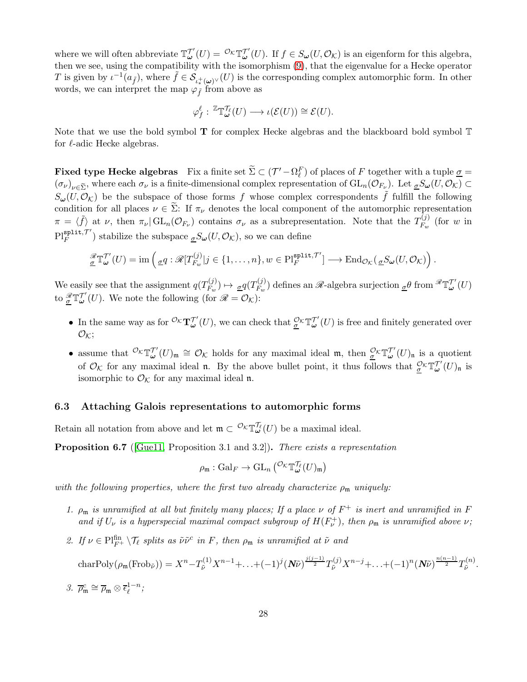where we will often abbreviate  $\mathbb{T}^{\mathcal{T}'}_{\omega}(U) = \mathcal{O}_{\mathcal{K}} \mathbb{T}^{\mathcal{T}'}_{\omega}(U)$ . If  $f \in S_{\omega}(U, \mathcal{O}_{\mathcal{K}})$  is an eigenform for this algebra, then we see, using the compatibility with the isomorphism [\(9\)](#page-26-0), that the eigenvalue for a Hecke operator T is given by  $\iota^{-1}(a_{\tilde{f}})$ , where  $\tilde{f} \in \mathcal{S}_{\iota^+_{*}(\omega)^{\vee}}(U)$  is the corresponding complex automorphic form. In other words, we can interpret the map  $\varphi_{\tilde{f}}$  from above as

$$
\varphi_f^{\ell}: \, \mathbb{Z}\mathbb{T}^{\mathcal{T}_{\ell}}_{\boldsymbol{\omega}}(U) \longrightarrow \iota(\mathcal{E}(U)) \cong \mathcal{E}(U).
$$

Note that we use the bold symbol  $T$  for complex Hecke algebras and the blackboard bold symbol  $T$ for  $\ell$ -adic Hecke algebras.

**Fixed type Hecke algebras** Fix a finite set  $\Sigma \subset (\mathcal{T}' - \Omega_{\ell}^F)$  of places of F together with a tuple  $\underline{\sigma} =$  $(\sigma_{\nu})_{\nu \in \widetilde{\Sigma}}$ , where each  $\sigma_{\nu}$  is a finite-dimensional complex representation of  $GL_n(\mathcal{O}_{F_{\nu}})$ . Let  ${}_{\underline{\sigma}}S_{\underline{\omega}}(U,\mathcal{O}_{\mathcal{K}}) \subset$  $S_{\omega}(U,\mathcal{O}_{\mathcal{K}})$  be the subspace of those forms f whose complex correspondents f fulfill the following condition for all places  $\nu \in \tilde{\Sigma}$ : If  $\pi_{\nu}$  denotes the local component of the automorphic representation  $\pi = \langle \tilde{f} \rangle$  at  $\nu$ , then  $\pi_{\nu}|\mathrm{GL}_n(\mathcal{O}_{F_{\nu}})$  contains  $\sigma_{\nu}$  as a subrepresentation. Note that the  $T_{F_w}^{(j)}$  $F_w^{(J)}$  (for w in  $\operatorname{Pl}_F^{\tt{split},\mathcal{T}'}$  $\frac{\text{split}}{F}$ , stabilize the subspace  $\frac{\sigma}{\sigma}S_{\omega}(U, \mathcal{O}_{\mathcal{K}})$ , so we can define

$$
\underline{\mathscr{X}}_{\underline{\sigma}}\mathbb{T}^{\mathcal{T}'}_{\underline{\omega}}(U)=\operatorname{im} \left( \underline{\sigma} q: \mathscr{R}[T^{(j)}_{F_w}]j \in \{1,\ldots,n\}, w \in \operatorname{Pl}_{F}^{\operatorname{split},\mathcal{T}'}] \longrightarrow \operatorname{End}_{\mathcal{O}_{\mathcal{K}}}(\underline{\sigma} S_{\underline{\omega}}(U,\mathcal{O}_{\mathcal{K}})\right).
$$

We easily see that the assignment  $q(T_{F_m}^{(j)})$  $\frac{\sigma^{(j)}}{F_w}$   $\mapsto \frac{\sigma q(T_{F_w}^{(j)})}{F_w}$  $F_w^{(j)}$  defines an  $\mathscr{R}$ -algebra surjection  ${}_{\underline{\sigma}}\theta$  from  ${}^{\mathscr{R}}\mathbb{T}^{\mathcal{T}'}_{\boldsymbol{\omega}}(U)$ to  $\frac{\mathscr{R}}{\underline{\sigma}} \mathbb{T}_{\omega}^{T'}(U)$ . We note the following (for  $\mathscr{R} = \mathcal{O}_{\mathcal{K}}$ ):

- In the same way as for  ${}^{\mathcal{O}_{\mathcal{K}}}T^{\mathcal{T}'}_{\omega}(U)$ , we can check that  ${}^{\mathcal{O}_{\mathcal{K}}}T^{\mathcal{T}'}_{\omega}(U)$  is free and finitely generated over  $\mathcal{O}_\mathcal{K}$ ;
- assume that  ${}^{\mathcal{O}_{\mathcal{K}}}\mathbb{T}^{\mathcal{T}'}_{\omega}(U)_{\mathfrak{m}} \cong \mathcal{O}_{\mathcal{K}}$  holds for any maximal ideal  $\mathfrak{m}$ , then  ${}^{\mathcal{O}_{\mathcal{K}}}\mathbb{T}^{\mathcal{T}'}_{\omega}(U)_{\mathfrak{n}}$  is a quotient of  $\mathcal{O}_{\mathcal{K}}$  for any maximal ideal **n**. By the above bullet point, it thus follows that  $\frac{\mathcal{O}_{\mathcal{K}}}{\mathcal{L}} \mathbb{T}_{\omega}^{\mathcal{T}'}(U)_{\mathfrak{n}}$  is isomorphic to  $\mathcal{O}_{\mathcal{K}}$  for any maximal ideal n.

### 6.3 Attaching Galois representations to automorphic forms

Retain all notation from above and let  $\mathfrak{m} \subset {}^{\mathcal{O}_{\mathcal{K}}}\mathbb{T}^{\prime\ell}_{\omega}(U)$  be a maximal ideal.

<span id="page-27-0"></span>**Proposition 6.7** ([\[Gue11,](#page-44-12) Proposition 3.1 and 3.2]). There exists a representation

$$
\rho_{\mathfrak{m}}: \mathrm{Gal}_F \to \mathrm{GL}_n\left( ^{\mathcal{O}_{\mathcal{K}}}\mathbb{T}^{\mathcal{T}_{\ell}}_\omega(U)_{\mathfrak{m}} \right)
$$

with the following properties, where the first two already characterize  $\rho_m$  uniquely:

- 1.  $\rho_m$  is unramified at all but finitely many places; If a place  $\nu$  of  $F^+$  is inert and unramified in F and if  $U_{\nu}$  is a hyperspecial maximal compact subgroup of  $H(F_{\nu}^+)$ , then  $\rho_{\mathfrak{m}}$  is unramified above  $\nu$ ;
- 2. If  $\nu \in \text{Pl}_{F^+}^{\text{fin}} \setminus \mathcal{T}_{\ell}$  splits as  $\tilde{\nu} \tilde{\nu}^c$  in F, then  $\rho_{\mathfrak{m}}$  is unramified at  $\tilde{\nu}$  and

$$
\text{charPoly}(\rho_{\mathfrak{m}}(\text{Frob}_{\tilde{\nu}})) = X^{n} - T_{\tilde{\nu}}^{(1)} X^{n-1} + \ldots + (-1)^{j} (N\tilde{\nu})^{\frac{j(j-1)}{2}} T_{\tilde{\nu}}^{(j)} X^{n-j} + \ldots + (-1)^{n} (N\tilde{\nu})^{\frac{n(n-1)}{2}} T_{\tilde{\nu}}^{(n)}.
$$

3.  $\overline{\rho}_{\mathfrak{m}}^c \cong \overline{\rho}_{\mathfrak{m}} \otimes \overline{\epsilon}_{\ell}^{1-n}$ ;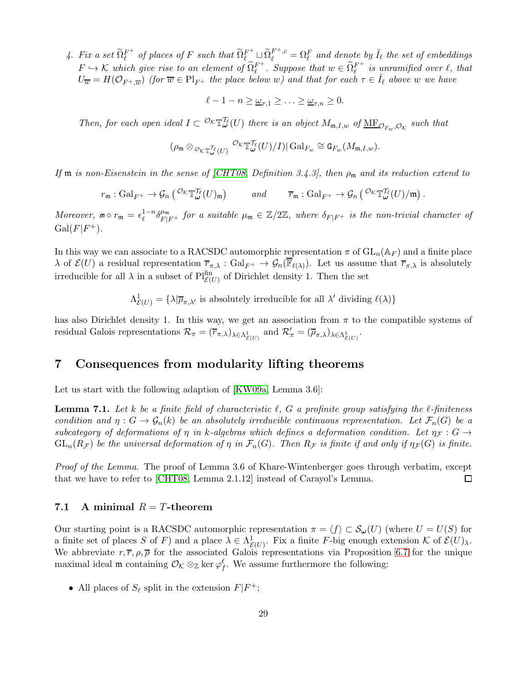4. Fix a set  $\widetilde{\Omega}_{\ell}^{F^+}$  $\tilde{Q}_{\ell}^{F^+}$  of places of F such that  $\tilde{\Omega}_{\ell}^{F^+} \sqcup \tilde{\Omega}_{\ell}^{F^+,c} = \Omega_{\ell}^F$  and denote by  $\tilde{I}_{\ell}$  the set of embeddings  $F \hookrightarrow \mathcal{K}$  which give rise to an element of  $\widetilde{\Omega}_{\ell}^{F^+}$ . Suppose that  $w \in \widetilde{\Omega}_{\ell}^{F^+}$  is unramified over  $\ell$ , that  $U_{\overline{w}} = H(\mathcal{O}_{F^+,\overline{w}})$  (for  $\overline{w} \in Pl_{F^+}$  the place below w) and that for each  $\tau \in \tilde{I}_{\ell}$  above w we have

$$
\ell-1-n\geq\underline{\omega}_{\tau,1}\geq\ldots\geq\underline{\omega}_{\tau,n}\geq0.
$$

Then, for each open ideal  $I \subset {}^{O_K} \mathbb{T}^N_\omega(U)$  there is an object  $M_{\mathfrak{m},I,w}$  of  $\underline{\text{MF}}_{\mathcal{O}_{F_w},\mathcal{O}_{\mathcal{K}}}$  such that

$$
(\rho_{\frak{m}}\otimes_{\mathcal{O}_{\mathcal{K}}\Bbb{T}^{\mathcal{T}_{\ell}}_{\pmb{\omega}}(U)}\mathcal{O}_{\mathcal{K}}\Bbb{T}^{\mathcal{T}_{\ell}}_{\pmb{\omega}}(U)/I)|\operatorname{Gal}_{F_w}\cong \mathtt{G}_{F_w}(M_{\frak{m},I,w}).
$$

If  $\mathfrak m$  is non-Eisenstein in the sense of [\[CHT08,](#page-43-0) Definition 3.4.3], then  $\rho_{\mathfrak m}$  and its reduction extend to

$$
r_{\mathfrak{m}}: Gal_{F^+} \to \mathcal{G}_n\left( \mathcal{O}\kappa \mathbb{T}_{\omega}^{\mathcal{T}_{\ell}}(U)_{\mathfrak{m}} \right) \qquad \text{and} \qquad \overline{r}_{\mathfrak{m}}: Gal_{F^+} \to \mathcal{G}_n\left( \mathcal{O}\kappa \mathbb{T}_{\omega}^{\mathcal{T}_{\ell}}(U)/\mathfrak{m} \right).
$$

Moreover,  $m \circ r_m = \epsilon_\ell^{1-n} \delta_{F|F^+}^{\mu_m}$  for a suitable  $\mu_m \in \mathbb{Z}/2\mathbb{Z}$ , where  $\delta_{F|F^+}$  is the non-trivial character of  $Gal(F|F^+).$ 

In this way we can associate to a RACSDC automorphic representation  $\pi$  of  $GL_n(\mathbb{A}_F)$  and a finite place  $\lambda$  of  $\mathcal{E}(U)$  a residual representation  $\overline{r}_{\pi,\lambda}$  :  $Gal_{F^+} \to \mathcal{G}_n(\mathbb{F}_{\ell(\lambda)})$ . Let us assume that  $\overline{r}_{\pi,\lambda}$  is absolutely irreducible for all  $\lambda$  in a subset of  $\text{Pl}_{\mathcal{E}(U)}^{\text{fin}}$  of Dirichlet density 1. Then the set

 $\Lambda^1_{\mathcal{E}(U)} = \{\lambda | \overline{\rho}_{\pi,\lambda'}\}$  is absolutely irreducible for all  $\lambda'$  dividing  $\ell(\lambda)\}$ 

has also Dirichlet density 1. In this way, we get an association from  $\pi$  to the compatible systems of residual Galois representations  $\mathcal{R}_{\pi} = (\overline{r}_{\pi,\lambda})_{\lambda \in \Lambda^1_{\mathcal{E}(U)}}$  and  $\mathcal{R}'_{\pi} = (\overline{\rho}_{\pi,\lambda})_{\lambda \in \Lambda^1_{\mathcal{E}(U)}}$ .

### <span id="page-28-0"></span>7 Consequences from modularity lifting theorems

Let us start with the following adaption of [\[KW09a,](#page-44-10) Lemma 3.6]:

**Lemma 7.1.** Let k be a finite field of characteristic  $\ell$ , G a profinite group satisfying the  $\ell$ -finiteness condition and  $\eta: G \to \mathcal{G}_n(k)$  be an absolutely irreducible continuous representation. Let  $\mathcal{F}_n(G)$  be a subcategory of deformations of  $\eta$  in k-algebras which defines a deformation condition. Let  $\eta$ <sub>F</sub> : G  $\rightarrow$  $GL_n(R_{\mathcal{F}})$  be the universal deformation of  $\eta$  in  $\mathcal{F}_n(G)$ . Then  $R_{\mathcal{F}}$  is finite if and only if  $\eta_{\mathcal{F}}(G)$  is finite.

Proof of the Lemma. The proof of Lemma 3.6 of Khare-Wintenberger goes through verbatim, except that we have to refer to [\[CHT08,](#page-43-0) Lemma 2.1.12] instead of Carayol's Lemma.  $\Box$ 

#### 7.1 A minimal  $R = T$ -theorem

Our starting point is a RACSDC automorphic representation  $\pi = \langle f \rangle \subset S_{\omega}(U)$  (where  $U = U(S)$  for a finite set of places S of F) and a place  $\lambda \in \Lambda^1_{\mathcal{E}(U)}$ . Fix a finite F-big enough extension K of  $\mathcal{E}(U)_{\lambda}$ . We abbreviate  $r, \overline{r}, \rho, \overline{\rho}$  for the associated Galois representations via Proposition [6.7](#page-27-0) for the unique maximal ideal  $\mathfrak{m}$  containing  $\mathcal{O}_{\mathcal{K}} \otimes_{\mathbb{Z}} \ker \varphi_f^{\ell}$ . We assume furthermore the following:

• All places of  $S_{\ell}$  split in the extension  $F|F^+;$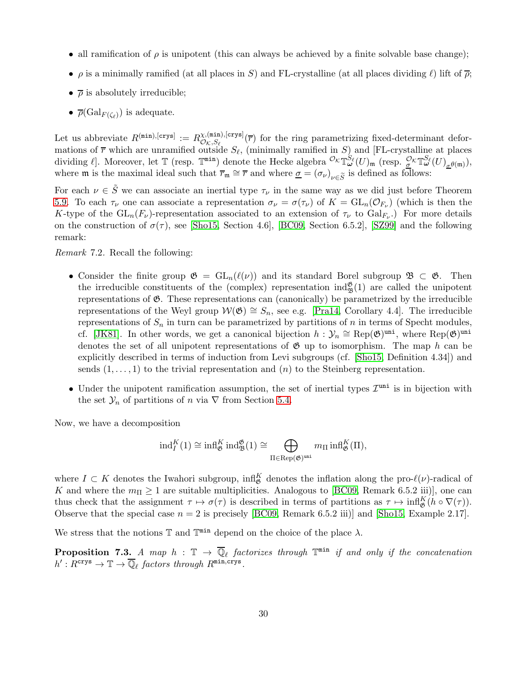- all ramification of  $\rho$  is unipotent (this can always be achieved by a finite solvable base change);
- $\rho$  is a minimally ramified (at all places in S) and FL-crystalline (at all places dividing  $\ell$ ) lift of  $\bar{\rho}$ ;
- $\overline{\rho}$  is absolutely irreducible;
- $\overline{\rho}(\mathrm{Gal}_{F(\zeta_{\ell})})$  is adequate.

Let us abbreviate  $R^{(\min),[\text{crys}]} := R^{\chi,(\min),[\text{crys}]}_{\mathcal{O}_K, S_{\ell}}$  $\mathcal{O}_{\mathcal{K},S_{\ell}}^{(\text{min}),[c_1\text{ys}]}(\overline{r})$  for the ring parametrizing fixed-determinant deformations of  $\overline{r}$  which are unramified outside  $S_{\ell}$ , (minimally ramified in S) and [FL-crystalling at places dividing  $\ell$ ]. Moreover, let  $\mathbb T$  (resp.  $\mathbb T^{\min}$ ) denote the Hecke algebra  ${}^{\mathcal O_K} \mathbb T^{S_\ell}_\omega(U)_{\mathfrak m}$  (resp.  ${}^{\mathcal O_K}_\sigma \mathbb T^{S_\ell}_\omega(U)_{\sigma^{\theta(\mathfrak m)}}$ ), where **m** is the maximal ideal such that  $\overline{r}_{\mathfrak{m}} \cong \overline{r}$  and where  $\underline{\sigma} = (\sigma_{\nu})_{\nu \in \widetilde{S}}$  is defined as follows:

For each  $\nu \in S$  we can associate an inertial type  $\tau_{\nu}$  in the same way as we did just before Theorem [5.9.](#page-20-0) To each  $\tau_{\nu}$  one can associate a representation  $\sigma_{\nu} = \sigma(\tau_{\nu})$  of  $K = GL_n(\mathcal{O}_{F_{\nu}})$  (which is then the K-type of the  $GL_n(F_\nu)$ -representation associated to an extension of  $\tau_\nu$  to  $Gal_{F_\nu}$ .) For more details on the construction of  $\sigma(\tau)$ , see [\[Sho15,](#page-45-12) Section 4.6], [\[BC09,](#page-43-14) Section 6.5.2], [\[SZ99\]](#page-45-13) and the following remark:

Remark 7.2. Recall the following:

- Consider the finite group  $\mathfrak{G} = GL_n(\ell(\nu))$  and its standard Borel subgroup  $\mathfrak{B} \subset \mathfrak{G}$ . Then the irreducible constituents of the (complex) representation  $\text{ind}_{\mathfrak{B}}^{\mathfrak{G}}(1)$  are called the unipotent representations of  $\mathfrak{G}$ . These representations can (canonically) be parametrized by the irreducible representations of the Weyl group  $W(\mathfrak{G}) \cong S_n$ , see e.g. [\[Pra14,](#page-45-14) Corollary 4.4]. The irreducible representations of  $S_n$  in turn can be parametrized by partitions of n in terms of Specht modules, cf. [\[JK81\]](#page-44-14). In other words, we get a canonical bijection  $h: \mathcal{Y}_n \cong \text{Rep}(\mathfrak{G})^{\text{uni}}$ , where  $\text{Rep}(\mathfrak{G})^{\text{uni}}$ denotes the set of all unipotent representations of  $\mathfrak{G}$  up to isomorphism. The map h can be explicitly described in terms of induction from Levi subgroups (cf. [\[Sho15,](#page-45-12) Definition 4.34]) and sends  $(1, \ldots, 1)$  to the trivial representation and  $(n)$  to the Steinberg representation.
- Under the unipotent ramification assumption, the set of inertial types  $\mathcal{I}^{\text{uni}}$  is in bijection with the set  $\mathcal{Y}_n$  of partitions of n via  $\nabla$  from Section [5.4.](#page-18-0)

Now, we have a decomposition

$$
\mathrm{ind}_I^K(1) \cong \mathrm{infl}_\mathfrak{G}^K\,\mathrm{ind}_\mathfrak{B}^\mathfrak{G}(1) \cong \bigoplus_{\Pi \in \mathrm{Rep}(\mathfrak{G})^{\mathrm{uni}}} m_\Pi\,\mathrm{infl}_\mathfrak{G}^K(\Pi),
$$

where  $I \subset K$  denotes the Iwahori subgroup,  $\inf_{\mathfrak{G}}^K$  denotes the inflation along the pro- $\ell(\nu)$ -radical of K and where the  $m_{\Pi} \geq 1$  are suitable multiplicities. Analogous to [\[BC09,](#page-43-14) Remark 6.5.2 iii)], one can thus check that the assignment  $\tau \mapsto \sigma(\tau)$  is described in terms of partitions as  $\tau \mapsto \inf_{\mathfrak{G}}^K (h \circ \nabla(\tau))$ . Observe that the special case  $n = 2$  is precisely [\[BC09,](#page-43-14) Remark 6.5.2 iii)] and [\[Sho15,](#page-45-12) Example 2.17].

We stress that the notions  $\mathbb T$  and  $\mathbb T^{\min}$  depend on the choice of the place  $\lambda$ .

<span id="page-29-0"></span>**Proposition 7.3.** A map  $h : \mathbb{T} \to \overline{\mathbb{Q}}_\ell$  factorizes through  $\mathbb{T}^{\min}$  if and only if the concatenation  $h': R^{\text{crys}} \to \mathbb{T} \to \overline{\mathbb{Q}}_{\ell}$  factors through  $R^{\text{min,crys}}$ .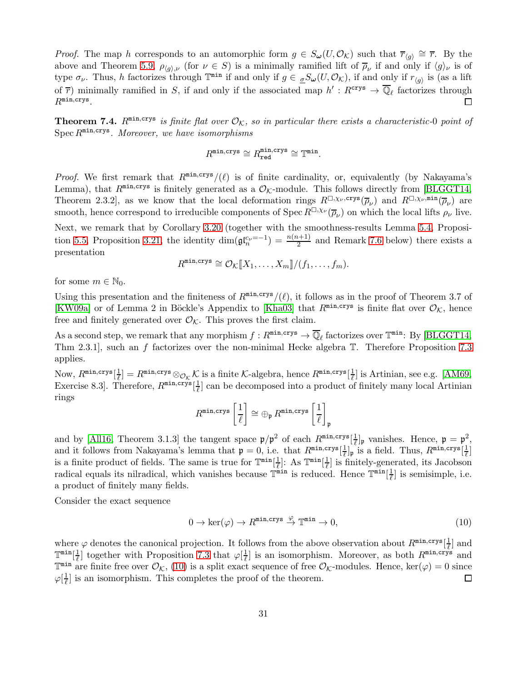*Proof.* The map h corresponds to an automorphic form  $g \in S_\omega(U, \mathcal{O}_\mathcal{K})$  such that  $\overline{r}_{\langle g \rangle} \cong \overline{r}$ . By the above and Theorem [5.9,](#page-20-0)  $\rho_{\langle g \rangle, \nu}$  (for  $\nu \in S$ ) is a minimally ramified lift of  $\overline{\rho}_{\nu}$  if and only if  $\langle g \rangle_{\nu}$  is of type  $\sigma_{\nu}$ . Thus, h factorizes through  $\mathbb{T}^{\min}$  if and only if  $g \in \mathscr{S}_{\omega}(U, \mathcal{O}_{\mathcal{K}})$ , if and only if  $r_{\langle g \rangle}$  is (as a lift of  $\overline{r}$ ) minimally ramified in S, if and only if the associated map  $h': R^{\text{crys}} \to \overline{\mathbb{Q}}_{\ell}$  factorizes through  $R^{\text{min, crys}}$ .

<span id="page-30-1"></span>**Theorem 7.4.**  $R^{\min, crys}$  is finite flat over  $\mathcal{O}_K$ , so in particular there exists a characteristic-0 point of  $Spec R<sup>min, crys</sup>$ . Moreover, we have isomorphisms

$$
R^{\min,\text{crys}} \cong R^{\min,\text{crys}}_{\text{red}} \cong \mathbb{T}^{\min}.
$$

*Proof.* We first remark that  $R^{\min,crys}/(\ell)$  is of finite cardinality, or, equivalently (by Nakayama's Lemma), that  $R^{\min, \text{crys}}$  is finitely generated as a  $\mathcal{O}_K$ -module. This follows directly from [\[BLGGT14,](#page-43-4) Theorem 2.3.2, as we know that the local deformation rings  $R^{\Box,\chi_{\nu},\text{crys}}(\overline{\rho}_{\nu})$  and  $R^{\Box,\chi_{\nu},\text{min}}(\overline{\rho}_{\nu})$  are smooth, hence correspond to irreducible components of  $\operatorname{Spec} R^{\square,\chi_{\nu}}(\overline{\rho}_{\nu})$  on which the local lifts  $\rho_{\nu}$  live.

Next, we remark that by Corollary [3.20](#page-7-3) (together with the smoothness-results Lemma [5.4,](#page-18-4) Proposi-tion [5.5,](#page-18-3) Proposition [3.21,](#page-8-0) the identity  $\dim(\mathfrak{gl}_n^{c_\nu=-1})=\frac{n(n+1)}{2}$  and Remark [7.6](#page-31-0) below) there exists a presentation

$$
R^{\min, \text{crys}} \cong \mathcal{O}_{\mathcal{K}}[\![X_1, \ldots, X_m]\!]/(f_1, \ldots, f_m).
$$

for some  $m \in \mathbb{N}_0$ .

Using this presentation and the finiteness of  $R^{\min,crys}/(\ell)$ , it follows as in the proof of Theorem 3.7 of [\[KW09a\]](#page-44-10) or of Lemma 2 in Böckle's Appendix to [\[Kha03\]](#page-44-15) that  $R^{\min, \text{crys}}$  is finite flat over  $\mathcal{O}_K$ , hence free and finitely generated over  $\mathcal{O}_K$ . This proves the first claim.

As a second step, we remark that any morphism  $f: R^{\min, \text{crys}} \to \overline{\mathbb{Q}}_{\ell}$  factorizes over  $\mathbb{T}^{\min}$ : By [\[BLGGT14,](#page-43-4) Thm 2.3.1], such an f factorizes over the non-minimal Hecke algebra T. Therefore Proposition [7.3](#page-29-0) applies.

Now,  $R^{\texttt{min, crys}}[\frac{1}{\ell}]$  $\frac{1}{\ell}$ ] =  $R^{\texttt{min, crys}} \otimes_{\mathcal{O}_{\mathcal{K}}} \mathcal{K}$  is a finite  $\mathcal{K}\text{-algebra}$ , hence  $R^{\texttt{min, crys}}[\frac{1}{\ell}]$  $\frac{1}{\ell}$  is Artinian, see e.g. [\[AM69,](#page-42-1) Exercise 8.3. Therefore,  $R^{\min, \text{crys}}\left[\frac{1}{\ell}\right]$  $\frac{1}{\ell}$  can be decomposed into a product of finitely many local Artinian rings

$$
R^{\texttt{min, crys}}\left[ \frac{1}{\ell} \right] \cong \oplus_{\mathfrak{p}} R^{\texttt{min, crys}}\left[ \frac{1}{\ell} \right]_{\mathfrak{p}}
$$

and by [\[All16,](#page-42-0) Theorem 3.1.3] the tangent space  $\mathfrak{p}/\mathfrak{p}^2$  of each  $R^{\min,crys}[\frac{1}{\ell}]$  $\frac{1}{\ell}$  | p vanishes. Hence,  $\mathfrak{p} = \mathfrak{p}^2$ , and it follows from Nakayama's lemma that  $\mathfrak{p} = 0$ , i.e. that  $R^{\min,crys}[\frac{1}{\ell}]_{\mathfrak{p}}$  is a field. Thus,  $R^{\min,crys}[\frac{1}{\ell}]$ is a finite product of fields. The same is true for  $\mathbb{T}^{\min}[\frac{1}{\ell}]$ : As  $\mathbb{T}^{\min}[\frac{1}{\ell}]$  is finitely-generated, its Jacobson  $\frac{1}{\ell}$ ]: As  $\mathbb{T}^{\min}[\frac{1}{\ell}]$  $\frac{1}{\ell}$  is finitely-generated, its Jacobson radical equals its nilradical, which vanishes because  $\mathbb{T}^{\min}$  is reduced. Hence  $\mathbb{T}^{\min}[\frac{1}{\ell}]$  $\frac{1}{\ell}$  is semisimple, i.e. a product of finitely many fields.

Consider the exact sequence

<span id="page-30-0"></span>
$$
0 \to \ker(\varphi) \to R^{\min, \text{crys}} \stackrel{\varphi}{\to} \mathbb{T}^{\min} \to 0,\tag{10}
$$

where  $\varphi$  denotes the canonical projection. It follows from the above observation about  $R^{\min,crys}[\frac{1}{\ell}]$  $\frac{1}{\ell}$  and  $\mathbb{T}^{\min}[\frac{1}{\ell}$  $\frac{1}{\ell}$  together with Proposition [7.3](#page-29-0) that  $\varphi[\frac{1}{\ell}]$  $\frac{1}{\ell}$  is an isomorphism. Moreover, as both  $R^{\min, \text{crys}}$  and  $\mathbb{T}^{\min}$  are finite free over  $\mathcal{O}_{\mathcal{K}}$ , [\(10\)](#page-30-0) is a split exact sequence of free  $\mathcal{O}_{\mathcal{K}}$ -modules. Hence, ker( $\varphi$ ) = 0 since  $\varphi[\frac{1}{\ell}]$  $\frac{1}{\ell}$  is an isomorphism. This completes the proof of the theorem.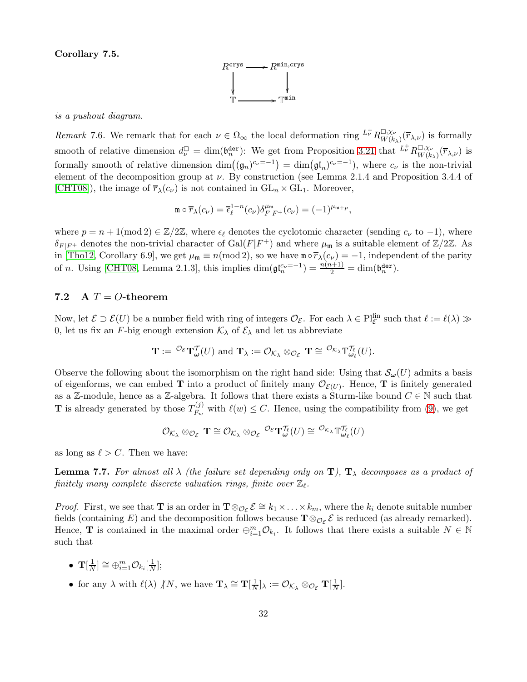Corollary 7.5.



#### is a pushout diagram.

<span id="page-31-0"></span>Remark 7.6. We remark that for each  $\nu \in \Omega_{\infty}$  the local deformation ring  $L^{\dagger}_{\nu} R^{\square,\chi_{\nu}}_{W(k)}$  $W_{W(k_{\lambda})}^{L, \chi_{\nu}}(\overline{r}_{\lambda, \nu})$  is formally smooth of relative dimension  $d_{\nu}^{\Box} = \dim(\mathfrak{b}_{n}^{\text{der}})$ : We get from Proposition [3.21](#page-8-0) that  $L^{\dagger}_{\nu} R^{\Box, \chi_{\nu}}_{W(k)}$  $W(K_{\lambda})^{\scriptstyle(\overline{T}_{\lambda,\nu})}$  is formally smooth of relative dimension  $\dim((\mathfrak{g}_n)^{c_{\nu}=-1}) = \dim(\mathfrak{gl}_n)^{c_{\nu}=-1}$ , where  $c_{\nu}$  is the non-trivial element of the decomposition group at  $\nu$ . By construction (see Lemma 2.1.4 and Proposition 3.4.4 of [\[CHT08\]](#page-43-0)), the image of  $\overline{r}_{\lambda}(c_{\nu})$  is not contained in  $GL_n \times GL_1$ . Moreover,

$$
\mathbf{m} \circ \overline{r}_{\lambda}(c_{\nu}) = \overline{\epsilon}_{\ell}^{1-n}(c_{\nu}) \delta_{F|F^{+}}^{\mu_{\mathfrak{m}}} (c_{\nu}) = (-1)^{\mu_{\mathfrak{m}+p}},
$$

where  $p = n + 1 \pmod{2} \in \mathbb{Z}/2\mathbb{Z}$ , where  $\epsilon_{\ell}$  denotes the cyclotomic character (sending  $c_{\nu}$  to  $-1$ ), where  $\delta_{F|F^+}$  denotes the non-trivial character of  $Gal(F|F^+)$  and where  $\mu_{\mathfrak{m}}$  is a suitable element of  $\mathbb{Z}/2\mathbb{Z}$ . As in [\[Tho12,](#page-46-4) Corollary 6.9], we get  $\mu_{\mathfrak{m}} \equiv n \pmod{2}$ , so we have  $\mathfrak{m} \circ \overline{r}_{\lambda}(c_{\nu}) = -1$ , independent of the parity of n. Using [\[CHT08,](#page-43-0) Lemma 2.1.3], this implies  $\dim(\mathfrak{gl}_n^{\mathcal{C}_{\nu}=-1}) = \frac{n(n+1)}{2} = \dim(\mathfrak{b}_n^{\mathsf{der}})$ .

#### 7.2 A  $T = O$ -theorem

Now, let  $\mathcal{E} \supset \mathcal{E}(U)$  be a number field with ring of integers  $\mathcal{O}_{\mathcal{E}}$ . For each  $\lambda \in \mathrm{Pl}_{\mathcal{E}}^{\mathrm{fin}}$  such that  $\ell := \ell(\lambda) \gg$ 0, let us fix an F-big enough extension  $\mathcal{K}_{\lambda}$  of  $\mathcal{E}_{\lambda}$  and let us abbreviate

$$
\mathbf{T} := {}^{\mathcal{O}_{\mathcal{E}}} \mathbf{T}_{\boldsymbol{\omega}}^{\mathcal{T}}(U) \text{ and } \mathbf{T}_{\lambda} := {}^{\mathcal{O}_{\mathcal{K}_{\lambda}}} \otimes_{\mathcal{O}_{\mathcal{E}}} \mathbf{T} \cong {}^{\mathcal{O}_{\mathcal{K}_{\lambda}}} \mathbb{T}_{\boldsymbol{\omega}_{\ell}}^{\mathcal{T}_{\ell}}(U).
$$

Observe the following about the isomorphism on the right hand side: Using that  $\mathcal{S}_{\omega}(U)$  admits a basis of eigenforms, we can embed **T** into a product of finitely many  $\mathcal{O}_{\mathcal{E}(U)}$ . Hence, **T** is finitely generated as a Z-module, hence as a Z-algebra. It follows that there exists a Sturm-like bound  $C \in \mathbb{N}$  such that **T** is already generated by those  $T_{F_m}^{(j)}$  $F_w^{(J)}$  with  $\ell(w) \leq C$ . Hence, using the compatibility from [\(9\)](#page-26-0), we get

$$
\mathcal{O}_{\mathcal{K}_\lambda} \otimes_{\mathcal{O}_{\mathcal{E}}} \mathbf{T} \cong \mathcal{O}_{\mathcal{K}_\lambda} \otimes_{\mathcal{O}_{\mathcal{E}}} \mathcal{O}_{\mathcal{E}} \mathbf{T}_{\boldsymbol{\omega}}^{\mathcal{T}_{\ell}}(U) \cong \mathcal{O}_{\mathcal{K}_\lambda} \mathbb{T}_{\boldsymbol{\omega}_{\ell}}^{\mathcal{T}_{\ell}}(U)
$$

as long as  $\ell > C$ . Then we have:

**Lemma 7.7.** For almost all  $\lambda$  (the failure set depending only on  $\mathbf{T}$ ),  $\mathbf{T}_{\lambda}$  decomposes as a product of  $\emph{finitely many complete discrete valuation rings, finite over $\mathbb{Z}_\ell$.}$ 

*Proof.* First, we see that **T** is an order in  $\mathbf{T} \otimes_{\mathcal{O}_{\mathcal{E}}} \mathcal{E} \cong k_1 \times \ldots \times k_m$ , where the  $k_i$  denote suitable number fields (containing E) and the decomposition follows because  $\mathbf{T} \otimes_{\mathcal{O}_{\mathcal{E}}} \mathcal{E}$  is reduced (as already remarked). Hence, **T** is contained in the maximal order  $\bigoplus_{i=1}^{m} \mathcal{O}_{k_i}$ . It follows that there exists a suitable  $N \in \mathbb{N}$ such that

- $\bullet$  T $[\frac{1}{N}$  $\frac{1}{N}]\cong \oplus_{i=1}^m \mathcal{O}_{k_i}[\frac{1}{N}]$  $\frac{1}{N}$ ];
- for any  $\lambda$  with  $\ell(\lambda) \nmid N$ , we have  $\mathbf{T}_{\lambda} \cong \mathbf{T}[\frac{1}{N}]$  $\frac{1}{N}]_{\lambda} := \mathcal{O}_{\mathcal{K}_\lambda} \otimes_{\mathcal{O}_{\mathcal{E}}} \mathbf{T}[\frac{1}{N}]$  $\frac{1}{N}$ .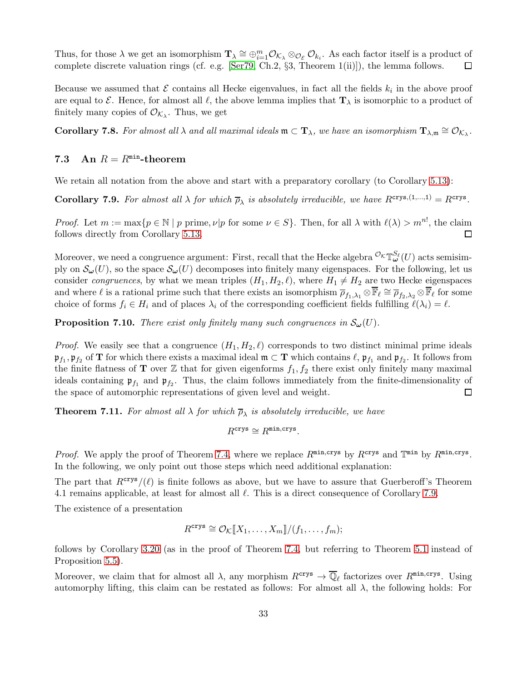Thus, for those  $\lambda$  we get an isomorphism  $\mathbf{T}_{\lambda} \cong \bigoplus_{i=1}^{m} \mathcal{O}_{\mathcal{K}_{\lambda}} \otimes_{\mathcal{O}_{\mathcal{E}}} \mathcal{O}_{k_i}$ . As each factor itself is a product of complete discrete valuation rings (cf. e.g. [\[Ser79,](#page-45-15) Ch.2,  $\S3$ , Theorem 1(ii)]), the lemma follows. □

Because we assumed that  $\mathcal E$  contains all Hecke eigenvalues, in fact all the fields  $k_i$  in the above proof are equal to  $\mathcal E$ . Hence, for almost all  $\ell$ , the above lemma implies that  $\mathbf T_\lambda$  is isomorphic to a product of finitely many copies of  $\mathcal{O}_{\mathcal{K}_{\lambda}}$ . Thus, we get

<span id="page-32-3"></span>**Corollary 7.8.** For almost all  $\lambda$  and all maximal ideals  $\mathfrak{m} \subset \mathbf{T}_\lambda$ , we have an isomorphism  $\mathbf{T}_{\lambda,\mathfrak{m}} \cong \mathcal{O}_{\mathcal{K}_\lambda}$ .

# 7.3 An  $R = R^{\min}$ -theorem

We retain all notation from the above and start with a preparatory corollary (to Corollary [5.13\)](#page-22-2):

<span id="page-32-1"></span>**Corollary 7.9.** For almost all  $\lambda$  for which  $\overline{\rho}_{\lambda}$  is absolutely irreducible, we have  $R^{\text{crys},(1,\dots,1)} = R^{\text{crys}}$ .

*Proof.* Let  $m := \max\{p \in \mathbb{N} \mid p \text{ prime}, \nu | p \text{ for some } \nu \in S\}$ . Then, for all  $\lambda$  with  $\ell(\lambda) > m^{n!}$ , the claim follows directly from Corollary [5.13.](#page-22-2)  $\Box$ 

Moreover, we need a congruence argument: First, recall that the Hecke algebra  ${}^{{\cal O}_{\cal K}}T^{S_{\ell}}_{\bm \omega}(U)$  acts semisimply on  $\mathcal{S}_{\omega}(U)$ , so the space  $\mathcal{S}_{\omega}(U)$  decomposes into finitely many eigenspaces. For the following, let us consider *congruences*, by what we mean triples  $(H_1, H_2, \ell)$ , where  $H_1 \neq H_2$  are two Hecke eigenspaces and where  $\ell$  is a rational prime such that there exists an isomorphism  $\overline{\rho}_{f_1,\lambda_1} \otimes \mathbb{F}_\ell \cong \overline{\rho}_{f_2,\lambda_2} \otimes \mathbb{F}_\ell$  for some choice of forms  $f_i \in H_i$  and of places  $\lambda_i$  of the corresponding coefficient fields fulfilling  $\ell(\lambda_i) = \ell$ .

<span id="page-32-2"></span>**Proposition 7.10.** There exist only finitely many such congruences in  $\mathcal{S}_{\omega}(U)$ .

*Proof.* We easily see that a congruence  $(H_1, H_2, \ell)$  corresponds to two distinct minimal prime ideals  $\mathfrak{p}_{f_1}, \mathfrak{p}_{f_2}$  of **T** for which there exists a maximal ideal  $\mathfrak{m} \subset \mathbf{T}$  which contains  $\ell, \mathfrak{p}_{f_1}$  and  $\mathfrak{p}_{f_2}$ . It follows from the finite flatness of **T** over Z that for given eigenforms  $f_1, f_2$  there exist only finitely many maximal ideals containing  $\mathfrak{p}_{f_1}$  and  $\mathfrak{p}_{f_2}$ . Thus, the claim follows immediately from the finite-dimensionality of the space of automorphic representations of given level and weight.  $\Box$ 

<span id="page-32-0"></span>**Theorem 7.11.** For almost all  $\lambda$  for which  $\overline{\rho}_{\lambda}$  is absolutely irreducible, we have

$$
R^{\text{crys}} \cong R^{\text{min,crys}}.
$$

*Proof.* We apply the proof of Theorem [7.4,](#page-30-1) where we replace  $R^{\min,crys}$  by  $R^{\text{crys}}$  and  $\mathbb{T}^{\min}$  by  $R^{\min,crys}$ . In the following, we only point out those steps which need additional explanation:

The part that  $R<sup>crys</sup>/(l)$  is finite follows as above, but we have to assure that Guerberoff's Theorem 4.1 remains applicable, at least for almost all  $\ell$ . This is a direct consequence of Corollary [7.9.](#page-32-1)

The existence of a presentation

$$
R^{\mathrm{crys}} \cong \mathcal{O}_{\mathcal{K}}[\![X_1,\ldots,X_m]\!]/(f_1,\ldots,f_m);
$$

follows by Corollary [3.20](#page-7-3) (as in the proof of Theorem [7.4,](#page-30-1) but referring to Theorem [5.1](#page-15-3) instead of Proposition [5.5\)](#page-18-3).

Moreover, we claim that for almost all  $\lambda$ , any morphism  $R^{\text{crys}} \to \overline{\mathbb{Q}}_\ell$  factorizes over  $R^{\text{min,crys}}$ . Using automorphy lifting, this claim can be restated as follows: For almost all  $\lambda$ , the following holds: For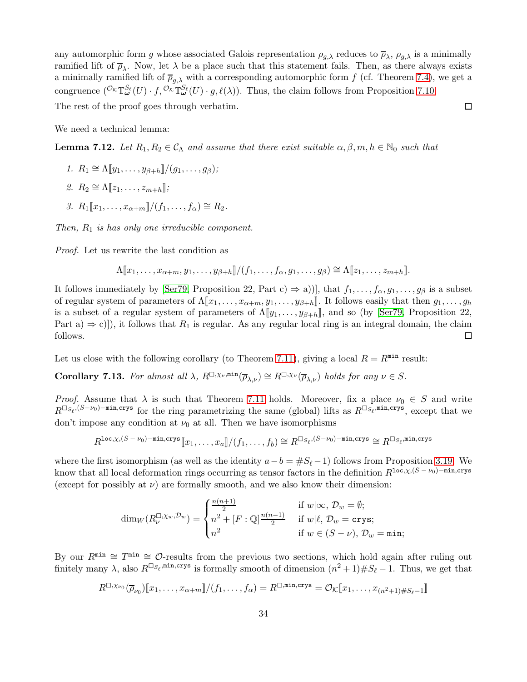any automorphic form g whose associated Galois representation  $\rho_{g,\lambda}$  reduces to  $\overline{\rho}_{\lambda}, \rho_{g,\lambda}$  is a minimally ramified lift of  $\overline{\rho}_{\lambda}$ . Now, let  $\lambda$  be a place such that this statement fails. Then, as there always exists a minimally ramified lift of  $\overline{\rho}_{q,\lambda}$  with a corresponding automorphic form f (cf. Theorem [7.4\)](#page-30-1), we get a congruence  $({^{\mathcal{O}_{\mathcal{K}}}\mathbb{T}^{S_{\ell}}_{\omega}(U) \cdot f, {^{\mathcal{O}_{\mathcal{K}}}\mathbb{T}^{S_{\ell}}_{\omega}(U) \cdot g, \ell(\lambda)})$ . Thus, the claim follows from Proposition [7.10.](#page-32-2) The rest of the proof goes through verbatim.  $\Box$ 

We need a technical lemma:

<span id="page-33-0"></span>**Lemma 7.12.** Let  $R_1, R_2 \in \mathcal{C}_\Lambda$  and assume that there exist suitable  $\alpha, \beta, m, h \in \mathbb{N}_0$  such that

- 1.  $R_1 \cong \Lambda[\![y_1, \ldots, y_{\beta+h}]\!]/(g_1, \ldots, g_{\beta});$
- 2.  $R_2 \cong \Lambda[\![z_1,\ldots,z_{m+h}]\!]$ ;
- 3.  $R_1[[x_1, \ldots, x_{\alpha+m}]/(f_1, \ldots, f_{\alpha}) \cong R_2$ .

Then,  $R_1$  is has only one irreducible component.

Proof. Let us rewrite the last condition as

$$
\Lambda[\![x_1,\ldots,x_{\alpha+m},y_1,\ldots,y_{\beta+h}]\!]/(f_1,\ldots,f_{\alpha},g_1,\ldots,g_{\beta})\cong\Lambda[\![z_1,\ldots,z_{m+h}]\!].
$$

It follows immediately by [\[Ser79,](#page-45-15) Proposition 22, Part c)  $\Rightarrow$  a))], that  $f_1, \ldots, f_\alpha, g_1, \ldots, g_\beta$  is a subset of regular system of parameters of  $\Lambda[\![x_1,\ldots,x_{\alpha+m},y_1,\ldots,y_{\beta+h}]\!]$ . It follows easily that then  $g_1,\ldots,g_h$ is a subset of a regular system of parameters of  $\Lambda[\![y_1,\ldots,y_{\beta+h}]\!]$ , and so (by [\[Ser79,](#page-45-15) Proposition 22, Part a)  $\Rightarrow$  c)]), it follows that  $R_1$  is regular. As any regular local ring is an integral domain, the claim follows. follows.

Let us close with the following corollary (to Theorem [7.11\)](#page-32-0), giving a local  $R = R^{\min}$  result:

<span id="page-33-1"></span>**Corollary 7.13.** For almost all  $\lambda$ ,  $R^{\Box,\chi_{\nu},\min}(\overline{\rho}_{\lambda,\nu}) \cong R^{\Box,\chi_{\nu}}(\overline{\rho}_{\lambda,\nu})$  holds for any  $\nu \in S$ .

Proof. Assume that  $\lambda$  is such that Theorem [7.11](#page-32-0) holds. Moreover, fix a place  $\nu_0 \in S$  and write  $R^{\Box s_{\ell},(S-\nu_0)-\min,\text{crys}}$  for the ring parametrizing the same (global) lifts as  $R^{\Box s_{\ell},\min,\text{crys}}$ , except that we don't impose any condition at  $\nu_0$  at all. Then we have isomorphisms

$$
R^{\texttt{loc},\chi,(S-\nu_0)-\texttt{min},\texttt{crys}}[\hspace{-1.5pt}[ x_1,\ldots,x_a]\hspace{-1.5pt}]/(f_1,\ldots,f_b)\cong R^{\square_{S_\ell},(S-\nu_0)-\texttt{min},\texttt{crys}}\cong R^{\square_{S_\ell},\texttt{min},\texttt{crys}}
$$

where the first isomorphism (as well as the identity  $a-b = \#S_{\ell} - 1$ ) follows from Proposition [3.19.](#page-7-0) We know that all local deformation rings occurring as tensor factors in the definition  $R^{\text{loc}, \chi, (S - \nu_0) - \text{min, crys}}$ (except for possibly at  $\nu$ ) are formally smooth, and we also know their dimension:

$$
\dim_W(R_{\nu}^{\square,\chi_w,\mathcal{D}_w}) = \begin{cases} \frac{n(n+1)}{2} & \text{if } w \mid \infty, \mathcal{D}_w = \emptyset; \\ n^2 + [F:\mathbb{Q}] \frac{n(n-1)}{2} & \text{if } w \mid \ell, \mathcal{D}_w = \text{crys}; \\ n^2 & \text{if } w \in (S-\nu), \mathcal{D}_w = \min; \end{cases}
$$

By our  $R^{\min} \cong T^{\min} \cong \mathcal{O}$ -results from the previous two sections, which hold again after ruling out finitely many  $\lambda$ , also  $R^{\Box_{S_{\ell}}$ ,min,crys is formally smooth of dimension  $(n^2+1)\#S_{\ell}-1$ . Thus, we get that

$$
R^{\Box,\chi_{\nu_0}}(\overline{\rho}_{\nu_0})[x_1,\ldots,x_{\alpha+m}]/(f_1,\ldots,f_{\alpha})=R^{\Box,\min,crys}=\mathcal{O}_{\mathcal{K}}[x_1,\ldots,x_{(n^2+1)\#S_{\ell}-1}]
$$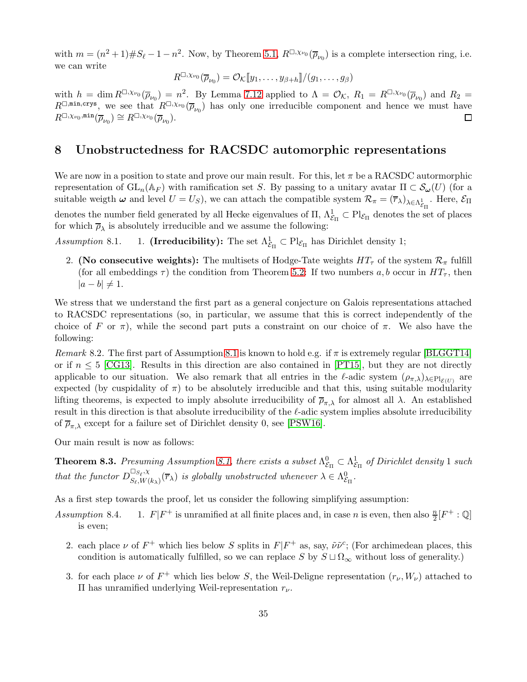with  $m = (n^2 + 1) \# S_{\ell} - 1 - n^2$ . Now, by Theorem [5.1,](#page-15-3)  $R^{\Box, \chi_{\nu_0}}(\overline{\rho}_{\nu_0})$  is a complete intersection ring, i.e. we can write

$$
R^{\Box,\chi_{\nu_0}}(\overline{\rho}_{\nu_0})=\mathcal{O}_{\mathcal{K}}[\hspace{-1.5pt}[ y_1,\ldots,y_{\beta+h}]\hspace{-1.5pt}]/(g_1,\ldots,g_{\beta})
$$

with  $h = \dim R^{\Box, \chi_{\nu_0}}(\overline{\rho}_{\nu_0}) = n^2$ . By Lemma [7.12](#page-33-0) applied to  $\Lambda = \mathcal{O}_{\mathcal{K}}$ ,  $R_1 = R^{\Box, \chi_{\nu_0}}(\overline{\rho}_{\nu_0})$  and  $R_2 =$  $R^{\Box, \min, \text{crys}}$ , we see that  $R^{\Box, \chi_{\nu_0}}(\overline{\rho}_{\nu_0})$  has only one irreducible component and hence we must have  $R^{\Box,\chi_{\nu_0},\min}(\overline{\rho}_{\nu_0}) \cong R^{\Box,\chi_{\nu_0}}(\overline{\rho}_{\nu_0}).$ □

### <span id="page-34-1"></span>8 Unobstructedness for RACSDC automorphic representations

We are now in a position to state and prove our main result. For this, let  $\pi$  be a RACSDC autormorphic representation of  $GL_n(\mathbb{A}_F)$  with ramification set S. By passing to a unitary avatar  $\Pi \subset \mathcal{S}_{\omega}(U)$  (for a suitable weigth  $\boldsymbol{\omega}$  and level  $U = U_S$ ), we can attach the compatible system  $\mathcal{R}_{\pi} = (\overline{r}_{\lambda})_{\lambda \in \Lambda^1_{\mathcal{E}_{\Pi}}}$ . Here,  $\mathcal{E}_{\Pi}$ denotes the number field generated by all Hecke eigenvalues of  $\Pi$ ,  $\Lambda^1_{\mathcal{E}_{\Pi}} \subset \mathrm{Pl}_{\mathcal{E}_{\Pi}}$  denotes the set of places for which  $\overline{\rho}_{\lambda}$  is absolutely irreducible and we assume the following:

Assumption 8.1. 1. (Irreducibility): The set  $\Lambda_{\mathcal{E}_{\Pi}}^1 \subset \mathrm{Pl}_{\mathcal{E}_{\Pi}}$  has Dirichlet density 1;

2. (No consecutive weights): The multisets of Hodge-Tate weights  $HT_{\tau}$  of the system  $\mathcal{R}_{\pi}$  fulfill (for all embeddings  $\tau$ ) the condition from Theorem [5.2:](#page-16-0) If two numbers a, b occur in  $HT_{\tau}$ , then  $|a - b| \neq 1$ .

We stress that we understand the first part as a general conjecture on Galois representations attached to RACSDC representations (so, in particular, we assume that this is correct independently of the choice of F or  $\pi$ ), while the second part puts a constraint on our choice of  $\pi$ . We also have the following:

<span id="page-34-0"></span>Remark 8.2. The first part of Assumption 8.1 is known to hold e.g. if  $\pi$  is extremely regular [\[BLGGT14\]](#page-43-4) or if  $n \leq 5$  [\[CG13\]](#page-43-15). Results in this direction are also contained in [\[PT15\]](#page-45-16), but they are not directly applicable to our situation. We also remark that all entries in the  $\ell$ -adic system  $(\rho_{\pi,\lambda})_{\lambda \in Pl_{\mathcal{E}(U)}}$  are expected (by cuspidality of  $\pi$ ) to be absolutely irreducible and that this, using suitable modularity lifting theorems, is expected to imply absolute irreducibility of  $\overline{\rho}_{\pi,\lambda}$  for almost all  $\lambda$ . An established result in this direction is that absolute irreducibility of the ℓ-adic system implies absolute irreducibility of  $\overline{\rho}_{\pi,\lambda}$  except for a failure set of Dirichlet density 0, see [\[PSW16\]](#page-45-17).

Our main result is now as follows:

<span id="page-34-2"></span>**Theorem 8.3.** Presuming Assumption 8.1, there exists a subset  $\Lambda_{\varepsilon}^{0}$  $\mathcal{E}_{\Pi}^0 \subset \Lambda^1_{\mathcal{E}}$  $\frac{1}{\mathcal{E}_{\Pi}}$  of Dirichlet density 1 such that the functor  $D_{S_{\varepsilon} W}^{\square_{S_{\varepsilon}, \chi}}$  $\mathbb{S}_{\ell,N}^{\square S_{\ell},\chi}(\overline{r}_{\lambda})$  is globally unobstructed whenever  $\lambda \in \Lambda_{\mathcal{E}}^{0}$  $\overset{0}{\mathcal{E}}_{\Pi}$  .

As a first step towards the proof, let us consider the following simplifying assumption:

Assumption 8.4. <sup>+</sup> is unramified at all finite places and, in case *n* is even, then also  $\frac{n}{2}[F^+ : \mathbb{Q}]$ is even;

- 2. each place  $\nu$  of  $F^+$  which lies below S splits in  $F|F^+$  as, say,  $\tilde{\nu}\tilde{\nu}^c$ ; (For archimedean places, this condition is automatically fulfilled, so we can replace S by  $S \sqcup \Omega_{\infty}$  without loss of generality.)
- 3. for each place  $\nu$  of  $F^+$  which lies below S, the Weil-Deligne representation  $(r_{\nu}, W_{\nu})$  attached to  $\Pi$  has unramified underlying Weil-representation  $r_{\nu}$ .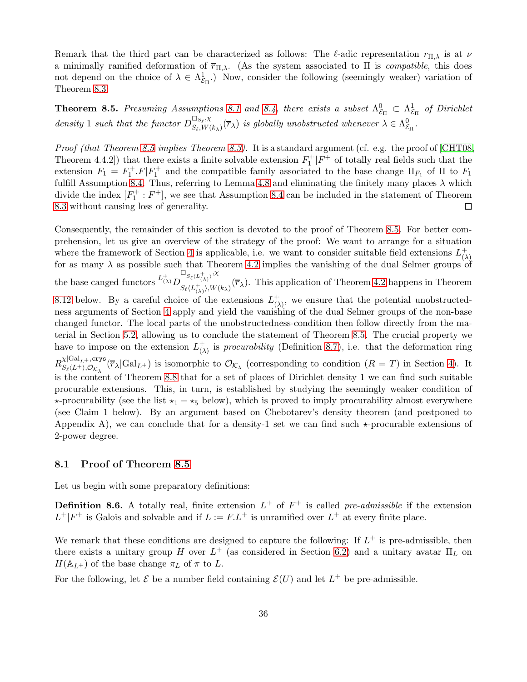Remark that the third part can be characterized as follows: The  $\ell$ -adic representation  $r_{\Pi,\lambda}$  is at  $\nu$ a minimally ramified deformation of  $\overline{r}_{\Pi,\lambda}$ . (As the system associated to  $\Pi$  is *compatible*, this does not depend on the choice of  $\lambda \in \Lambda_{\mathcal{E}}^1$  $\mathcal{E}_{\text{E}}$ .) Now, consider the following (seemingly weaker) variation of Theorem [8.3:](#page-34-2)

<span id="page-35-0"></span>**Theorem 8.5.** Presuming Assumptions 8.1 and 8.4, there exists a subset  $\Lambda^0_{\mathcal{E}_\Pi} \subset \Lambda^1_{\mathcal{E}_\Pi}$  of Dirichlet  $\epsilon_{\Pi}$  =  $\epsilon_{\Pi}$ density 1 such that the functor  $D_{S_{\epsilon} W}^{\square_{S_{\ell}}, \chi}$  $\mathbb{S}_{\varepsilon, W(k_{\lambda})}^{ \sqcup_{S_{\ell}, X}}(\overline{r}_{\lambda})$  is globally unobstructed whenever  $\lambda \in \Lambda_{\mathcal{E}}^{0}$  $\stackrel{0}{\mathcal{E}}$ Π $\cdot$ 

*Proof (that Theorem [8.5](#page-35-0) implies Theorem [8.3\)](#page-34-2).* It is a standard argument (cf. e.g. the proof of [\[CHT08,](#page-43-0) Theorem 4.4.2]) that there exists a finite solvable extension  $F_1^+|F^+|$  of totally real fields such that the extension  $F_1 = F_1^+ \cdot F \mid F_1^+$  and the compatible family associated to the base change  $\Pi_{F_1}$  of  $\Pi$  to  $F_1$ fulfill Assumption 8.4. Thus, referring to Lemma [4.8](#page-15-1) and eliminating the finitely many places  $\lambda$  which divide the index  $[F_1^+ : F^+]$ , we see that Assumption 8.4 can be included in the statement of Theorem [8.3](#page-34-2) without causing loss of generality.  $\Box$ 

Consequently, the remainder of this section is devoted to the proof of Theorem [8.5.](#page-35-0) For better comprehension, let us give an overview of the strategy of the proof: We want to arrange for a situation where the framework of Section [4](#page-10-1) is applicable, i.e. we want to consider suitable field extensions  $L_0^+$ (λ) for as many  $\lambda$  as possible such that Theorem [4.2](#page-12-0) implies the vanishing of the dual Selmer groups of the base canged functors  $L^{+}_{(\lambda)}D$  $\square_{S_{\ell}\langle L^+_{(\lambda)}\rangle},\chi$  $S_{\ell}(L^+_{(\lambda)},W_{(\kappa_{\lambda})}(\overline{r}_{\lambda}).$  This application of Theorem [4.2](#page-12-0) happens in Theorem [8.12](#page-39-0) below. By a careful choice of the extensions  $L_0^+$  $(\lambda)$ , we ensure that the potential unobstructedness arguments of Section [4](#page-10-1) apply and yield the vanishing of the dual Selmer groups of the non-base changed functor. The local parts of the unobstructedness-condition then follow directly from the material in Section [5.2,](#page-16-2) allowing us to conclude the statement of Theorem [8.5.](#page-35-0) The crucial property we have to impose on the extension  $L^+_{\Omega}$  $\begin{pmatrix} + \\ 0 \end{pmatrix}$  is procurability (Definition [8.7\)](#page-36-0), i.e. that the deformation ring  $R_{S_e/L}^{\chi|\mathrm{Gal}_{L^+},\mathrm{crys}}$  $S_{\ell}(L^+),\mathcal{O}_{K_{\lambda}}(\overline{r}_{\lambda}|\text{Gal}_{L^+})$  is isomorphic to  $\mathcal{O}_{K_{\lambda}}$  (corresponding to condition  $(R=T)$  in Section [4\)](#page-10-1). It is the content of Theorem [8.8](#page-36-1) that for a set of places of Dirichlet density 1 we can find such suitable procurable extensions. This, in turn, is established by studying the seemingly weaker condition of  $\star$ -procurability (see the list  $\star_1 - \star_5$  below), which is proved to imply procurability almost everywhere (see Claim 1 below). By an argument based on Chebotarev's density theorem (and postponed to Appendix A), we can conclude that for a density-1 set we can find such  $\star$ -procurable extensions of 2-power degree.

#### 8.1 Proof of Theorem [8.5](#page-35-0)

Let us begin with some preparatory definitions:

**Definition 8.6.** A totally real, finite extension  $L^+$  of  $F^+$  is called pre-admissible if the extension  $L^+|F^+|$  is Galois and solvable and if  $L := F.L^+$  is unramified over  $L^+$  at every finite place.

We remark that these conditions are designed to capture the following: If  $L^+$  is pre-admissible, then there exists a unitary group H over  $L^+$  (as considered in Section [6.2\)](#page-23-1) and a unitary avatar  $\Pi_L$  on  $H(\mathbb{A}_{L+})$  of the base change  $\pi_L$  of  $\pi$  to L.

For the following, let  $\mathcal E$  be a number field containing  $\mathcal E(U)$  and let  $L^+$  be pre-admissible.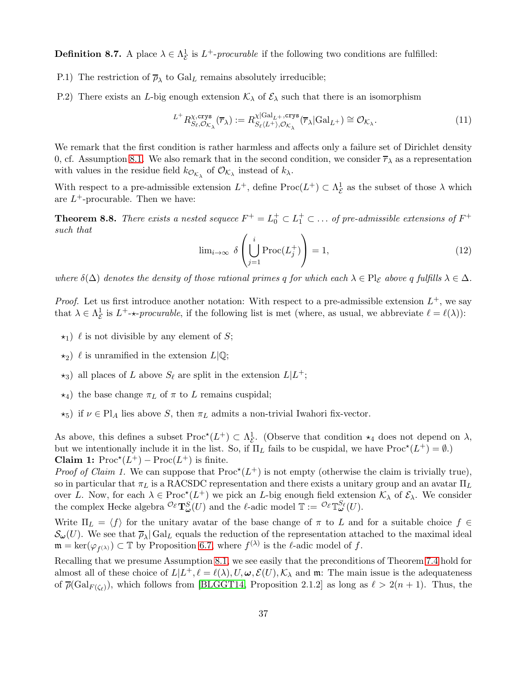<span id="page-36-0"></span>**Definition 8.7.** A place  $\lambda \in \Lambda_{\mathcal{E}}^1$  $\frac{1}{\mathcal{E}}$  is  $L^+$ -procurable if the following two conditions are fulfilled:

- P.1) The restriction of  $\overline{\rho}_{\lambda}$  to  $Gal_L$  remains absolutely irreducible;
- P.2) There exists an L-big enough extension  $K_{\lambda}$  of  $\mathcal{E}_{\lambda}$  such that there is an isomorphism

<span id="page-36-2"></span>
$$
L^+ R_{S_\ell, \mathcal{O}_{K_\lambda}}^{\chi, \text{crys}}(\overline{r}_\lambda) := R_{S_\ell \langle L^+ \rangle, \mathcal{O}_{K_\lambda}}^{\chi|\text{Gal}_{L^+}, \text{crys}}(\overline{r}_\lambda | \text{Gal}_{L^+}) \cong \mathcal{O}_{K_\lambda}.
$$
\n(11)

We remark that the first condition is rather harmless and affects only a failure set of Dirichlet density 0, cf. Assumption 8.1. We also remark that in the second condition, we consider  $\overline{r}_{\lambda}$  as a representation with values in the residue field  $k_{\mathcal{O}_{\mathcal{K}_{\lambda}}}$  of  $\mathcal{O}_{\mathcal{K}_{\lambda}}$  instead of  $k_{\lambda}$ .

With respect to a pre-admissible extension  $L^+$ , define  $\text{Proc}(L^+) \subset \Lambda^1_{\mathcal{E}}$  $\frac{1}{\mathcal{E}}$  as the subset of those  $\lambda$  which are  $L^+$ -procurable. Then we have:

<span id="page-36-1"></span>**Theorem 8.8.** There exists a nested sequece  $F^+ = L_0^+ \subset L_1^+ \subset \ldots$  of pre-admissible extensions of  $F^+$ such that

<span id="page-36-3"></span>
$$
\lim_{i \to \infty} \delta \left( \bigcup_{j=1}^{i} \text{Proc}(L_j^+) \right) = 1,\tag{12}
$$

where  $\delta(\Delta)$  denotes the density of those rational primes q for which each  $\lambda \in Pl_{\mathcal{E}}$  above q fulfills  $\lambda \in \Delta$ .

*Proof.* Let us first introduce another notation: With respect to a pre-admissible extension  $L^+$ , we say that  $\lambda \in \Lambda_{\mathcal{E}}^{1}$  $\frac{1}{\mathcal{E}}$  is  $L^+$ - $\star$ -procurable, if the following list is met (where, as usual, we abbreviate  $\ell = \ell(\lambda)$ ):

- $\star_1$ )  $\ell$  is not divisible by any element of S;
- $\star_2$ )  $\ell$  is unramified in the extension  $L|\mathbb{Q}$ ;
- $\star_3$ ) all places of L above  $S_{\ell}$  are split in the extension  $L|L^{+}$ ;
- $\star_4$ ) the base change  $\pi_L$  of  $\pi$  to L remains cuspidal;
- $\star_5$ ) if  $\nu \in Pl_A$  lies above S, then  $\pi_L$  admits a non-trivial Iwahori fix-vector.

As above, this defines a subset  $\text{Proc}^{\star}(L^{+}) \subset \Lambda_{\mathcal{E}}^{1}$ . (Observe that condition  $\star_4$  does not depend on  $\lambda$ , but we intentionally include it in the list. So, if  $\Pi_L$  fails to be cuspidal, we have  $\text{Proc}^*(L^+) = \emptyset$ .) **Claim 1:** Proc<sup>\*</sup> $(L^+)$  – Proc $(L^+)$  is finite.

*Proof of Claim 1.* We can suppose that  $\text{Proc}^*(L^+)$  is not empty (otherwise the claim is trivially true), so in particular that  $\pi_L$  is a RACSDC representation and there exists a unitary group and an avatar  $\Pi_L$ over L. Now, for each  $\lambda \in \text{Proc}^{\star}(L^{+})$  we pick an L-big enough field extension  $\mathcal{K}_{\lambda}$  of  $\mathcal{E}_{\lambda}$ . We consider the complex Hecke algebra  ${}^{{\mathcal{O}}\varepsilon} {\bf T}_{\boldsymbol{\omega}}^S(U)$  and the  $\ell$ -adic model  $\mathbb{T} := {}^{{\mathcal{O}}\varepsilon} {\mathbb{T}}_{\boldsymbol{\omega}}^{S_{\ell}}(U)$ .

Write  $\Pi_L = \langle f \rangle$  for the unitary avatar of the base change of  $\pi$  to L and for a suitable choice  $f \in$  $\mathcal{S}_{\omega}(U)$ . We see that  $\overline{\rho}_{\lambda}|\text{Gal}_{L}$  equals the reduction of the representation attached to the maximal ideal  $\mathfrak{m} = \ker(\varphi_{f^{(\lambda)}}) \subset \mathbb{T}$  by Proposition [6.7,](#page-27-0) where  $f^{(\lambda)}$  is the  $\ell$ -adic model of f.

Recalling that we presume Assumption 8.1, we see easily that the preconditions of Theorem [7.4](#page-30-1) hold for almost all of these choice of  $L|L^+$ ,  $\ell = \ell(\lambda), U, \omega, \mathcal{E}(U), \mathcal{K}_{\lambda}$  and m: The main issue is the adequateness of  $\overline{\rho}(\text{Gal}_{F(\zeta_{\ell})})$ , which follows from [\[BLGGT14,](#page-43-4) Proposition 2.1.2] as long as  $\ell > 2(n+1)$ . Thus, the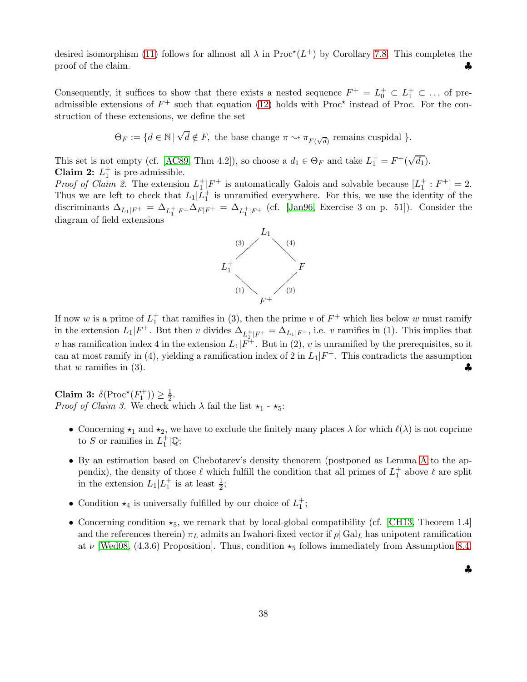desired isomorphism [\(11\)](#page-36-2) follows for allmost all  $\lambda$  in Proc<sup>\*</sup>( $L^+$ ) by Corollary [7.8.](#page-32-3) This completes the proof of the claim.

Consequently, it suffices to show that there exists a nested sequence  $F^+ = L_0^+ \subset L_1^+ \subset \ldots$  of preadmissible extensions of  $F^+$  such that equation [\(12\)](#page-36-3) holds with Proc<sup>\*</sup> instead of Proc. For the construction of these extensions, we define the set

$$
\Theta_F := \{ d \in \mathbb{N} \mid \sqrt{d} \notin F, \text{ the base change } \pi \sim \pi_{F(\sqrt{d})} \text{ remains cuspidal } \}.
$$

This set is not empty (cf. [\[AC89,](#page-42-2) Thm 4.2]), so choose a  $d_1 \in \Theta_F$  and take  $L_1^+ = F^+ (\sqrt{d_1})$ . **Claim 2:**  $L_1^+$  is pre-admissible.

*Proof of Claim 2.* The extension  $L_1^+|F^+|$  is automatically Galois and solvable because  $[L_1^+ : F^+] = 2$ . Thus we are left to check that  $L_1|\tilde{L}_1^+$  is unramified everywhere. For this, we use the identity of the discriminants  $\Delta_{L_1|F^+} = \Delta_{L_1^+|F^+}\Delta_{F|F^+} = \Delta_{L_1^+|F^+}$  (cf. [\[Jan96,](#page-44-16) Exercise 3 on p. 51]). Consider the diagram of field extensions



If now w is a prime of  $L_1^+$  that ramifies in (3), then the prime v of  $F^+$  which lies below w must ramify in the extension  $L_1|F^+$ . But then v divides  $\Delta_{L_1^+|F^+} = \Delta_{L_1|F^+}$ , i.e. v ramifies in (1). This implies that v has ramification index 4 in the extension  $L_1|F^+$ . But in (2), v is unramified by the prerequisites, so it can at most ramify in (4), yielding a ramification index of 2 in  $L_1|F^+$ . This contradicts the assumption that w ramifies in  $(3)$ .

Claim 3:  $\delta(\text{Proc}^*(F_1^+)) \geq \frac{1}{2}$ . *Proof of Claim 3.* We check which  $\lambda$  fail the list  $\star_1$  -  $\star_5$ :

- Concerning  $\star_1$  and  $\star_2$ , we have to exclude the finitely many places  $\lambda$  for which  $\ell(\lambda)$  is not coprime to S or ramifies in  $L_1^+|\mathbb{Q};$
- By an estimation based on Chebotarev's density thenorem (postponed as Lemma [A](#page-41-0) to the appendix), the density of those  $\ell$  which fulfill the condition that all primes of  $L_1^+$  above  $\ell$  are split in the extension  $L_1|L_1^+$  is at least  $\frac{1}{2}$ ;
- Condition  $\star_4$  is universally fulfilled by our choice of  $L_1^+$ ;
- Concerning condition  $\star_5$ , we remark that by local-global compatibility (cf. [\[CH13,](#page-43-16) Theorem 1.4] and the references therein)  $\pi_L$  admits an Iwahori-fixed vector if  $\rho | \text{Gal}_L$  has unipotent ramification at  $\nu$  [\[Wed08,](#page-46-5) (4.3.6) Proposition]. Thus, condition  $\star_5$  follows immediately from Assumption 8.4.

♣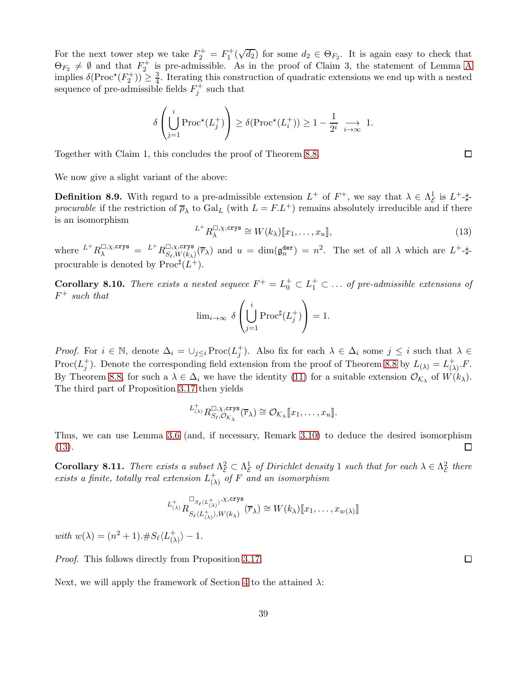For the next tower step we take  $F_2^+ = F_1^+(\sqrt{d_2})$  for some  $d_2 \in \Theta_{F_2}$ . It is again easy to check that  $\Theta_{F_2} \neq \emptyset$  and that  $F_2^+$  is pre-admissible. [A](#page-41-0)s in the proof of Claim 3, the statement of Lemma A implies  $\delta(\text{Proc}^*(F_2^+)) \geq \frac{3}{4}$ . Iterating this construction of quadratic extensions we end up with a nested sequence of pre-admissible fields  $F_j^+$  such that

$$
\delta\left(\bigcup_{j=1}^i\text{Proc}^{\star}(L_j^+)\right)\geq \delta(\text{Proc}^{\star}(L_i^+))\geq 1-\frac{1}{2^i}\underset{i\to\infty}{\longrightarrow} 1.
$$

Together with Claim 1, this concludes the proof of Theorem [8.8.](#page-36-1)

We now give a slight variant of the above:

**Definition 8.9.** With regard to a pre-admissible extension  $L^+$  of  $F^+$ , we say that  $\lambda \in \Lambda_{\mathcal{E}}^1$  $\frac{1}{\mathcal{E}}$  is  $L^+$ - $\sharp$ procurable if the restriction of  $\overline{\rho}_{\lambda}$  to Gal<sub>L</sub> (with  $L = F.L^{+}$ ) remains absolutely irreducible and if there is an isomorphism

<span id="page-38-0"></span>
$$
L^+ R_{\lambda}^{\square,\chi,\text{crys}} \cong W(k_{\lambda})[\![x_1,\ldots,x_u]\!],\tag{13}
$$

where  $L^+ R^{\square,\chi,\text{crys}}_\lambda = L^+ R^{\square,\chi,\text{crys}}_{S_\ell,W(k_\lambda)}$  $\mathbb{E}_{S_{\ell},W(k_{\lambda})}^{[1]}(\overline{r}_{\lambda})$  and  $u = \dim(\mathfrak{g}_{n}^{\text{der}}) = n^2$ . The set of all  $\lambda$  which are  $L^+$ -#procurable is denoted by  $\text{Proc}^{\sharp}(L^{+}).$ 

**Corollary 8.10.** There exists a nested sequece  $F^+ = L_0^+ \subset L_1^+ \subset \ldots$  of pre-admissible extensions of  $F^+$  such that

$$
\lim\n<_{i \to \infty} \delta \left( \bigcup_{j=1}^{i} \mathrm{Proc}^{\sharp}(L_{j}^{+}) \right) = 1.
$$

*Proof.* For  $i \in \mathbb{N}$ , denote  $\Delta_i = \bigcup_{j \leq i} \text{Proc}(L_j^+)$ . Also fix for each  $\lambda \in \Delta_i$  some  $j \leq i$  such that  $\lambda \in$ Proc( $L_j^+$ ). Denote the corresponding field extension from the proof of Theorem [8.8](#page-36-1) by  $L_{(\lambda)} = L_{(2)}^+$  $\overline{(\lambda)}^{\,+}.F.$ By Theorem [8.8,](#page-36-1) for such a  $\lambda \in \Delta_i$  we have the identity [\(11\)](#page-36-2) for a suitable extension  $\mathcal{O}_{\mathcal{K}_\lambda}$  of  $W(k_\lambda)$ . The third part of Proposition 3.17 then yields

$$
L^{\dagger}_{(\lambda)} R^{\square,\chi,\text{crys}}_{S_{\ell},\mathcal{O}_{\mathcal{K}_{\lambda}}}(\overline{r}_{\lambda}) \cong \mathcal{O}_{\mathcal{K}_{\lambda}}[\![x_1,\ldots,x_u]\!].
$$

Thus, we can use Lemma [3.6](#page-4-2) (and, if necessary, Remark [3.10\)](#page-5-2) to deduce the desired isomorphism [\(13\)](#page-38-0).  $\Box$ 

<span id="page-38-1"></span>**Corollary 8.11.** There exists a subset  $\Lambda_{\mathcal{E}}^2 \subset \Lambda_{\mathcal{E}}^1$  of Dirichlet density 1 such that for each  $\lambda \in \Lambda_{\mathcal{E}}^2$ exists a finite, totally real extension  $L_{(\lambda)}^+$  of F a  $\frac{2}{\mathcal{E}}$  there  $_{(\lambda)}^+$  of F and an isomorphism

$$
L^{\dagger}_{(\lambda)}R^{\square_{S_{\ell}\langle L^{\dagger}_{(\lambda)}\rangle},\chi,\text{crys}}_{S_{\ell}\langle L^{\dagger}_{(\lambda)}\rangle,W(k_{\lambda})}(\overline{r}_{\lambda})\cong W(k_{\lambda})[\hspace{-1.5pt}[ x_1,\ldots,x_{w(\lambda)}]\hspace{-1.5pt}]
$$

with  $w(\lambda) = (n^2 + 1) .#S_{\ell} \langle L_{\ell}^{+} \rangle$  $\begin{array}{c}\n\text{+} \\
\text{()}\n\end{array}$   $\rangle - 1$ .

Proof. This follows directly from Proposition 3.17.

Next, we will apply the framework of Section [4](#page-10-1) to the attained  $\lambda$ :

 $\Box$ 

 $\Box$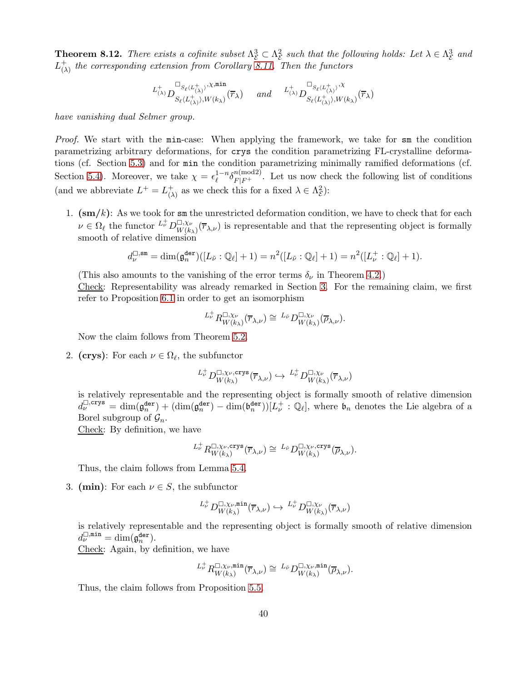<span id="page-39-0"></span>**Theorem 8.12.** There exists a cofinite subset  $\Lambda_{\mathcal{E}}^3 \subset \Lambda_{\mathcal{E}}^2$  $\frac{2}{\varepsilon}$  such that the following holds: Let  $\lambda \in \Lambda_{\varepsilon}^{3}$  $\stackrel{3}{\varepsilon}$  and  $L^+_{\Omega}$  $_{(\lambda)}^{+}$  the corresponding extension from Corollary [8.11.](#page-38-1) Then the functors

$$
\iota^+_{(\lambda)}D^{\square_{S_\ell\langle L^+_{(\lambda)}\rangle},\chi,\min}_{S_\ell\langle L^+_{(\lambda)}\rangle,W(k_\lambda)}(\overline{r}_\lambda) \quad \text{ and } \quad \iota^+_{(\lambda)}D^{\square_{S_\ell\langle L^+_{(\lambda)}\rangle},\chi}_{S_\ell\langle L^+_{(\lambda)}\rangle,W(k_\lambda)}(\overline{r}_\lambda)
$$

have vanishing dual Selmer group.

Proof. We start with the min-case: When applying the framework, we take for sm the condition parametrizing arbitrary deformations, for crys the condition parametrizing FL-crystalline deformations (cf. Section [5.3\)](#page-17-0) and for min the condition parametrizing minimally ramified deformations (cf. Section [5.4\)](#page-18-0). Moreover, we take  $\chi = \epsilon_{\ell}^{1-n} \delta_{F|F^+}^{n \text{(mod 2)}}$ . Let us now check the following list of conditions (and we abbreviate  $L^+ = L^+_{\Omega}$  $\begin{pmatrix} + \\ (\lambda) \end{pmatrix}$  as we check this for a fixed  $\lambda \in \Lambda_{\mathcal{E}}^2$  $(\frac{2}{\mathcal{E}})$ :

1.  $(\text{sm}/k)$ : As we took for sm the unrestricted deformation condition, we have to check that for each  $\nu \in \Omega_{\ell}$  the functor  $L^{\dagger}_{\nu} D^{\square, \chi_{\nu}}_{W(k)}$  $W(k_{\lambda})^{\overline{(r}_{\lambda,\nu})}$  is representable and that the representing object is formally smooth of relative dimension

$$
d_{\nu}^{\Box,\,\mathrm{sm}} = \dim(\mathfrak{g}^{\mathrm{der}}_{n})([L_{\tilde{\nu}}:\mathbb{Q}_{\ell}]+1) = n^{2}([L_{\tilde{\nu}}:\mathbb{Q}_{\ell}]+1) = n^{2}([L_{\nu}^{+}:\mathbb{Q}_{\ell}]+1).
$$

(This also amounts to the vanishing of the error terms  $\delta_{\nu}$  in Theorem [4.2.](#page-12-0))

Check: Representability was already remarked in Section [3.](#page-3-0) For the remaining claim, we first refer to Proposition [6.1](#page-23-0) in order to get an isomorphism

$$
L^{\perp}_{\nu} R^{\square,\chi_{\nu}}_{W(k_{\lambda})}(\overline{r}_{\lambda,\nu}) \cong L_{\tilde{\nu}} D^{\square,\chi_{\nu}}_{W(k_{\lambda})}(\overline{\rho}_{\lambda,\nu}).
$$

Now the claim follows from Theorem [5.2.](#page-16-0)

2. (crys): For each  $\nu \in \Omega_{\ell}$ , the subfunctor

$$
L^{\dagger}_{\nu}D^{\square,\chi_{\nu},\mathbf{crys}}_{W(k_{\lambda})}(\overline{r}_{\lambda,\nu})\hookrightarrow L^{\dagger}_{\nu}D^{\square,\chi_{\nu}}_{W(k_{\lambda})}(\overline{r}_{\lambda,\nu})
$$

is relatively representable and the representing object is formally smooth of relative dimension  $d_{\nu}^{\square,\text{crys}} = \dim(\mathfrak{g}^{\text{der}}_n) + (\dim(\mathfrak{g}^{\text{der}}_n) - \dim(\mathfrak{b}^{\text{der}}_n))[L_{\nu}^+ : \mathbb{Q}_{\ell}],$  where  $\mathfrak{b}_n$  denotes the Lie algebra of a Borel subgroup of  $\mathcal{G}_n$ .

Check: By definition, we have

$$
L^{\dagger}_{\nu} R^{\square, \chi_{\nu}, \text{crys}}_{W(k_{\lambda})}(\overline{r}_{\lambda, \nu}) \cong {}^{L_{\tilde{\nu}}}D^{\square, \chi_{\nu}, \text{crys}}_{W(k_{\lambda})}(\overline{\rho}_{\lambda, \nu}).
$$

Thus, the claim follows from Lemma [5.4.](#page-18-4)

3. (min): For each  $\nu \in S$ , the subfunctor

$$
{}^{L^+_{\nu}}D^{\square,\chi_\nu,\min}_{W(k_\lambda)}(\overline{r}_{\lambda,\nu})\hookrightarrow {}^{L^+_{\nu}}D^{\square,\chi_\nu}_{W(k_\lambda)}(\overline{r}_{\lambda,\nu})
$$

is relatively representable and the representing object is formally smooth of relative dimension  $d_{\nu}^{\square, \min} = \dim(\mathfrak{g}_n^{\tt{der}}).$ 

Check: Again, by definition, we have

$$
L^{\perp}_{\nu} R^{\square, \chi_{\nu}, \min}_{W(k_{\lambda})}(\overline{r}_{\lambda, \nu}) \cong {}^{L_{\tilde{\nu}}}D^{\square, \chi_{\nu}, \min}_{W(k_{\lambda})}(\overline{\rho}_{\lambda, \nu}).
$$

Thus, the claim follows from Proposition [5.5.](#page-18-3)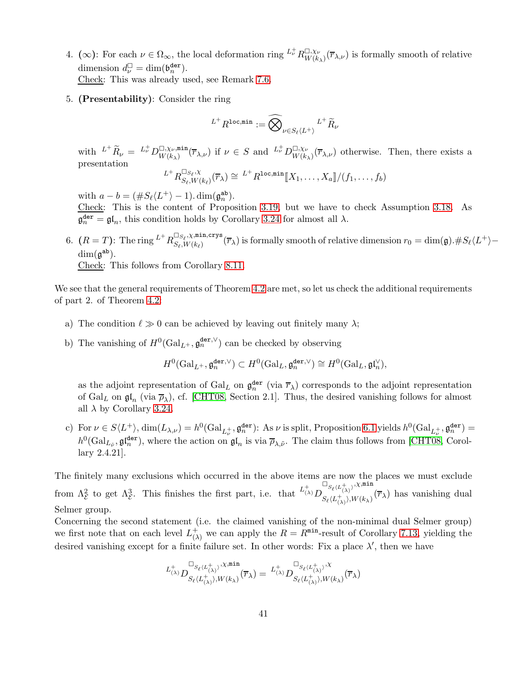- 4. ( $\infty$ ): For each  $\nu \in \Omega_{\infty}$ , the local deformation ring  $L^{\dagger}_{\nu} R^{\square, \chi_{\nu}}_{W(k)}$  $W_{W(k_{\lambda})}^{L, \chi_{\nu}}(\overline{r}_{\lambda, \nu})$  is formally smooth of relative dimension  $d_{\nu}^{\square} = \dim(\mathfrak{b}_{n}^{\text{der}})$ . Check: This was already used, see Remark [7.6.](#page-31-0)
- 5. (Presentability): Consider the ring

$$
{}^{L^+}R^{\texttt{loc,min}}:=\widehat{\bigotimes}_{\nu\in S_\ell\langle L^+\rangle} {}^{L^+}{\widetilde R}_\nu
$$

with  $L^+ \widetilde{R}_\nu = L^+_\nu D^{\square,\chi_\nu, \min}_{W(k_\lambda)}$  $\mathbb{U}_{W(k_{\lambda})}^{\square,\chi_{\nu},\min}(\overline{r}_{\lambda,\nu})$  if  $\nu \in S$  and  $L^{\perp}_{\nu}D^{\square,\chi_{\nu}}_{W(k_{\lambda})}$  $W_{W(k_{\lambda})}^{L;\chi_{\nu}}(\overline{r}_{\lambda,\nu})$  otherwise. Then, there exists a presentation

$$
L^+ R_{S_{\ell}, W(k_{\ell})}^{\square_{S_{\ell}, X}}(\overline{r}_{\lambda}) \cong L^+ R^{\texttt{loc,min}}[\![X_1, \ldots, X_a]\!]/(f_1, \ldots, f_b)
$$

with  $a - b = (\#S_{\ell} \langle L^{+} \rangle - 1) \cdot \dim(\mathfrak{g}_{n}^{\text{ab}}).$ 

Check: This is the content of Proposition [3.19,](#page-7-0) but we have to check Assumption [3.18.](#page-7-1) As  $\mathfrak{g}_n^{\text{der}} = \mathfrak{gl}_n$ , this condition holds by Corollary [3.24](#page-9-2) for almost all  $\lambda$ .

6.  $(R = T)$ : The ring  $L^+ R_{S_e W(k_e)}^{\square_{S_\ell}, \chi, \min, \text{crys}}$  $S_{\ell}, V_{k(\ell)}(r_{\lambda})$  is formally smooth of relative dimension  $r_0 = \dim(\mathfrak{g}).\#S_{\ell}\langle L^{+}\rangle - S_{\ell}, W(k_{\ell})$  $\dim(\mathfrak{g}^{\tt{ab}}).$ 

Check: This follows from Corollary [8.11.](#page-38-1)

We see that the general requirements of Theorem [4.2](#page-12-0) are met, so let us check the additional requirements of part 2. of Theorem [4.2:](#page-12-0)

- a) The condition  $\ell \gg 0$  can be achieved by leaving out finitely many  $\lambda$ ;
- b) The vanishing of  $H^0(\text{Gal}_{L^+}, \mathfrak{g}_n^{\text{der}, \vee})$  can be checked by observing

$$
H^0(\operatorname{Gal}_{L^+}, \mathfrak{g}^{\tt{der}, \vee}_{n}) \subset H^0(\operatorname{Gal}_{L}, \mathfrak{g}^{\tt{der}, \vee}_{n}) \cong H^0(\operatorname{Gal}_{L}, \mathfrak{g}^{\mathfrak{l}}_{n}'),
$$

as the adjoint representation of  $Gal_L$  on  $\mathfrak{g}_n^{\text{der}}$  (via  $\overline{r}_\lambda$ ) corresponds to the adjoint representation of Gal<sub>L</sub> on  $\mathfrak{gl}_n$  (via  $\overline{\rho}_{\lambda}$ ), cf. [\[CHT08,](#page-43-0) Section 2.1]. Thus, the desired vanishing follows for almost all  $\lambda$  by Corollary [3.24.](#page-9-2)

c) For  $\nu \in S\langle L^{+}\rangle$ ,  $\dim(L_{\lambda,\nu}) = h^{0}(\text{Gal}_{L_{\nu}^{+}}, \mathfrak{g}_{n}^{\text{der}})$ : As  $\nu$  is split, Proposition [6.1](#page-23-0) yields  $h^{0}(\text{Gal}_{L_{\nu}^{+}}, \mathfrak{g}_{n}^{\text{der}})$  =  $h^0(\text{Gal}_{L_{\tilde{\nu}}}, \mathfrak{gl}_n^{\text{der}})$ , where the action on  $\mathfrak{gl}_n$  is via  $\overline{\rho}_{\lambda,\tilde{\nu}}$ . The claim thus follows from [\[CHT08,](#page-43-0) Corollary 2.4.21].

The finitely many exclusions which occurred in the above items are now the places we must exclude from  $\Lambda_{\mathcal{E}}^2$  to get  $\Lambda_{\mathcal{E}}^3$ . This finishes the first part, i.e. that  $L^{(1)}_{(\lambda)}D$  $\square_{S_\ell \langle L^+_{(\lambda)} \rangle}, \chi, \min$  $S_{\ell}(L_{(\lambda)}^{(\lambda)},W(k_{\lambda})^{\tau})$  has vanishing dual Selmer group.

Concerning the second statement (i.e. the claimed vanishing of the non-minimal dual Selmer group) we first note that on each level  $L_{\Omega}^{+}$  $\chi^+_{(\lambda)}$  we can apply the  $R = R^{\min}$ -result of Corollary [7.13,](#page-33-1) yielding the desired vanishing except for a finite failure set. In other words: Fix a place  $\lambda'$ , then we have

$$
\iota^+_{(\lambda)} D^{\square_{S_\ell\langle L^+_{(\lambda)}\rangle},\chi,\min}_{S_\ell\langle L^+_{(\lambda)}\rangle,W(k_\lambda)}(\overline{r}_\lambda)=\iota^+_{(\lambda)} D^{\square_{S_\ell\langle L^+_{(\lambda)}\rangle},\chi}_{S_\ell\langle L^+_{(\lambda)}\rangle,W(k_\lambda)}(\overline{r}_\lambda)
$$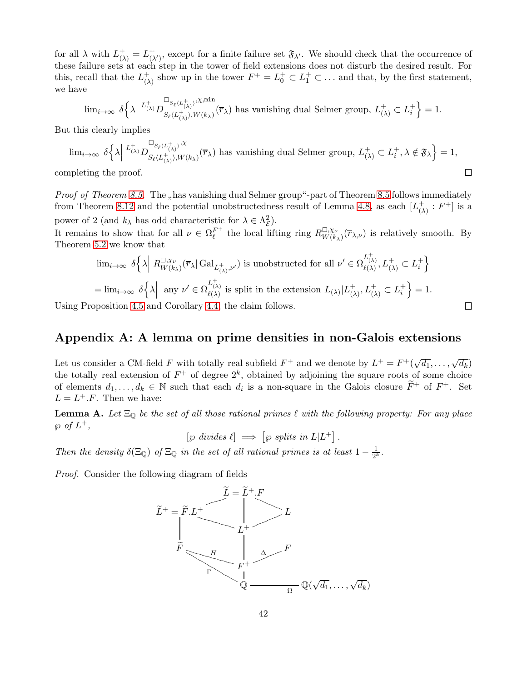for all  $\lambda$  with  $L^+_{(\lambda)} = L^+_{(\lambda')}$ , except for a finite failure set  $\mathfrak{F}_{\lambda'}$ . We should check that the occurrence of these failure sets at each step in the tower of field extensions does not disturb the desired result. For this, recall that the  $L^+_{\Omega}$  $\begin{pmatrix} + \\ 0 \end{pmatrix}$  show up in the tower  $F^+ = L_0^+ \subset L_1^+ \subset \ldots$  and that, by the first statement, we have

$$
\textstyle \lim_{i \to \infty} \; \delta \Big\{ \lambda \Big\vert \stackrel{L^+_{(\lambda)} \mathop{D} \nolimits^{\square} _{S_{\ell} (L^+_{(\lambda)})}, \chi, \min} {\mathfrak{m} \text{in}}(\overline{r}_{\lambda}) \text{ has vanishing dual Selmer group, } L^+_{(\lambda)} \subset L^+_{i} \Big\} = 1.
$$

But this clearly implies

$$
\lim_{i\to\infty} \delta\left\{\lambda\Big|\overset{L^+_{(\lambda)}}{D_{S_\ell\langle L^+_{(\lambda)}\rangle},W_{(\kappa_\lambda)}}(\overline{r}_\lambda)\right\}\text{ has vanishing dual Selmer group, } L^+_{(\lambda)}\subset L^+_i, \lambda \notin \mathfrak{F}_\lambda\right\}=1,
$$
\ninleting the proof.

completing the proof.

*Proof of Theorem [8.5.](#page-35-0)* The "has vanishing dual Selmer group"-part of Theorem [8.5](#page-35-0) follows immediately from Theorem [8.12](#page-39-0) and the potential unobstructedness result of Lemma [4.8,](#page-15-1) as each  $[L_0^+]$  $\frac{+}{(\lambda)}$ :  $F^+$ ] is a power of 2 (and  $k_{\lambda}$  has odd characteristic for  $\lambda \in \Lambda_{\mathcal{E}}^2$ ).

It remains to show that for all  $\nu \in \Omega_{\ell}^{F^+}$  the local lifting ring  $R_{W(k)}^{\square, \chi_{\nu}}$  $W_{W(k_{\lambda})}^{L, \chi_{\nu}}(\overline{r}_{\lambda, \nu})$  is relatively smooth. By Theorem [5.2](#page-16-0) we know that

$$
\begin{split} &\lim_{i\to\infty}\,\delta\Big\{\lambda\Big|\;R^{\square,\chi\nu}_{W(k_\lambda)}(\overline{r}_\lambda|\operatorname{Gal}_{L^+_{(\lambda)},\nu'})\;\text{is unobstructed for all}\;\nu'\in\Omega^{L^+_{(\lambda)}}_{\ell(\lambda)},L^+_{(\lambda)}\subset L^+_i\Big\}\\ &=\lim_{i\to\infty}\,\delta\Big\{\lambda\Big|\;\sup_{\nu'\,\in\,\Omega^{L^+_{(\lambda)}}_{\ell(\lambda)}}\text{is split in the extension}\;L_{(\lambda)}|L^+_{(\lambda)},L^+_{(\lambda)}\subset L^+_i\Big\}=1. \end{split}
$$

 $\Box$ 

Using Proposition [4.5](#page-14-2) and Corollary [4.4,](#page-14-0) the claim follows.

# Appendix A: A lemma on prime densities in non-Galois extensions

Let us consider a CM-field F with totally real subfield  $F^+$  and we denote by  $L^+ = F^+(\sqrt{d_1}, \ldots, \sqrt{d_k})$ the totally real extension of  $F^+$  of degree  $2^k$ , obtained by adjoining the square roots of some choice of elements  $d_1, \ldots, d_k \in \mathbb{N}$  such that each  $d_i$  is a non-square in the Galois closure  $\tilde{F}^+$  of  $F^+$ . Set  $L = L^+.F$ . Then we have:

<span id="page-41-0"></span>**Lemma A.** Let  $\Xi_{\mathbb{Q}}$  be the set of all those rational primes  $\ell$  with the following property: For any place  $\wp$  of  $L^+$ ,

 $[\wp \; divides \; \ell] \implies [\wp \; splits \; in \; L|L^+] \,.$ 

Then the density  $\delta(\Xi_{\mathbb{Q}})$  of  $\Xi_{\mathbb{Q}}$  in the set of all rational primes is at least  $1 - \frac{1}{2^l}$  $\frac{1}{2^k}$ .

Proof. Consider the following diagram of fields

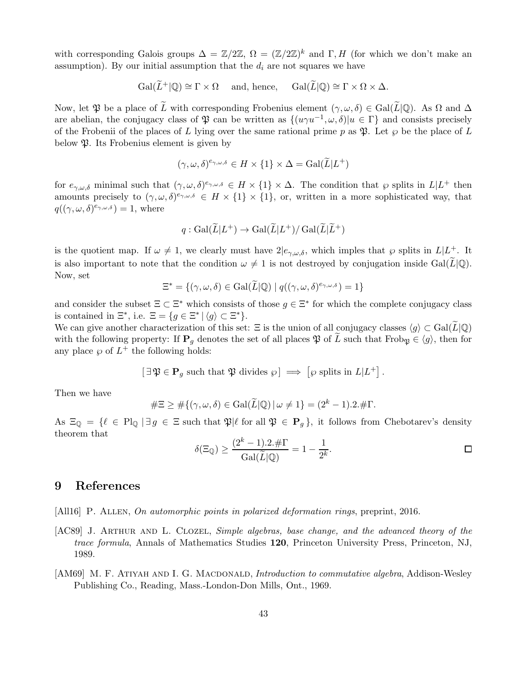with corresponding Galois groups  $\Delta = \mathbb{Z}/2\mathbb{Z}$ ,  $\Omega = (\mathbb{Z}/2\mathbb{Z})^k$  and  $\Gamma, H$  (for which we don't make an assumption). By our initial assumption that the  $d_i$  are not squares we have

$$
\operatorname{Gal}(\widetilde{L}^+|\mathbb{Q}) \cong \Gamma \times \Omega \quad \text{ and, hence,} \quad \operatorname{Gal}(\widetilde{L}|\mathbb{Q}) \cong \Gamma \times \Omega \times \Delta.
$$

Now, let  $\mathfrak P$  be a place of  $\widetilde{L}$  with corresponding Frobenius element  $(\gamma,\omega,\delta) \in \text{Gal}(\widetilde{L}|\mathbb{Q})$ . As  $\Omega$  and  $\Delta$ are abelian, the conjugacy class of  $\mathfrak P$  can be written as  $\{(u\gamma u^{-1}, \omega, \delta) | u \in \Gamma\}$  and consists precisely of the Frobenii of the places of L lying over the same rational prime p as  $\mathfrak{P}$ . Let  $\wp$  be the place of L below  $\mathfrak{P}$ . Its Frobenius element is given by

$$
(\gamma, \omega, \delta)^{e_{\gamma, \omega, \delta}} \in H \times \{1\} \times \Delta = \text{Gal}(\widetilde{L}|L^+)
$$

for  $e_{\gamma,\omega,\delta}$  minimal such that  $(\gamma,\omega,\delta)^{e_{\gamma,\omega,\delta}} \in H \times \{1\} \times \Delta$ . The condition that  $\wp$  splits in  $L \mid L^+$  then amounts precisely to  $(\gamma,\omega,\delta)^{e_{\gamma,\omega,\delta}} \in H \times \{1\} \times \{1\}$ , or, written in a more sophisticated way, that  $q((\gamma,\omega,\delta)^{e_{\gamma,\omega,\delta}})=1$ , where

$$
q: \operatorname{Gal}(\widetilde{L}|L^+) \to \operatorname{Gal}(\widetilde{L}|L^+)/\operatorname{Gal}(\widetilde{L}|\widetilde{L}^+)
$$

is the quotient map. If  $\omega \neq 1$ , we clearly must have  $2|e_{\gamma,\omega,\delta}$ , which imples that  $\wp$  splits in  $L|_{\infty}^{+\infty}$ . It is also important to note that the condition  $\omega \neq 1$  is not destroyed by conjugation inside Gal(L|Q). Now, set

$$
\Xi^* = \{(\gamma, \omega, \delta) \in \operatorname{Gal}(\widetilde{L}|\mathbb{Q}) \mid q((\gamma, \omega, \delta)^{e_{\gamma, \omega, \delta}}) = 1\}
$$

and consider the subset  $\Xi \subset \Xi^*$  which consists of those  $g \in \Xi^*$  for which the complete conjugacy class is contained in  $\Xi^*$ , i.e.  $\Xi = \{g \in \Xi^* \mid \langle g \rangle \subset \Xi^* \}.$ 

We can give another characterization of this set:  $\Xi$  is the union of all conjugacy classes  $\langle g \rangle \subset \text{Gal}(\widetilde{L}|\mathbb{Q})$ with the following property: If  $P<sub>q</sub>$  denotes the set of all places  $\mathfrak{P}$  of L such that Frob<sub> $\mathfrak{P} \in \langle g \rangle$ , then for</sub> any place  $\wp$  of  $L^+$  the following holds:

$$
[\exists \mathfrak{P} \in \mathbf{P}_g \text{ such that } \mathfrak{P} \text{ divides } \wp] \implies [\wp \text{ splits in } L | L^+].
$$

Then we have

$$
\#\Xi \ge \#\{(\gamma,\omega,\delta) \in \mathrm{Gal}(\widetilde{L}|\mathbb{Q}) \,|\, \omega \ne 1\} = (2^k - 1).2.\#\Gamma.
$$

As  $\Xi_0 = \{ \ell \in Pl_0 \mid \exists g \in \Xi \text{ such that } \mathfrak{P} | \ell \text{ for all } \mathfrak{P} \in \mathbf{P}_q \}, \text{ it follows from Chebotarev's density }$ theorem that

$$
\delta(\Xi_{\mathbb{Q}}) \ge \frac{(2^k - 1) \cdot 2 \cdot \# \Gamma}{\text{Gal}(\widetilde{L}|\mathbb{Q})} = 1 - \frac{1}{2^k}.
$$

### 9 References

- <span id="page-42-0"></span>[All16] P. Allen, On automorphic points in polarized deformation rings, preprint, 2016.
- <span id="page-42-2"></span>[AC89] J. ARTHUR AND L. CLOZEL, Simple algebras, base change, and the advanced theory of the trace formula, Annals of Mathematics Studies 120, Princeton University Press, Princeton, NJ, 1989.
- <span id="page-42-1"></span>[AM69] M. F. ATIYAH AND I. G. MACDONALD, *Introduction to commutative algebra*, Addison-Wesley Publishing Co., Reading, Mass.-London-Don Mills, Ont., 1969.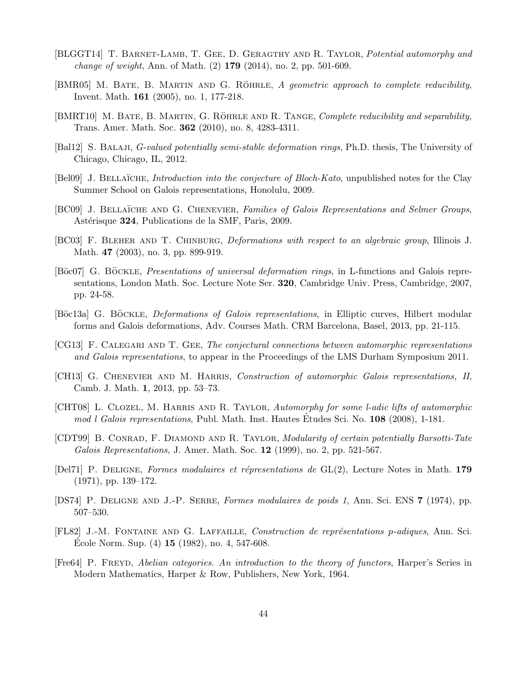- <span id="page-43-4"></span>[BLGGT14] T. BARNET-LAMB, T. GEE, D. GERAGTHY AND R. TAYLOR, Potential automorphy and change of weight, Ann. of Math. (2) 179 (2014), no. 2, pp. 501-609.
- <span id="page-43-8"></span>[BMR05] M. BATE, B. MARTIN AND G. RÖHRLE,  $A$  geometric approach to complete reducibility, Invent. Math. 161 (2005), no. 1, 177-218.
- <span id="page-43-9"></span>[BMRT10] M. BATE, B. MARTIN, G. RÖHRLE AND R. TANGE, Complete reducibility and separability, Trans. Amer. Math. Soc. 362 (2010), no. 8, 4283-4311.
- <span id="page-43-5"></span>[Bal12] S. Balaji, G-valued potentially semi-stable deformation rings, Ph.D. thesis, The University of Chicago, Chicago, IL, 2012.
- <span id="page-43-3"></span>[Bel09] J. BELLAÏCHE, *Introduction into the conjecture of Bloch-Kato*, unpublished notes for the Clay Summer School on Galois representations, Honolulu, 2009.
- <span id="page-43-14"></span>[BC09] J. BELLAÏCHE AND G. CHENEVIER, Families of Galois Representations and Selmer Groups, Astérisque 324, Publications de la SMF, Paris, 2009.
- <span id="page-43-6"></span>[BC03] F. Bleher and T. Chinburg, Deformations with respect to an algebraic group, Illinois J. Math. **47** (2003), no. 3, pp. 899-919.
- <span id="page-43-11"></span>[Böc07] G. BÖCKLE, *Presentations of universal deformation rings*, in L-functions and Galois representations, London Math. Soc. Lecture Note Ser. 320, Cambridge Univ. Press, Cambridge, 2007, pp. 24-58.
- <span id="page-43-10"></span>[Böc13a] G. BÖCKLE, *Deformations of Galois representations*, in Elliptic curves, Hilbert modular forms and Galois deformations, Adv. Courses Math. CRM Barcelona, Basel, 2013, pp. 21-115.
- <span id="page-43-15"></span>[CG13] F. Calegari and T. Gee, The conjectural connections between automorphic representations and Galois representations, to appear in the Proceedings of the LMS Durham Symposium 2011.
- <span id="page-43-16"></span>[CH13] G. CHENEVIER AND M. HARRIS, Construction of automorphic Galois representations, II, Camb. J. Math. 1, 2013, pp. 53–73.
- <span id="page-43-0"></span>[CHT08] L. CLOZEL, M. HARRIS AND R. TAYLOR, Automorphy for some l-adic lifts of automorphic mod l Galois representations, Publ. Math. Inst. Hautes Etudes Sci. No.  $108$  (2008), 1-181.
- <span id="page-43-7"></span>[CDT99] B. Conrad, F. Diamond and R. Taylor, Modularity of certain potentially Barsotti-Tate Galois Representations, J. Amer. Math. Soc.  $12$  (1999), no. 2, pp. 521-567.
- <span id="page-43-1"></span>[Del71] P. DELIGNE, Formes modulaires et répresentations de  $GL(2)$ , Lecture Notes in Math. 179 (1971), pp. 139–172.
- <span id="page-43-2"></span>[DS74] P. Deligne and J.-P. Serre, Formes modulaires de poids 1, Ann. Sci. ENS 7 (1974), pp. 507–530.
- <span id="page-43-12"></span>[FL82] J.-M. FONTAINE AND G. LAFFAILLE, Construction de représentations p-adiques, Ann. Sci. Ecole Norm. Sup.  $(4)$  15  $(1982)$ , no. 4, 547-608.
- <span id="page-43-13"></span>[Fre64] P. FREYD, Abelian categories. An introduction to the theory of functors, Harper's Series in Modern Mathematics, Harper & Row, Publishers, New York, 1964.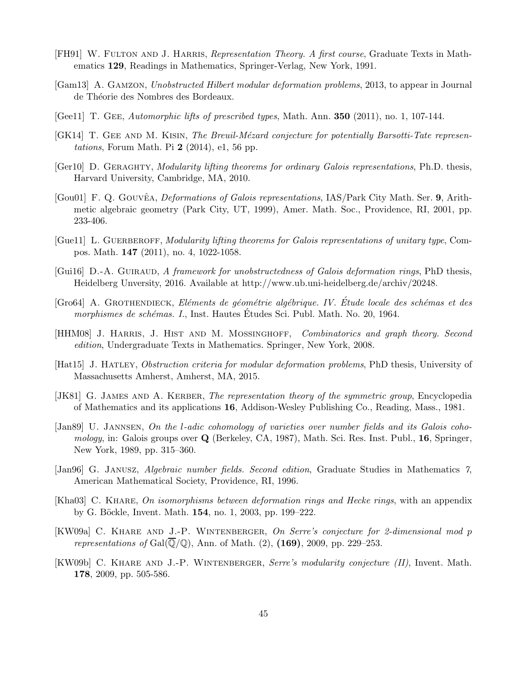- <span id="page-44-8"></span>[FH91] W. FULTON AND J. HARRIS, *Representation Theory. A first course*, Graduate Texts in Mathematics 129, Readings in Mathematics, Springer-Verlag, New York, 1991.
- <span id="page-44-2"></span>[Gam13] A. Gamzon, Unobstructed Hilbert modular deformation problems, 2013, to appear in Journal de Théorie des Nombres des Bordeaux.
- <span id="page-44-11"></span>[Gee11] T. Gee, Automorphic lifts of prescribed types, Math. Ann. 350 (2011), no. 1, 107-144.
- <span id="page-44-7"></span>[GK14] T. GEE AND M. KISIN, The Breuil-Mézard conjecture for potentially Barsotti-Tate represen*tations*, Forum Math. Pi  $2(2014)$ , e1, 56 pp.
- <span id="page-44-13"></span>[Ger10] D. GERAGHTY, Modularity lifting theorems for ordinary Galois representations, Ph.D. thesis, Harvard University, Cambridge, MA, 2010.
- <span id="page-44-6"></span>[Gou01] F. Q. GOUVÊA, *Deformations of Galois representations*, IAS/Park City Math. Ser. 9, Arithmetic algebraic geometry (Park City, UT, 1999), Amer. Math. Soc., Providence, RI, 2001, pp. 233-406.
- <span id="page-44-12"></span>[Guell] L. GUERBEROFF, Modularity lifting theorems for Galois representations of unitary type, Compos. Math. 147 (2011), no. 4, 1022-1058.
- <span id="page-44-3"></span> $[Gui16]$  D.-A. GUIRAUD, A framework for unobstructedness of Galois deformation rings, PhD thesis, Heidelberg Unversity, 2016. Available at http://www.ub.uni-heidelberg.de/archiv/20248.
- <span id="page-44-4"></span>[Gro64] A. GROTHENDIECK, Eléments de géométrie algébrique. IV. Étude locale des schémas et des morphismes de schémas. I., Inst. Hautes Études Sci. Publ. Math. No. 20, 1964.
- <span id="page-44-9"></span>[HHM08] J. Harris, J. Hist and M. Mossinghoff, Combinatorics and graph theory. Second edition, Undergraduate Texts in Mathematics. Springer, New York, 2008.
- <span id="page-44-1"></span>[Hat15] J. HATLEY, *Obstruction criteria for modular deformation problems*, PhD thesis, University of Massachusetts Amherst, Amherst, MA, 2015.
- <span id="page-44-14"></span>[JK81] G. JAMES AND A. KERBER, The representation theory of the symmetric group, Encyclopedia of Mathematics and its applications 16, Addison-Wesley Publishing Co., Reading, Mass., 1981.
- <span id="page-44-0"></span>[Jan89] U. Jannsen, On the l-adic cohomology of varieties over number fields and its Galois cohomology, in: Galois groups over Q (Berkeley, CA, 1987), Math. Sci. Res. Inst. Publ., 16, Springer, New York, 1989, pp. 315–360.
- <span id="page-44-16"></span>[Jan96] G. Janusz, Algebraic number fields. Second edition, Graduate Studies in Mathematics 7, American Mathematical Society, Providence, RI, 1996.
- <span id="page-44-15"></span>[Kha03] C. KHARE, On isomorphisms between deformation rings and Hecke rings, with an appendix by G. B¨ockle, Invent. Math. 154, no. 1, 2003, pp. 199–222.
- <span id="page-44-10"></span>[KW09a] C. Khare and J.-P. Wintenberger, On Serre's conjecture for 2-dimensional mod p representations of Gal $(\mathbb{Q}/\mathbb{Q})$ , Ann. of Math. (2), (169), 2009, pp. 229–253.
- <span id="page-44-5"></span>[KW09b] C. KHARE AND J.-P. WINTENBERGER, Serre's modularity conjecture (II), Invent. Math. 178, 2009, pp. 505-586.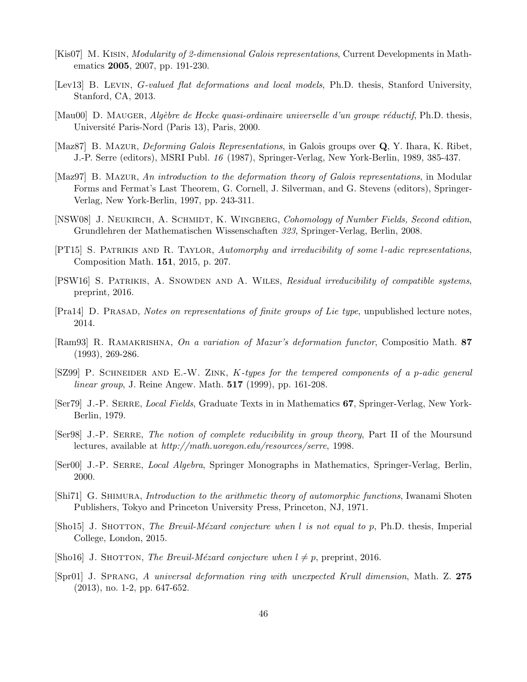- <span id="page-45-7"></span>[Kis07] M. KISIN, *Modularity of 2-dimensional Galois representations*, Current Developments in Mathematics 2005, 2007, pp. 191-230.
- <span id="page-45-4"></span>[Lev13] B. LEVIN, *G-valued flat deformations and local models*, Ph.D. thesis, Stanford University, Stanford, CA, 2013.
- <span id="page-45-3"></span> $[Mau00]$  D. MAUGER, Algèbre de Hecke quasi-ordinaire universelle d'un groupe réductif, Ph.D. thesis, Université Paris-Nord (Paris 13), Paris, 2000.
- <span id="page-45-0"></span>[Maz87] B. MAZUR, *Deforming Galois Representations*, in Galois groups over **Q**, Y. Ihara, K. Ribet, J.-P. Serre (editors), MSRI Publ. 16 (1987), Springer-Verlag, New York-Berlin, 1989, 385-437.
- <span id="page-45-2"></span>[Maz97] B. Mazur, An introduction to the deformation theory of Galois representations, in Modular Forms and Fermat's Last Theorem, G. Cornell, J. Silverman, and G. Stevens (editors), Springer-Verlag, New York-Berlin, 1997, pp. 243-311.
- <span id="page-45-9"></span>[NSW08] J. NEUKIRCH, A. SCHMIDT, K. WINGBERG, Cohomology of Number Fields, Second edition, Grundlehren der Mathematischen Wissenschaften 323, Springer-Verlag, Berlin, 2008.
- <span id="page-45-16"></span>[PT15] S. PATRIKIS AND R. TAYLOR, Automorphy and irreducibility of some l-adic representations, Composition Math. 151, 2015, p. 207.
- <span id="page-45-17"></span>[PSW16] S. Patrikis, A. Snowden and A. Wiles, Residual irreducibility of compatible systems, preprint, 2016.
- <span id="page-45-14"></span>[Pra14] D. Prasad, Notes on representations of finite groups of Lie type, unpublished lecture notes, 2014.
- <span id="page-45-11"></span>[Ram93] R. Ramakrishna, On a variation of Mazur's deformation functor, Compositio Math. 87 (1993), 269-286.
- <span id="page-45-13"></span> $[SZ99]$  P. SCHNEIDER AND E.-W. ZINK, K-types for the tempered components of a p-adic general linear group, J. Reine Angew. Math. 517 (1999), pp. 161-208.
- <span id="page-45-15"></span>[Ser79] J.-P. Serre, Local Fields, Graduate Texts in in Mathematics 67, Springer-Verlag, New York-Berlin, 1979.
- <span id="page-45-6"></span>[Ser98] J.-P. SERRE, The notion of complete reducibility in group theory, Part II of the Moursund lectures, available at http://math.uoregon.edu/resources/serre, 1998.
- <span id="page-45-5"></span>[Ser00] J.-P. Serre, Local Algebra, Springer Monographs in Mathematics, Springer-Verlag, Berlin, 2000.
- <span id="page-45-1"></span>[Shi71] G. Shimura, Introduction to the arithmetic theory of automorphic functions, Iwanami Shoten Publishers, Tokyo and Princeton University Press, Princeton, NJ, 1971.
- <span id="page-45-12"></span>[Sho15] J. ShOTTON, The Breuil-Mézard conjecture when l is not equal to p, Ph.D. thesis, Imperial College, London, 2015.
- <span id="page-45-10"></span>[Sho16] J. SHOTTON, The Breuil-Mézard conjecture when  $l \neq p$ , preprint, 2016.
- <span id="page-45-8"></span>[Spr01] J. Sprang, A universal deformation ring with unexpected Krull dimension, Math. Z. 275 (2013), no. 1-2, pp. 647-652.